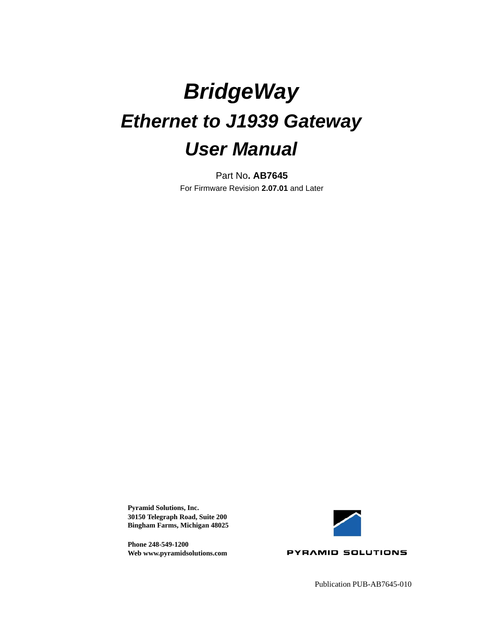# *BridgeWay Ethernet to J1939 Gateway User Manual*

Part No**. AB7645** For Firmware Revision **2.07.01** and Later

**Pyramid Solutions, Inc. 30150 Telegraph Road, Suite 200 Bingham Farms, Michigan 48025**

**Phone 248-549-1200 Web www.pyramidsolutions.com**



Publication PUB-AB7645-010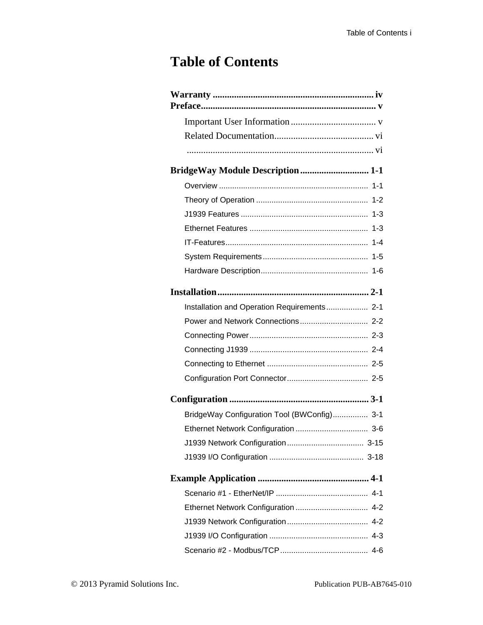### **Table of Contents**

| <b>BridgeWay Module Description 1-1</b>     |
|---------------------------------------------|
|                                             |
|                                             |
|                                             |
|                                             |
|                                             |
|                                             |
|                                             |
|                                             |
| Installation and Operation Requirements 2-1 |
|                                             |
|                                             |
|                                             |
|                                             |
|                                             |
|                                             |
| BridgeWay Configuration Tool (BWConfig) 3-1 |
|                                             |
|                                             |
|                                             |
|                                             |
|                                             |
|                                             |
|                                             |
|                                             |
|                                             |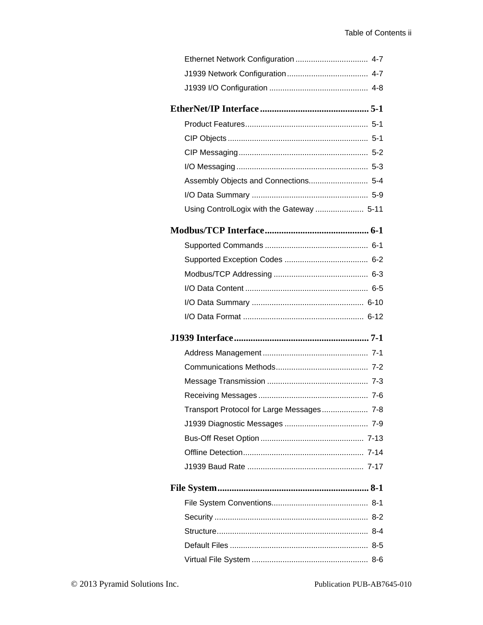| Using ControlLogix with the Gateway  5-11 |
|-------------------------------------------|
|                                           |
|                                           |
|                                           |
|                                           |
|                                           |
|                                           |
|                                           |
|                                           |
|                                           |
|                                           |
|                                           |
|                                           |
| Transport Protocol for Large Messages 7-8 |
|                                           |
|                                           |
|                                           |
|                                           |
|                                           |
|                                           |
|                                           |
|                                           |
|                                           |
|                                           |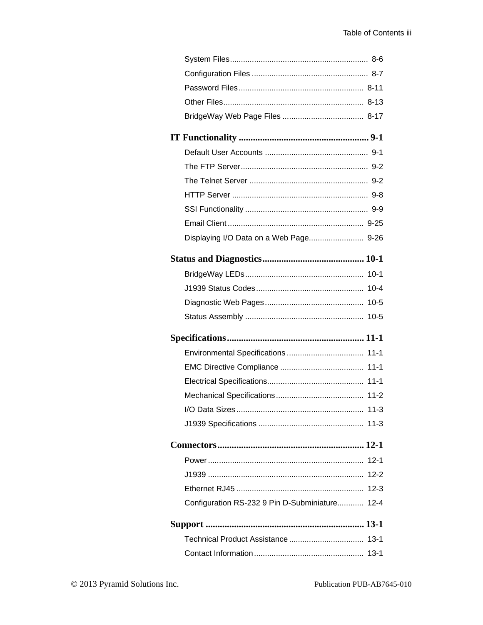| Displaying I/O Data on a Web Page 9-26         |          |
|------------------------------------------------|----------|
|                                                |          |
|                                                |          |
|                                                |          |
|                                                |          |
|                                                |          |
|                                                |          |
|                                                |          |
|                                                |          |
|                                                |          |
|                                                |          |
|                                                |          |
|                                                | $11 - 3$ |
|                                                |          |
|                                                |          |
|                                                |          |
|                                                | $12 - 2$ |
|                                                | $12 - 3$ |
| Configuration RS-232 9 Pin D-Subminiature 12-4 |          |
|                                                |          |
|                                                |          |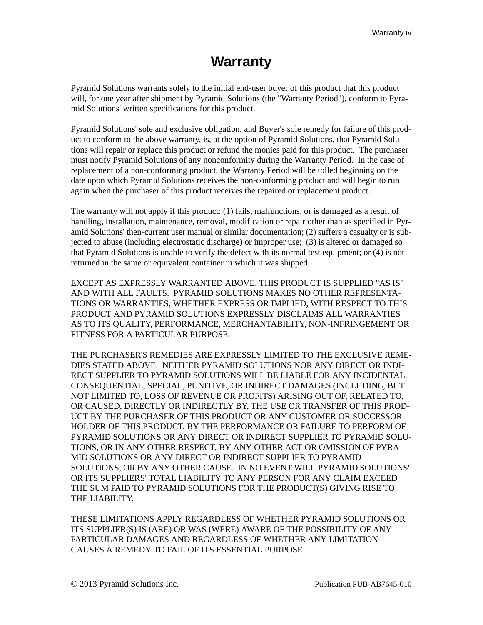### **Warranty**

<span id="page-4-0"></span>Pyramid Solutions warrants solely to the initial end-user buyer of this product that this product will, for one year after shipment by Pyramid Solutions (the "Warranty Period"), conform to Pyramid Solutions' written specifications for this product.

Pyramid Solutions' sole and exclusive obligation, and Buyer's sole remedy for failure of this product to conform to the above warranty, is, at the option of Pyramid Solutions, that Pyramid Solutions will repair or replace this product or refund the monies paid for this product. The purchaser must notify Pyramid Solutions of any nonconformity during the Warranty Period. In the case of replacement of a non-conforming product, the Warranty Period will be tolled beginning on the date upon which Pyramid Solutions receives the non-conforming product and will begin to run again when the purchaser of this product receives the repaired or replacement product.

The warranty will not apply if this product: (1) fails, malfunctions, or is damaged as a result of handling, installation, maintenance, removal, modification or repair other than as specified in Pyramid Solutions' then-current user manual or similar documentation; (2) suffers a casualty or is subjected to abuse (including electrostatic discharge) or improper use; (3) is altered or damaged so that Pyramid Solutions is unable to verify the defect with its normal test equipment; or (4) is not returned in the same or equivalent container in which it was shipped.

EXCEPT AS EXPRESSLY WARRANTED ABOVE, THIS PRODUCT IS SUPPLIED "AS IS" AND WITH ALL FAULTS. PYRAMID SOLUTIONS MAKES NO OTHER REPRESENTA-TIONS OR WARRANTIES, WHETHER EXPRESS OR IMPLIED, WITH RESPECT TO THIS PRODUCT AND PYRAMID SOLUTIONS EXPRESSLY DISCLAIMS ALL WARRANTIES AS TO ITS QUALITY, PERFORMANCE, MERCHANTABILITY, NON-INFRINGEMENT OR FITNESS FOR A PARTICULAR PURPOSE.

THE PURCHASER'S REMEDIES ARE EXPRESSLY LIMITED TO THE EXCLUSIVE REME-DIES STATED ABOVE. NEITHER PYRAMID SOLUTIONS NOR ANY DIRECT OR INDI-RECT SUPPLIER TO PYRAMID SOLUTIONS WILL BE LIABLE FOR ANY INCIDENTAL, CONSEQUENTIAL, SPECIAL, PUNITIVE, OR INDIRECT DAMAGES (INCLUDING, BUT NOT LIMITED TO, LOSS OF REVENUE OR PROFITS) ARISING OUT OF, RELATED TO, OR CAUSED, DIRECTLY OR INDIRECTLY BY, THE USE OR TRANSFER OF THIS PROD-UCT BY THE PURCHASER OF THIS PRODUCT OR ANY CUSTOMER OR SUCCESSOR HOLDER OF THIS PRODUCT, BY THE PERFORMANCE OR FAILURE TO PERFORM OF PYRAMID SOLUTIONS OR ANY DIRECT OR INDIRECT SUPPLIER TO PYRAMID SOLU-TIONS, OR IN ANY OTHER RESPECT, BY ANY OTHER ACT OR OMISSION OF PYRA-MID SOLUTIONS OR ANY DIRECT OR INDIRECT SUPPLIER TO PYRAMID SOLUTIONS, OR BY ANY OTHER CAUSE. IN NO EVENT WILL PYRAMID SOLUTIONS' OR ITS SUPPLIERS' TOTAL LIABILITY TO ANY PERSON FOR ANY CLAIM EXCEED THE SUM PAID TO PYRAMID SOLUTIONS FOR THE PRODUCT(S) GIVING RISE TO THE LIABILITY.

THESE LIMITATIONS APPLY REGARDLESS OF WHETHER PYRAMID SOLUTIONS OR ITS SUPPLIER(S) IS (ARE) OR WAS (WERE) AWARE OF THE POSSIBILITY OF ANY PARTICULAR DAMAGES AND REGARDLESS OF WHETHER ANY LIMITATION CAUSES A REMEDY TO FAIL OF ITS ESSENTIAL PURPOSE.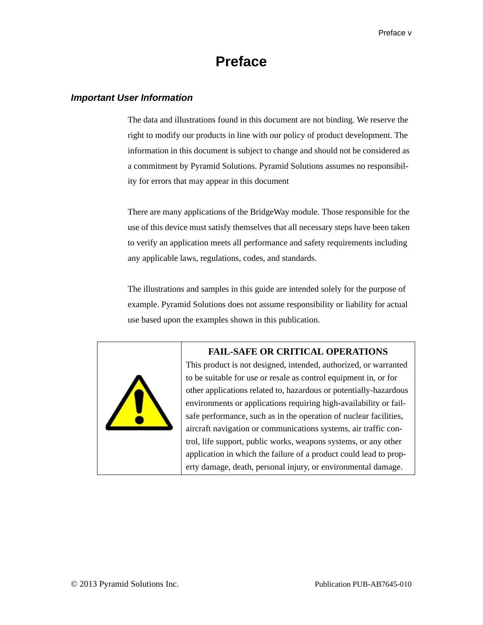### **Preface**

#### <span id="page-5-1"></span><span id="page-5-0"></span>*Important User Information*

The data and illustrations found in this document are not binding. We reserve the right to modify our products in line with our policy of product development. The information in this document is subject to change and should not be considered as a commitment by Pyramid Solutions. Pyramid Solutions assumes no responsibility for errors that may appear in this document

There are many applications of the BridgeWay module. Those responsible for the use of this device must satisfy themselves that all necessary steps have been taken to verify an application meets all performance and safety requirements including any applicable laws, regulations, codes, and standards.

The illustrations and samples in this guide are intended solely for the purpose of example. Pyramid Solutions does not assume responsibility or liability for actual use based upon the examples shown in this publication.



#### **FAIL-SAFE OR CRITICAL OPERATIONS**

This product is not designed, intended, authorized, or warranted to be suitable for use or resale as control equipment in, or for other applications related to, hazardous or potentially-hazardous environments or applications requiring high-availability or failsafe performance, such as in the operation of nuclear facilities, aircraft navigation or communications systems, air traffic control, life support, public works, weapons systems, or any other application in which the failure of a product could lead to property damage, death, personal injury, or environmental damage.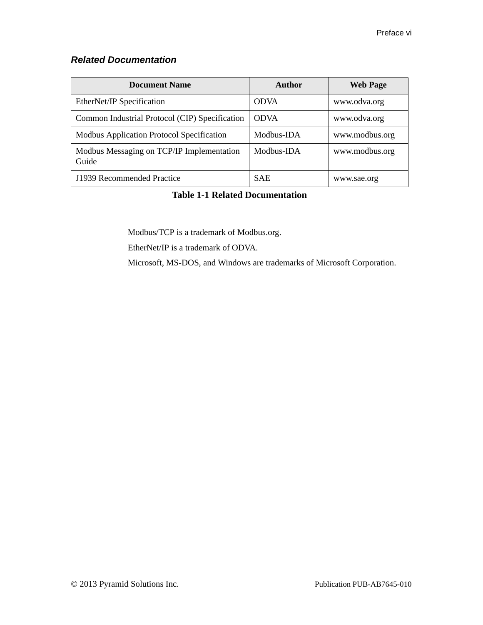#### <span id="page-6-0"></span>*Related Documentation*

| <b>Document Name</b>                               | <b>Author</b> | <b>Web Page</b> |
|----------------------------------------------------|---------------|-----------------|
| EtherNet/IP Specification                          | <b>ODVA</b>   | www.odva.org    |
| Common Industrial Protocol (CIP) Specification     | <b>ODVA</b>   | www.odva.org    |
| Modbus Application Protocol Specification          | Modbus-IDA    | www.modbus.org  |
| Modbus Messaging on TCP/IP Implementation<br>Guide | Modbus-IDA    | www.modbus.org  |
| J1939 Recommended Practice                         | <b>SAE</b>    | www.sae.org     |

#### **Table 1-1 Related Documentation**

Modbus/TCP is a trademark of Modbus.org.

EtherNet/IP is a trademark of ODVA.

<span id="page-6-1"></span>Microsoft, MS-DOS, and Windows are trademarks of Microsoft Corporation.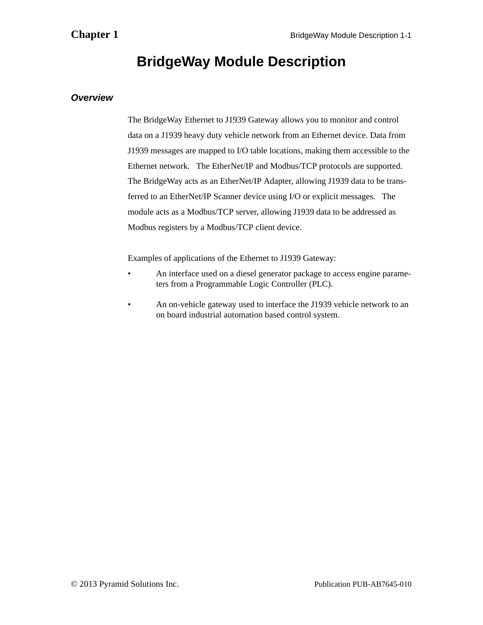### **BridgeWay Module Description**

#### <span id="page-7-1"></span><span id="page-7-0"></span>*Overview*

The BridgeWay Ethernet to J1939 Gateway allows you to monitor and control data on a J1939 heavy duty vehicle network from an Ethernet device. Data from J1939 messages are mapped to I/O table locations, making them accessible to the Ethernet network. The EtherNet/IP and Modbus/TCP protocols are supported. The BridgeWay acts as an EtherNet/IP Adapter, allowing J1939 data to be transferred to an EtherNet/IP Scanner device using I/O or explicit messages. The module acts as a Modbus/TCP server, allowing J1939 data to be addressed as Modbus registers by a Modbus/TCP client device.

Examples of applications of the Ethernet to J1939 Gateway:

- An interface used on a diesel generator package to access engine parameters from a Programmable Logic Controller (PLC).
- An on-vehicle gateway used to interface the J1939 vehicle network to an on board industrial automation based control system.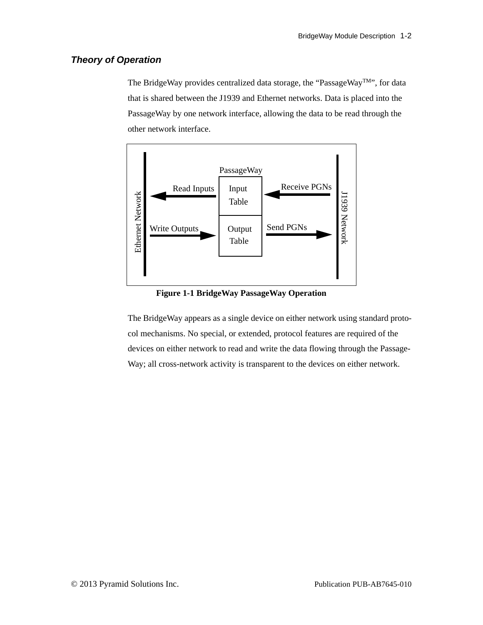#### <span id="page-8-0"></span>*Theory of Operation*

The BridgeWay provides centralized data storage, the "PassageWay<sup>TM</sup>", for data that is shared between the J1939 and Ethernet networks. Data is placed into the PassageWay by one network interface, allowing the data to be read through the other network interface.



**Figure 1-1 BridgeWay PassageWay Operation**

The BridgeWay appears as a single device on either network using standard protocol mechanisms. No special, or extended, protocol features are required of the devices on either network to read and write the data flowing through the Passage-Way; all cross-network activity is transparent to the devices on either network.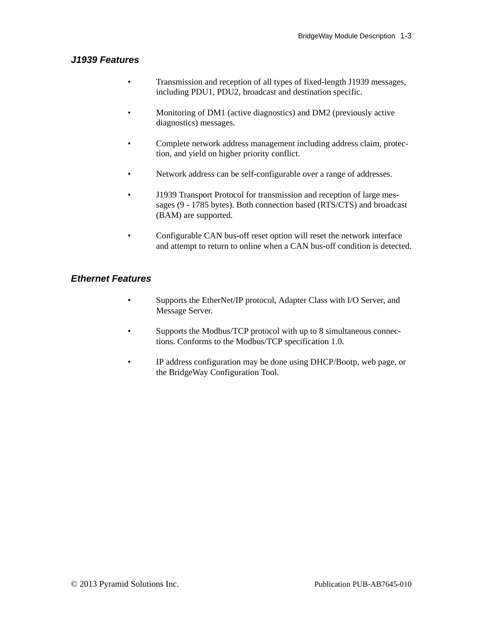#### <span id="page-9-0"></span>*J1939 Features*

- Transmission and reception of all types of fixed-length J1939 messages, including PDU1, PDU2, broadcast and destination specific.
- Monitoring of DM1 (active diagnostics) and DM2 (previously active diagnostics) messages.
- Complete network address management including address claim, protection, and yield on higher priority conflict.
- Network address can be self-configurable over a range of addresses.
- J1939 Transport Protocol for transmission and reception of large messages (9 - 1785 bytes). Both connection based (RTS/CTS) and broadcast (BAM) are supported.
- Configurable CAN bus-off reset option will reset the network interface and attempt to return to online when a CAN bus-off condition is detected.

#### <span id="page-9-1"></span>*Ethernet Features*

- Supports the EtherNet/IP protocol, Adapter Class with I/O Server, and Message Server.
- Supports the Modbus/TCP protocol with up to 8 simultaneous connections. Conforms to the Modbus/TCP specification 1.0.
- IP address configuration may be done using DHCP/Bootp, web page, or the BridgeWay Configuration Tool.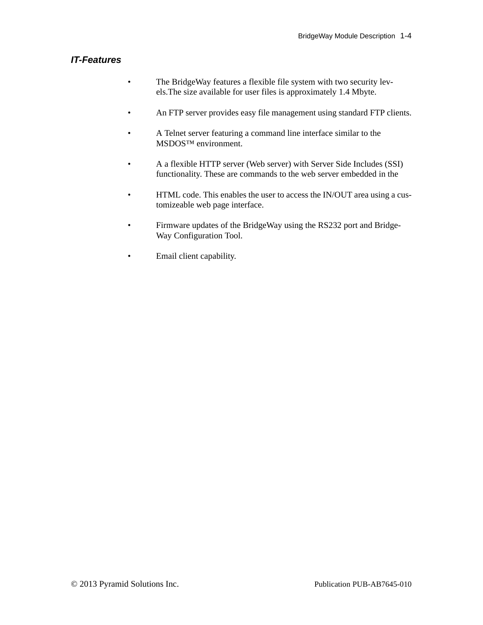#### <span id="page-10-0"></span>*IT-Features*

- The BridgeWay features a flexible file system with two security levels.The size available for user files is approximately 1.4 Mbyte.
- An FTP server provides easy file management using standard FTP clients.
- A Telnet server featuring a command line interface similar to the MSDOS™ environment.
- A a flexible HTTP server (Web server) with Server Side Includes (SSI) functionality. These are commands to the web server embedded in the
- HTML code. This enables the user to access the IN/OUT area using a customizeable web page interface.
- Firmware updates of the BridgeWay using the RS232 port and Bridge-Way Configuration Tool.
- Email client capability.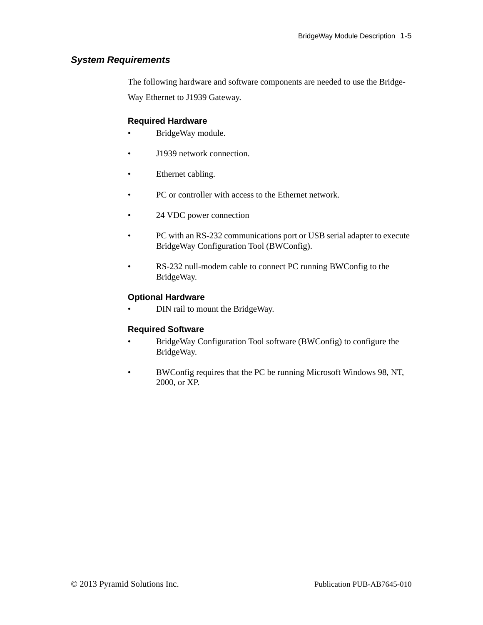#### <span id="page-11-0"></span>*System Requirements*

The following hardware and software components are needed to use the Bridge-

Way Ethernet to J1939 Gateway.

#### **Required Hardware**

- BridgeWay module.
- J1939 network connection.
- Ethernet cabling.
- PC or controller with access to the Ethernet network.
- 24 VDC power connection
- PC with an RS-232 communications port or USB serial adapter to execute BridgeWay Configuration Tool (BWConfig).
- RS-232 null-modem cable to connect PC running BWConfig to the BridgeWay.

#### **Optional Hardware**

• DIN rail to mount the BridgeWay.

#### **Required Software**

- BridgeWay Configuration Tool software (BWConfig) to configure the BridgeWay.
- BWConfig requires that the PC be running Microsoft Windows 98, NT, 2000, or XP.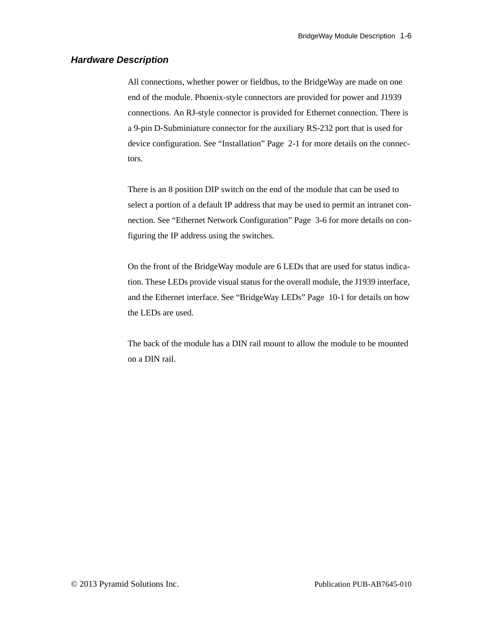#### <span id="page-12-0"></span>*Hardware Description*

All connections, whether power or fieldbus, to the BridgeWay are made on one end of the module. Phoenix-style connectors are provided for power and J1939 connections. An RJ-style connector is provided for Ethernet connection. There is a 9-pin D-Subminiature connector for the auxiliary RS-232 port that is used for device configuration. See "Installation" Page 2-1 for more details on the connectors.

There is an 8 position DIP switch on the end of the module that can be used to select a portion of a default IP address that may be used to permit an intranet connection. See "Ethernet Network Configuration" Page 3-6 for more details on configuring the IP address using the switches.

On the front of the BridgeWay module are 6 LEDs that are used for status indication. These LEDs provide visual status for the overall module, the J1939 interface, and the Ethernet interface. See "BridgeWay LEDs" Page 10-1 for details on how the LEDs are used.

The back of the module has a DIN rail mount to allow the module to be mounted on a DIN rail.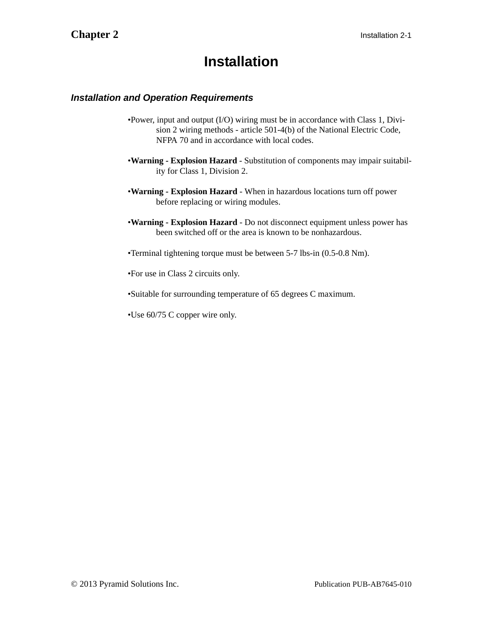### **Installation**

#### <span id="page-13-1"></span><span id="page-13-0"></span>*Installation and Operation Requirements*

- •Power, input and output (I/O) wiring must be in accordance with Class 1, Division 2 wiring methods - article 501-4(b) of the National Electric Code, NFPA 70 and in accordance with local codes.
- •**Warning Explosion Hazard** Substitution of components may impair suitability for Class 1, Division 2.
- •**Warning Explosion Hazard** When in hazardous locations turn off power before replacing or wiring modules.
- •**Warning Explosion Hazard** Do not disconnect equipment unless power has been switched off or the area is known to be nonhazardous.
- •Terminal tightening torque must be between 5-7 lbs-in (0.5-0.8 Nm).
- •For use in Class 2 circuits only.
- •Suitable for surrounding temperature of 65 degrees C maximum.
- •Use 60/75 C copper wire only.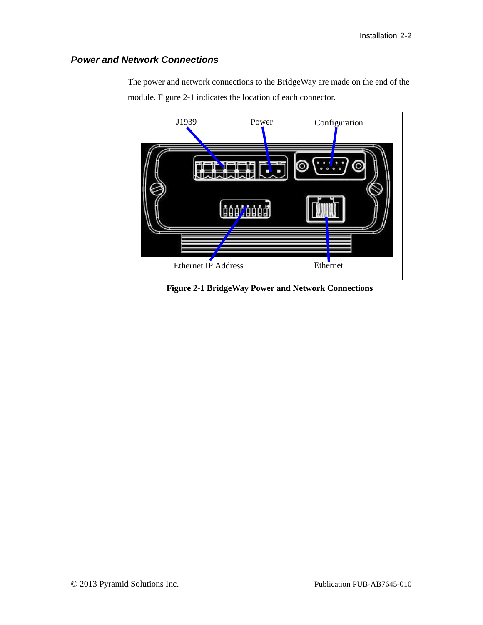#### <span id="page-14-0"></span>*Power and Network Connections*



The power and network connections to the BridgeWay are made on the end of the module. [Figure 2-1](#page-14-1) indicates the location of each connector.

<span id="page-14-1"></span>**Figure 2-1 BridgeWay Power and Network Connections**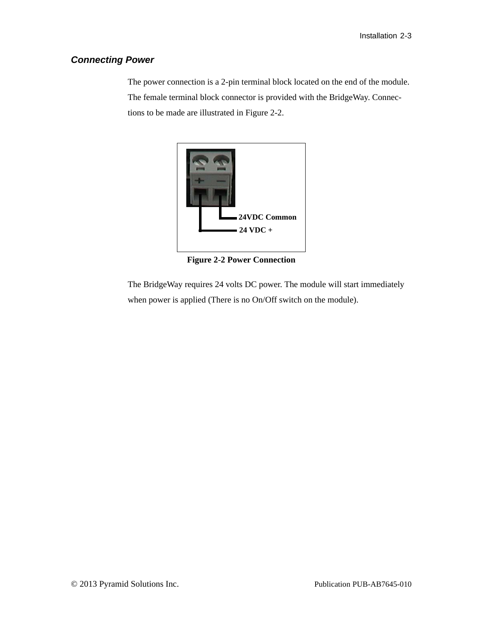#### <span id="page-15-0"></span>*Connecting Power*

The power connection is a 2-pin terminal block located on the end of the module. The female terminal block connector is provided with the BridgeWay. Connections to be made are illustrated in [Figure 2-2](#page-15-1).



**Figure 2-2 Power Connection**

<span id="page-15-1"></span>The BridgeWay requires 24 volts DC power. The module will start immediately when power is applied (There is no On/Off switch on the module).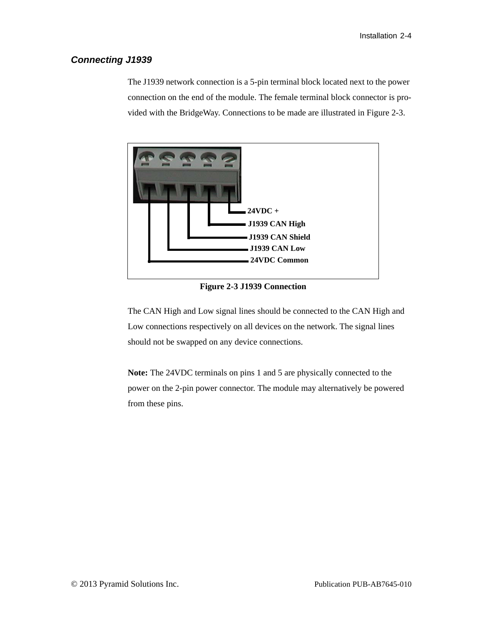#### <span id="page-16-0"></span>*Connecting J1939*

The J1939 network connection is a 5-pin terminal block located next to the power connection on the end of the module. The female terminal block connector is provided with the BridgeWay. Connections to be made are illustrated in [Figure 2-3](#page-16-1).



**Figure 2-3 J1939 Connection**

<span id="page-16-1"></span>The CAN High and Low signal lines should be connected to the CAN High and Low connections respectively on all devices on the network. The signal lines should not be swapped on any device connections.

**Note:** The 24VDC terminals on pins 1 and 5 are physically connected to the power on the 2-pin power connector. The module may alternatively be powered from these pins.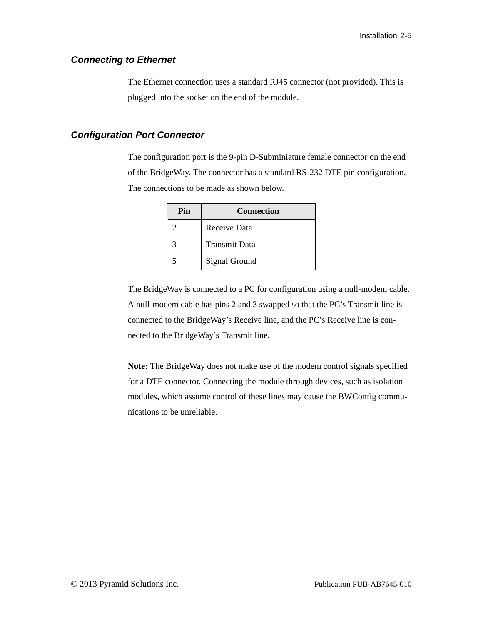#### <span id="page-17-0"></span>*Connecting to Ethernet*

The Ethernet connection uses a standard RJ45 connector (not provided). This is plugged into the socket on the end of the module.

#### <span id="page-17-1"></span>*Configuration Port Connector*

The configuration port is the 9-pin D-Subminiature female connector on the end of the BridgeWay. The connector has a standard RS-232 DTE pin configuration. The connections to be made as shown below.

| Pin | <b>Connection</b>    |
|-----|----------------------|
|     | Receive Data         |
|     | <b>Transmit Data</b> |
|     | Signal Ground        |

The BridgeWay is connected to a PC for configuration using a null-modem cable. A null-modem cable has pins 2 and 3 swapped so that the PC's Transmit line is connected to the BridgeWay's Receive line, and the PC's Receive line is connected to the BridgeWay's Transmit line.

**Note:** The BridgeWay does not make use of the modem control signals specified for a DTE connector. Connecting the module through devices, such as isolation modules, which assume control of these lines may cause the BWConfig communications to be unreliable.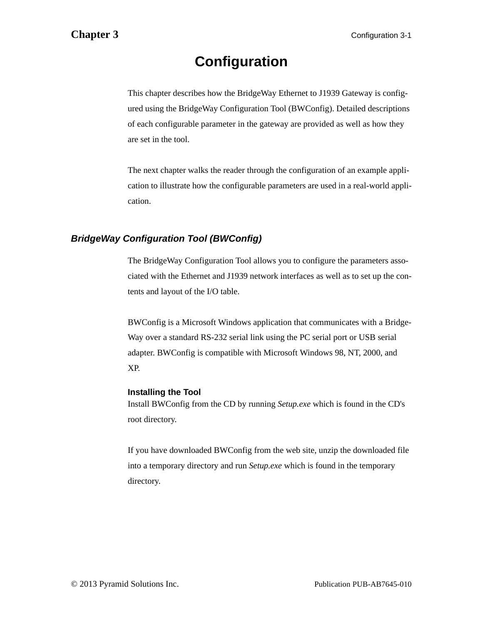## **Configuration**

<span id="page-18-0"></span>This chapter describes how the BridgeWay Ethernet to J1939 Gateway is configured using the BridgeWay Configuration Tool (BWConfig). Detailed descriptions of each configurable parameter in the gateway are provided as well as how they are set in the tool.

The next chapter walks the reader through the configuration of an example application to illustrate how the configurable parameters are used in a real-world application.

#### <span id="page-18-1"></span>*BridgeWay Configuration Tool (BWConfig)*

The BridgeWay Configuration Tool allows you to configure the parameters associated with the Ethernet and J1939 network interfaces as well as to set up the contents and layout of the I/O table.

BWConfig is a Microsoft Windows application that communicates with a Bridge-Way over a standard RS-232 serial link using the PC serial port or USB serial adapter. BWConfig is compatible with Microsoft Windows 98, NT, 2000, and XP.

#### **Installing the Tool**

Install BWConfig from the CD by running *Setup.exe* which is found in the CD's root directory.

If you have downloaded BWConfig from the web site, unzip the downloaded file into a temporary directory and run *Setup.exe* which is found in the temporary directory.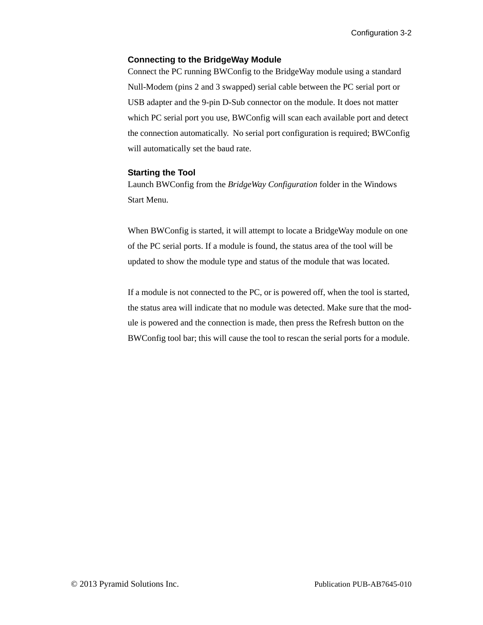#### **Connecting to the BridgeWay Module**

Connect the PC running BWConfig to the BridgeWay module using a standard Null-Modem (pins 2 and 3 swapped) serial cable between the PC serial port or USB adapter and the 9-pin D-Sub connector on the module. It does not matter which PC serial port you use, BWConfig will scan each available port and detect the connection automatically. No serial port configuration is required; BWConfig will automatically set the baud rate.

#### **Starting the Tool**

Launch BWConfig from the *BridgeWay Configuration* folder in the Windows Start Menu.

When BWConfig is started, it will attempt to locate a BridgeWay module on one of the PC serial ports. If a module is found, the status area of the tool will be updated to show the module type and status of the module that was located.

If a module is not connected to the PC, or is powered off, when the tool is started, the status area will indicate that no module was detected. Make sure that the module is powered and the connection is made, then press the Refresh button on the BWConfig tool bar; this will cause the tool to rescan the serial ports for a module.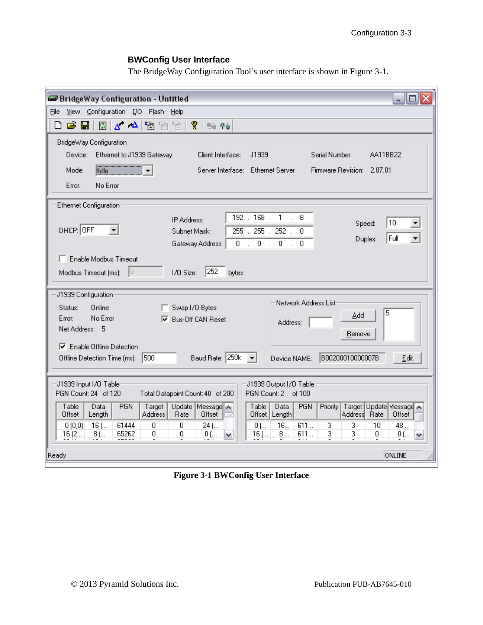### **BWConfig User Interface**

The BridgeWay Configuration Tool's user interface is shown in [Figure 3-1](#page-20-0).

| <b>BridgeWay Configuration - Untitled</b><br>ا کار د                                                                                                                                                                                              |
|---------------------------------------------------------------------------------------------------------------------------------------------------------------------------------------------------------------------------------------------------|
| Eile<br>View Configuration I/O Flash<br>Help                                                                                                                                                                                                      |
| q<br>c H<br>$\Delta = \Delta$<br>▯<br>闛<br>y yn<br>ħ<br><b>69 Po</b>                                                                                                                                                                              |
| BridgeWay Configuration:                                                                                                                                                                                                                          |
| Device: I<br>Ethernet to J1939 Gateway<br>J1939<br>Serial Number:<br>AA11BB22<br>Client Interface:                                                                                                                                                |
| de<br>Server Interface: Ethernet Server<br>Firmware Revision: 2.07.01<br>Mode:                                                                                                                                                                    |
| No Error<br>Error:                                                                                                                                                                                                                                |
| <b>Ethernet Configuration</b>                                                                                                                                                                                                                     |
| $192$ . $168$ .<br>$1$ .<br>8<br>IP Address:<br>10<br>▼<br>Speed:<br>DHCP: OFF<br>$255$ .<br>Subnet Mask:<br>$255$ .<br>$252$ .<br>n.<br>Full<br>$\overline{\phantom{a}}$<br>Duplex:<br>$0 \t . \t 0 \t . \t 0 \t .$<br>0.<br>Gateway Address:    |
| Enable Modbus Timeout                                                                                                                                                                                                                             |
| 252<br>ю<br>I/O Size:<br>Modbus Timeout (ms):<br>bytes                                                                                                                                                                                            |
| J1939 Configuration                                                                                                                                                                                                                               |
| Network Address List<br>Online<br>Status:<br>Swap I/O Bytes<br>5                                                                                                                                                                                  |
| Add<br>No Error<br>Error:<br><b>Bus-Off CAN Reset</b><br>⊽<br>Address:                                                                                                                                                                            |
| Net Address: 5<br>Remove                                                                                                                                                                                                                          |
| $\nabla$ Enable Offline Detection<br>Baud Rate: 250k  <br>B00200010000007B<br>1500<br>Offline Detection Time (ms):<br>Edit<br>Device NAME:                                                                                                        |
| J1939 Input I/O Table:<br>J1939 Output I/O Table<br>PGN Count: 24 of 120<br>PGN Count: 2 of 100<br>Total Datapoint Count: 40 of 200                                                                                                               |
| Update Message <sup>T</sup><br>Target Update Message<br>Table<br>Data<br><b>PGN</b><br>Table<br>Data<br><b>PGN</b><br>Priority<br>Target<br>Address<br>Offset<br><b>Address</b><br>Offset<br>Length<br>Rate<br>Offset   Length <br>Rate<br>Offset |
| $16$ [<br>0<br>$\overline{0}$<br>16<br>611<br>3<br>3<br>0(0,0)<br>61444<br>$24$ (<br>10<br>48<br>$0$ [<br>0<br>3<br>3<br>0<br>65262<br>0<br>8<br>611<br>16(2<br>$0$ (<br>$16$ (<br>$0$ (<br>8 (<br>٧<br>v                                         |
| ONLINE<br>Ready                                                                                                                                                                                                                                   |

<span id="page-20-0"></span>**Figure 3-1 BWConfig User Interface**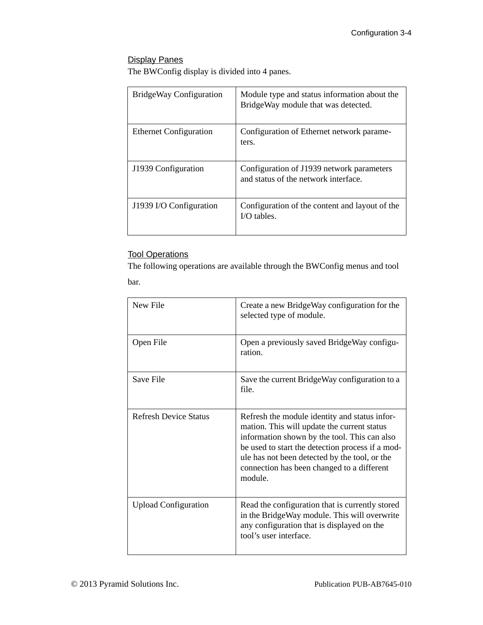#### Display Panes

The BWConfig display is divided into 4 panes.

| BridgeWay Configuration       | Module type and status information about the<br>BridgeWay module that was detected. |
|-------------------------------|-------------------------------------------------------------------------------------|
| <b>Ethernet Configuration</b> | Configuration of Ethernet network parame-<br>ters.                                  |
| J1939 Configuration           | Configuration of J1939 network parameters<br>and status of the network interface.   |
| J1939 I/O Configuration       | Configuration of the content and layout of the<br>$I/O$ tables.                     |

#### Tool Operations

The following operations are available through the BWConfig menus and tool bar.

| New File                     | Create a new BridgeWay configuration for the<br>selected type of module.                                                                                                                                                                                                                                   |
|------------------------------|------------------------------------------------------------------------------------------------------------------------------------------------------------------------------------------------------------------------------------------------------------------------------------------------------------|
| Open File                    | Open a previously saved BridgeWay configu-<br>ration.                                                                                                                                                                                                                                                      |
| Save File                    | Save the current BridgeWay configuration to a<br>file.                                                                                                                                                                                                                                                     |
| <b>Refresh Device Status</b> | Refresh the module identity and status infor-<br>mation. This will update the current status<br>information shown by the tool. This can also<br>be used to start the detection process if a mod-<br>ule has not been detected by the tool, or the<br>connection has been changed to a different<br>module. |
| <b>Upload Configuration</b>  | Read the configuration that is currently stored<br>in the BridgeWay module. This will overwrite<br>any configuration that is displayed on the<br>tool's user interface.                                                                                                                                    |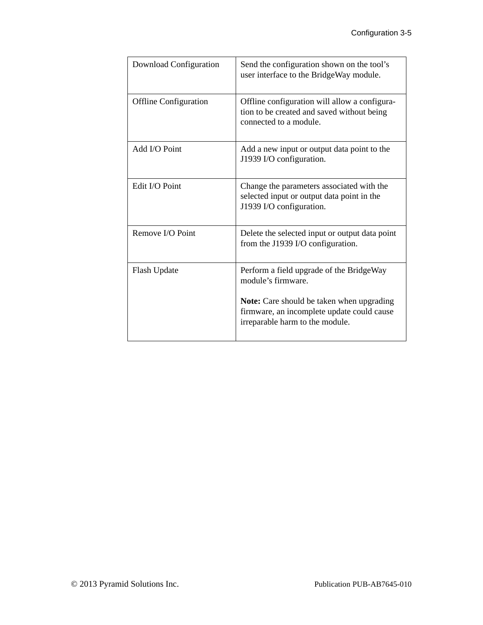| Download Configuration       | Send the configuration shown on the tool's<br>user interface to the BridgeWay module.                                                                                                               |
|------------------------------|-----------------------------------------------------------------------------------------------------------------------------------------------------------------------------------------------------|
| <b>Offline Configuration</b> | Offline configuration will allow a configura-<br>tion to be created and saved without being<br>connected to a module.                                                                               |
| Add I/O Point                | Add a new input or output data point to the<br>J1939 I/O configuration.                                                                                                                             |
| Edit I/O Point               | Change the parameters associated with the<br>selected input or output data point in the<br>J1939 I/O configuration.                                                                                 |
| Remove I/O Point             | Delete the selected input or output data point<br>from the J1939 I/O configuration.                                                                                                                 |
| Flash Update                 | Perform a field upgrade of the BridgeWay<br>module's firmware.<br><b>Note:</b> Care should be taken when upgrading<br>firmware, an incomplete update could cause<br>irreparable harm to the module. |
|                              |                                                                                                                                                                                                     |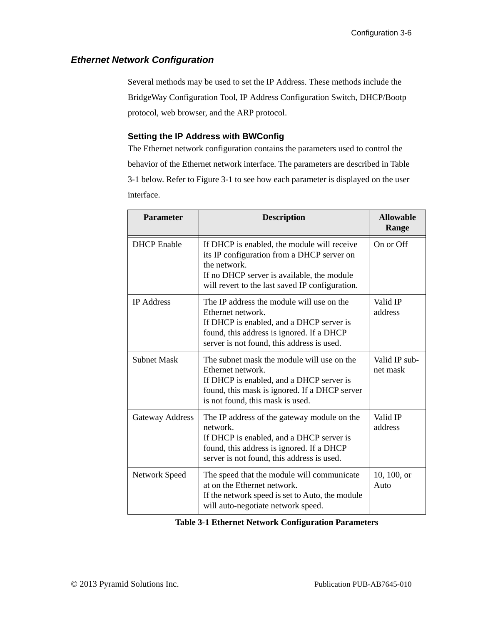#### <span id="page-23-0"></span>*Ethernet Network Configuration*

Several methods may be used to set the IP Address. These methods include the BridgeWay Configuration Tool, IP Address Configuration Switch, DHCP/Bootp protocol, web browser, and the ARP protocol.

#### **Setting the IP Address with BWConfig**

The Ethernet network configuration contains the parameters used to control the behavior of the Ethernet network interface. The parameters are described in [Table](#page-23-1)  [3-1](#page-23-1) below. Refer to [Figure 3-1](#page-20-0) to see how each parameter is displayed on the user interface.

| <b>Parameter</b>   | <b>Description</b>                                                                                                                                                                                         | <b>Allowable</b><br>Range |
|--------------------|------------------------------------------------------------------------------------------------------------------------------------------------------------------------------------------------------------|---------------------------|
| <b>DHCP</b> Enable | If DHCP is enabled, the module will receive<br>its IP configuration from a DHCP server on<br>the network.<br>If no DHCP server is available, the module<br>will revert to the last saved IP configuration. | On or Off                 |
| <b>IP</b> Address  | The IP address the module will use on the<br>Ethernet network.<br>If DHCP is enabled, and a DHCP server is<br>found, this address is ignored. If a DHCP<br>server is not found, this address is used.      | Valid IP<br>address       |
| <b>Subnet Mask</b> | The subnet mask the module will use on the<br>Ethernet network.<br>If DHCP is enabled, and a DHCP server is<br>found, this mask is ignored. If a DHCP server<br>is not found, this mask is used.           | Valid IP sub-<br>net mask |
| Gateway Address    | The IP address of the gateway module on the<br>network.<br>If DHCP is enabled, and a DHCP server is<br>found, this address is ignored. If a DHCP<br>server is not found, this address is used.             | Valid IP<br>address       |
| Network Speed      | The speed that the module will communicate<br>at on the Ethernet network.<br>If the network speed is set to Auto, the module<br>will auto-negotiate network speed.                                         | 10, 100, or<br>Auto       |

<span id="page-23-1"></span>**Table 3-1 Ethernet Network Configuration Parameters**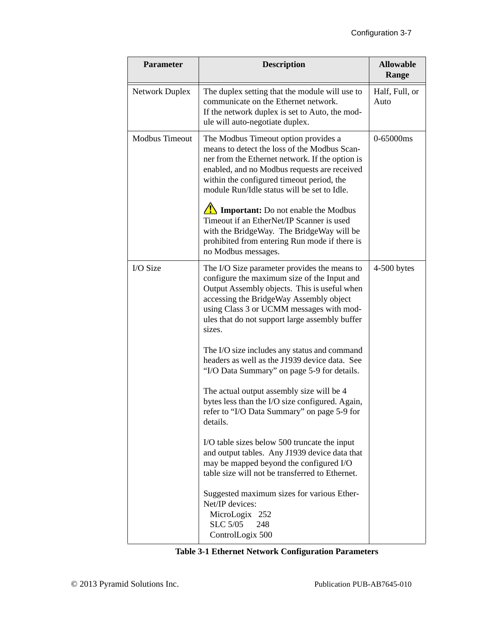| <b>Parameter</b>      | <b>Description</b>                                                                                                                                                                                                                                                                             | <b>Allowable</b><br>Range |
|-----------------------|------------------------------------------------------------------------------------------------------------------------------------------------------------------------------------------------------------------------------------------------------------------------------------------------|---------------------------|
| Network Duplex        | The duplex setting that the module will use to<br>communicate on the Ethernet network.<br>If the network duplex is set to Auto, the mod-<br>ule will auto-negotiate duplex.                                                                                                                    | Half, Full, or<br>Auto    |
| <b>Modbus Timeout</b> | The Modbus Timeout option provides a<br>means to detect the loss of the Modbus Scan-<br>ner from the Ethernet network. If the option is<br>enabled, and no Modbus requests are received<br>within the configured timeout period, the<br>module Run/Idle status will be set to Idle.            | 0-65000ms                 |
|                       | $\sqrt{\frac{1}{2}}$ Important: Do not enable the Modbus<br>Timeout if an EtherNet/IP Scanner is used<br>with the BridgeWay. The BridgeWay will be<br>prohibited from entering Run mode if there is<br>no Modbus messages.                                                                     |                           |
| I/O Size              | The I/O Size parameter provides the means to<br>configure the maximum size of the Input and<br>Output Assembly objects. This is useful when<br>accessing the BridgeWay Assembly object<br>using Class 3 or UCMM messages with mod-<br>ules that do not support large assembly buffer<br>sizes. | $4-500$ bytes             |
|                       | The I/O size includes any status and command<br>headers as well as the J1939 device data. See<br>"I/O Data Summary" on page 5-9 for details.                                                                                                                                                   |                           |
|                       | The actual output assembly size will be 4<br>bytes less than the I/O size configured. Again,<br>refer to "I/O Data Summary" on page 5-9 for<br>details.                                                                                                                                        |                           |
|                       | I/O table sizes below 500 truncate the input<br>and output tables. Any J1939 device data that<br>may be mapped beyond the configured I/O<br>table size will not be transferred to Ethernet.                                                                                                    |                           |
|                       | Suggested maximum sizes for various Ether-<br>Net/IP devices:<br>MicroLogix 252<br><b>SLC 5/05</b><br>248<br>ControlLogix 500                                                                                                                                                                  |                           |

|  | <b>Table 3-1 Ethernet Network Configuration Parameters</b> |
|--|------------------------------------------------------------|
|--|------------------------------------------------------------|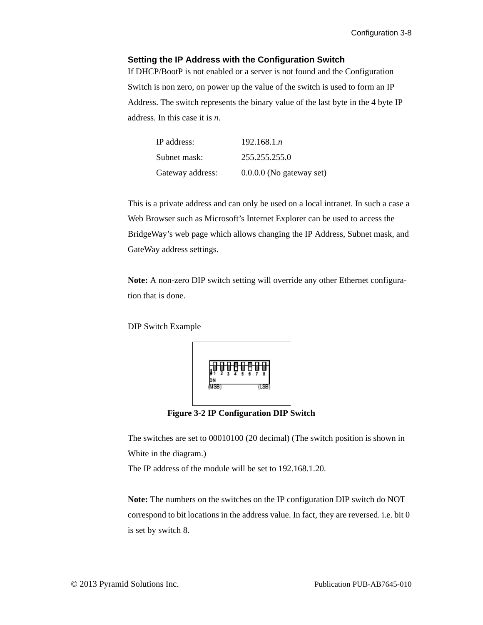#### **Setting the IP Address with the Configuration Switch**

If DHCP/BootP is not enabled or a server is not found and the Configuration Switch is non zero, on power up the value of the switch is used to form an IP Address. The switch represents the binary value of the last byte in the 4 byte IP address. In this case it is *n*.

| IP address:      | 192.168.1n                 |
|------------------|----------------------------|
| Subnet mask:     | 255.255.255.0              |
| Gateway address: | $0.0.0.0$ (No gateway set) |

This is a private address and can only be used on a local intranet. In such a case a Web Browser such as Microsoft's Internet Explorer can be used to access the BridgeWay's web page which allows changing the IP Address, Subnet mask, and GateWay address settings.

**Note:** A non-zero DIP switch setting will override any other Ethernet configuration that is done.

DIP Switch Example



**Figure 3-2 IP Configuration DIP Switch**

The switches are set to 00010100 (20 decimal) (The switch position is shown in White in the diagram.)

The IP address of the module will be set to 192.168.1.20.

**Note:** The numbers on the switches on the IP configuration DIP switch do NOT correspond to bit locations in the address value. In fact, they are reversed. i.e. bit 0 is set by switch 8.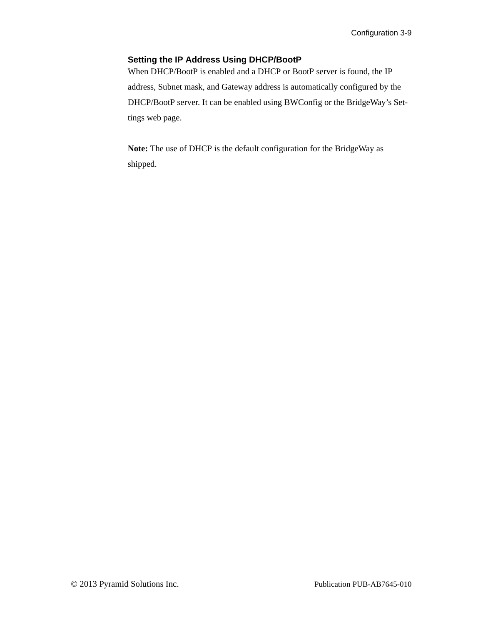#### **Setting the IP Address Using DHCP/BootP**

When DHCP/BootP is enabled and a DHCP or BootP server is found, the IP address, Subnet mask, and Gateway address is automatically configured by the DHCP/BootP server. It can be enabled using BWConfig or the BridgeWay's Settings web page.

**Note:** The use of DHCP is the default configuration for the BridgeWay as shipped.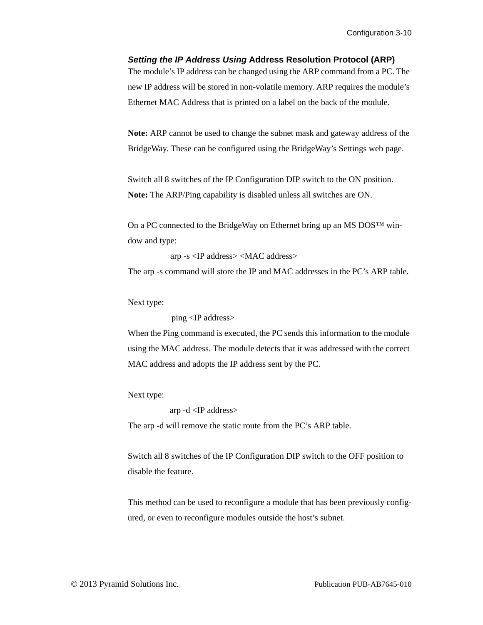#### *Setting the IP Address Using* **Address Resolution Protocol (ARP)**

The module's IP address can be changed using the ARP command from a PC. The new IP address will be stored in non-volatile memory. ARP requires the module's Ethernet MAC Address that is printed on a label on the back of the module.

**Note:** ARP cannot be used to change the subnet mask and gateway address of the BridgeWay. These can be configured using the BridgeWay's Settings web page.

Switch all 8 switches of the IP Configuration DIP switch to the ON position. **Note:** The ARP/Ping capability is disabled unless all switches are ON.

On a PC connected to the BridgeWay on Ethernet bring up an MS DOS™ window and type:

arp -s <IP address> <MAC address>

The arp -s command will store the IP and MAC addresses in the PC's ARP table.

Next type:

ping <IP address>

When the Ping command is executed, the PC sends this information to the module using the MAC address. The module detects that it was addressed with the correct MAC address and adopts the IP address sent by the PC.

Next type:

arp -d <IP address>

The arp -d will remove the static route from the PC's ARP table.

Switch all 8 switches of the IP Configuration DIP switch to the OFF position to disable the feature.

This method can be used to reconfigure a module that has been previously configured, or even to reconfigure modules outside the host's subnet.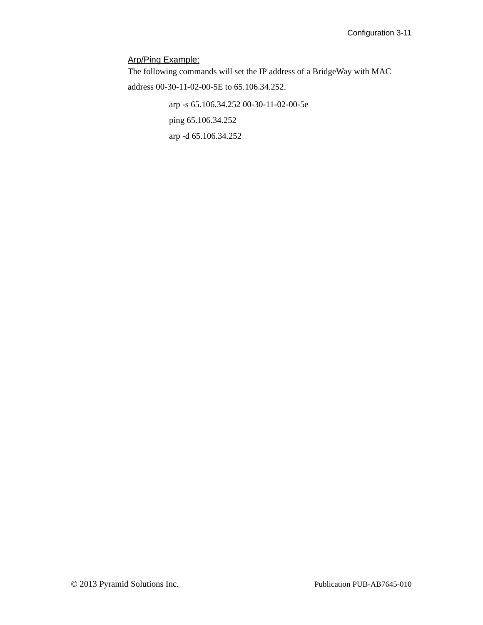#### Arp/Ping Example:

The following commands will set the IP address of a BridgeWay with MAC address 00-30-11-02-00-5E to 65.106.34.252.

> arp -s 65.106.34.252 00-30-11-02-00-5e ping 65.106.34.252 arp -d 65.106.34.252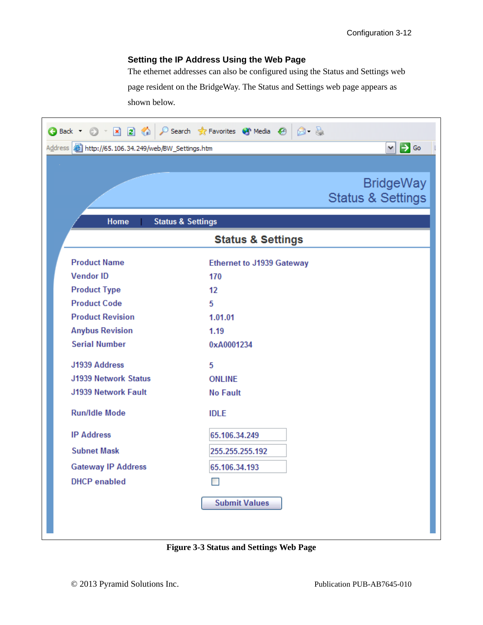#### **Setting the IP Address Using the Web Page**

The ethernet addresses can also be configured using the Status and Settings web page resident on the BridgeWay. The Status and Settings web page appears as shown below.

| $\circledcirc$ x a $\circlearrowright$<br><b>Back T</b>                                  | Search <a> G<br/> Favorites <a> G<br/>Media <a> G<br/> G<br> G<br/> G<br/>earch <a> G<br/> G<br/> <math display="inline">\bullet</math>Media <br/> <a> G<br/> <math display="inline">\bullet</math>Media <br/> <a> G<br/> <math display="inline">\bullet</math><br/><math>\beta - \beta</math></a></a></a></br></a></a></a> |  |  |  |
|------------------------------------------------------------------------------------------|-----------------------------------------------------------------------------------------------------------------------------------------------------------------------------------------------------------------------------------------------------------------------------------------------------------------------------|--|--|--|
| $\vee$ $\Rightarrow$ Go<br>Address <b>&amp; http://65.106.34.249/web/BW_Settings.htm</b> |                                                                                                                                                                                                                                                                                                                             |  |  |  |
|                                                                                          |                                                                                                                                                                                                                                                                                                                             |  |  |  |
|                                                                                          | <b>BridgeWay</b>                                                                                                                                                                                                                                                                                                            |  |  |  |
|                                                                                          | <b>Status &amp; Settings</b>                                                                                                                                                                                                                                                                                                |  |  |  |
|                                                                                          |                                                                                                                                                                                                                                                                                                                             |  |  |  |
| Home                                                                                     | <b>Status &amp; Settings</b>                                                                                                                                                                                                                                                                                                |  |  |  |
|                                                                                          | <b>Status &amp; Settings</b>                                                                                                                                                                                                                                                                                                |  |  |  |
| <b>Product Name</b>                                                                      | <b>Ethernet to J1939 Gateway</b>                                                                                                                                                                                                                                                                                            |  |  |  |
| <b>Vendor ID</b>                                                                         | 170                                                                                                                                                                                                                                                                                                                         |  |  |  |
| <b>Product Type</b>                                                                      | 12                                                                                                                                                                                                                                                                                                                          |  |  |  |
| <b>Product Code</b>                                                                      | 5                                                                                                                                                                                                                                                                                                                           |  |  |  |
| <b>Product Revision</b>                                                                  | 1.01.01                                                                                                                                                                                                                                                                                                                     |  |  |  |
| <b>Anybus Revision</b>                                                                   | 1.19                                                                                                                                                                                                                                                                                                                        |  |  |  |
| <b>Serial Number</b>                                                                     | 0xA0001234                                                                                                                                                                                                                                                                                                                  |  |  |  |
| J1939 Address                                                                            | 5                                                                                                                                                                                                                                                                                                                           |  |  |  |
| <b>J1939 Network Status</b>                                                              | <b>ONLINE</b>                                                                                                                                                                                                                                                                                                               |  |  |  |
| <b>J1939 Network Fault</b>                                                               | <b>No Fault</b>                                                                                                                                                                                                                                                                                                             |  |  |  |
| <b>Run/Idle Mode</b>                                                                     | <b>IDLE</b>                                                                                                                                                                                                                                                                                                                 |  |  |  |
| <b>IP Address</b>                                                                        | 65.106.34.249                                                                                                                                                                                                                                                                                                               |  |  |  |
| <b>Subnet Mask</b>                                                                       | 255.255.255.192                                                                                                                                                                                                                                                                                                             |  |  |  |
| <b>Gateway IP Address</b>                                                                | 65.106.34.193                                                                                                                                                                                                                                                                                                               |  |  |  |
| <b>DHCP</b> enabled                                                                      |                                                                                                                                                                                                                                                                                                                             |  |  |  |
|                                                                                          | <b>Submit Values</b>                                                                                                                                                                                                                                                                                                        |  |  |  |
|                                                                                          |                                                                                                                                                                                                                                                                                                                             |  |  |  |
|                                                                                          |                                                                                                                                                                                                                                                                                                                             |  |  |  |

**Figure 3-3 Status and Settings Web Page**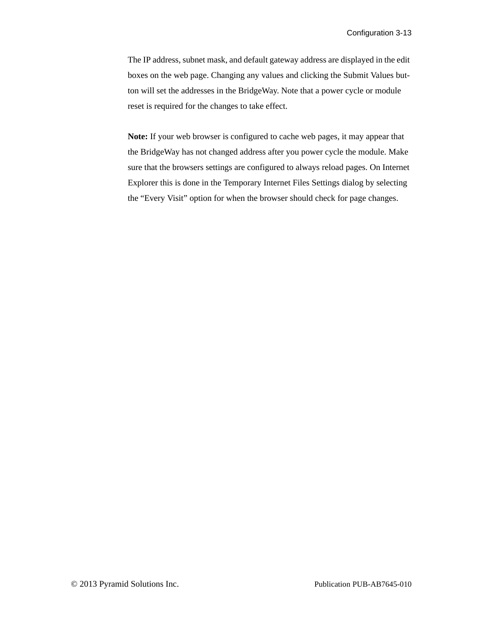The IP address, subnet mask, and default gateway address are displayed in the edit boxes on the web page. Changing any values and clicking the Submit Values button will set the addresses in the BridgeWay. Note that a power cycle or module reset is required for the changes to take effect.

**Note:** If your web browser is configured to cache web pages, it may appear that the BridgeWay has not changed address after you power cycle the module. Make sure that the browsers settings are configured to always reload pages. On Internet Explorer this is done in the Temporary Internet Files Settings dialog by selecting the "Every Visit" option for when the browser should check for page changes.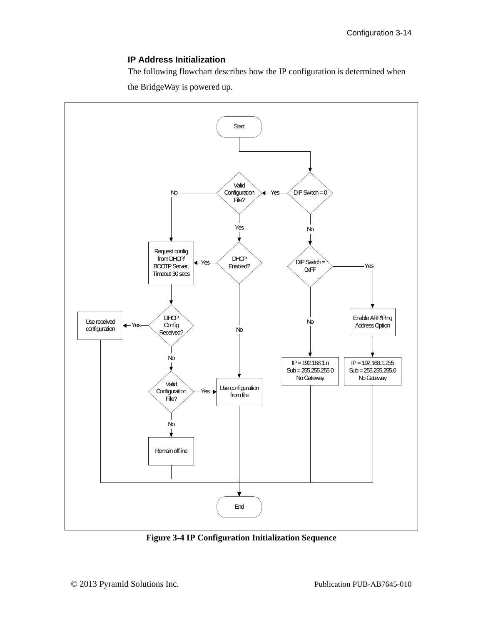#### **IP Address Initialization**

The following flowchart describes how the IP configuration is determined when the BridgeWay is powered up.



**Figure 3-4 IP Configuration Initialization Sequence**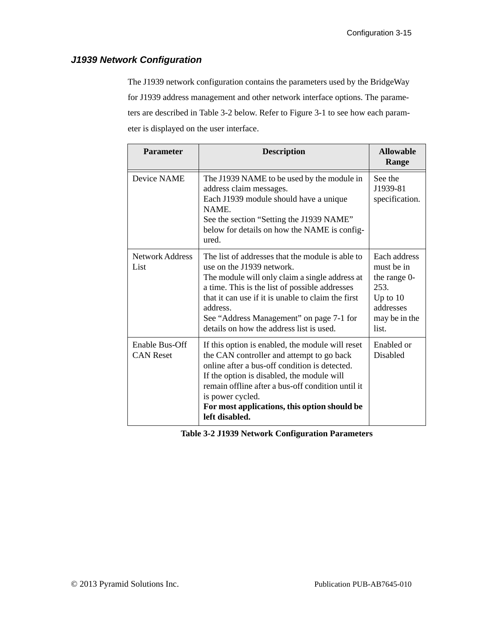#### <span id="page-32-0"></span>*J1939 Network Configuration*

The J1939 network configuration contains the parameters used by the BridgeWay for J1939 address management and other network interface options. The parameters are described in [Table 3-2](#page-32-1) below. Refer to [Figure 3-1](#page-20-0) to see how each parameter is displayed on the user interface.

| <b>Parameter</b>                   | <b>Description</b>                                                                                                                                                                                                                                                                                                                          | <b>Allowable</b><br>Range                                                                               |
|------------------------------------|---------------------------------------------------------------------------------------------------------------------------------------------------------------------------------------------------------------------------------------------------------------------------------------------------------------------------------------------|---------------------------------------------------------------------------------------------------------|
| Device NAME                        | The J1939 NAME to be used by the module in<br>address claim messages.<br>Each J1939 module should have a unique<br>NAME.<br>See the section "Setting the J1939 NAME"<br>below for details on how the NAME is config-<br>ured.                                                                                                               | See the<br>J1939-81<br>specification.                                                                   |
| <b>Network Address</b><br>List     | The list of addresses that the module is able to<br>use on the J1939 network.<br>The module will only claim a single address at<br>a time. This is the list of possible addresses<br>that it can use if it is unable to claim the first<br>address.<br>See "Address Management" on page 7-1 for<br>details on how the address list is used. | Each address<br>must be in<br>the range 0-<br>253.<br>Up to $10$<br>addresses<br>may be in the<br>list. |
| Enable Bus-Off<br><b>CAN Reset</b> | If this option is enabled, the module will reset<br>the CAN controller and attempt to go back<br>online after a bus-off condition is detected.<br>If the option is disabled, the module will<br>remain offline after a bus-off condition until it<br>is power cycled.<br>For most applications, this option should be<br>left disabled.     | Enabled or<br>Disabled                                                                                  |

<span id="page-32-1"></span>**Table 3-2 J1939 Network Configuration Parameters**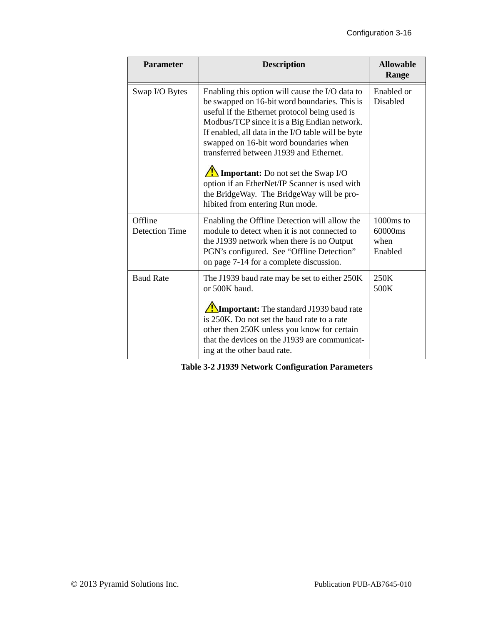| <b>Parameter</b>                 | <b>Description</b>                                                                                                                                                                                                                                                                                                                           | <b>Allowable</b><br>Range                 |
|----------------------------------|----------------------------------------------------------------------------------------------------------------------------------------------------------------------------------------------------------------------------------------------------------------------------------------------------------------------------------------------|-------------------------------------------|
| Swap I/O Bytes                   | Enabling this option will cause the I/O data to<br>be swapped on 16-bit word boundaries. This is<br>useful if the Ethernet protocol being used is<br>Modbus/TCP since it is a Big Endian network.<br>If enabled, all data in the I/O table will be byte<br>swapped on 16-bit word boundaries when<br>transferred between J1939 and Ethernet. | Enabled or<br>Disabled                    |
|                                  | $\sqrt{\frac{1}{2}}$ Important: Do not set the Swap I/O<br>option if an EtherNet/IP Scanner is used with<br>the BridgeWay. The BridgeWay will be pro-<br>hibited from entering Run mode.                                                                                                                                                     |                                           |
| Offline<br><b>Detection Time</b> | Enabling the Offline Detection will allow the<br>module to detect when it is not connected to<br>the J1939 network when there is no Output<br>PGN's configured. See "Offline Detection"<br>on page 7-14 for a complete discussion.                                                                                                           | $1000ms$ to<br>60000ms<br>when<br>Enabled |
| <b>Baud Rate</b>                 | The J1939 baud rate may be set to either 250K<br>or 500K baud.                                                                                                                                                                                                                                                                               | 250K<br>500K                              |
|                                  | <b>Important:</b> The standard J1939 baud rate<br>is 250K. Do not set the baud rate to a rate<br>other then 250K unless you know for certain<br>that the devices on the J1939 are communicat-<br>ing at the other baud rate.                                                                                                                 |                                           |

**Table 3-2 J1939 Network Configuration Parameters**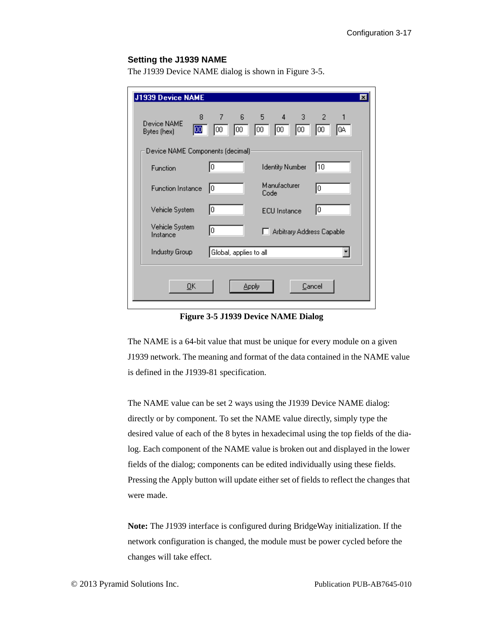#### <span id="page-34-0"></span>**Setting the J1939 NAME**

The J1939 Device NAME dialog is shown in [Figure 3-5.](#page-34-1)

| J1939 Device NAME                               |                                  |                            | $\mathbf{x}$     |  |  |  |
|-------------------------------------------------|----------------------------------|----------------------------|------------------|--|--|--|
| 8<br>Device NAME<br>100<br>Bytes (hex)          | 7<br>65<br>00<br>00              | 4 3 2<br>00<br>100<br>loo. | 1<br>IОO<br>IQA. |  |  |  |
|                                                 | Device NAME Components (decimal) |                            |                  |  |  |  |
| Function                                        | 0                                | <b>Identity Number</b>     | 10               |  |  |  |
| <b>Function Instance</b>                        | 10                               | Manufacturer<br>Code       | I٥               |  |  |  |
| Vehicle System                                  | 10                               | <b>ECU</b> Instance        | 10               |  |  |  |
| Vehicle System<br>Instance                      | 0                                | Arbitrary Address Capable  |                  |  |  |  |
| <b>Industry Group</b><br>Global, applies to all |                                  |                            |                  |  |  |  |
| QK<br>Cancel<br><b>Apply</b>                    |                                  |                            |                  |  |  |  |

**Figure 3-5 J1939 Device NAME Dialog**

<span id="page-34-1"></span>The NAME is a 64-bit value that must be unique for every module on a given J1939 network. The meaning and format of the data contained in the NAME value is defined in the J1939-81 specification.

The NAME value can be set 2 ways using the J1939 Device NAME dialog: directly or by component. To set the NAME value directly, simply type the desired value of each of the 8 bytes in hexadecimal using the top fields of the dialog. Each component of the NAME value is broken out and displayed in the lower fields of the dialog; components can be edited individually using these fields. Pressing the Apply button will update either set of fields to reflect the changes that were made.

**Note:** The J1939 interface is configured during BridgeWay initialization. If the network configuration is changed, the module must be power cycled before the changes will take effect.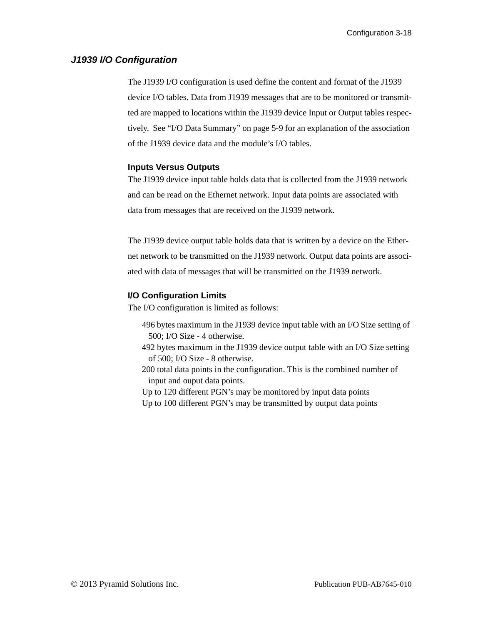#### <span id="page-35-0"></span>*J1939 I/O Configuration*

The J1939 I/O configuration is used define the content and format of the J1939 device I/O tables. Data from J1939 messages that are to be monitored or transmitted are mapped to locations within the J1939 device Input or Output tables respectively. See ["I/O Data Summary" on page](#page-60-1) 5-9 for an explanation of the association of the J1939 device data and the module's I/O tables.

#### **Inputs Versus Outputs**

The J1939 device input table holds data that is collected from the J1939 network and can be read on the Ethernet network. Input data points are associated with data from messages that are received on the J1939 network.

The J1939 device output table holds data that is written by a device on the Ethernet network to be transmitted on the J1939 network. Output data points are associated with data of messages that will be transmitted on the J1939 network.

#### **I/O Configuration Limits**

The I/O configuration is limited as follows:

- 496 bytes maximum in the J1939 device input table with an I/O Size setting of 500; I/O Size - 4 otherwise.
- 492 bytes maximum in the J1939 device output table with an I/O Size setting of 500; I/O Size - 8 otherwise.
- 200 total data points in the configuration. This is the combined number of input and ouput data points.
- Up to 120 different PGN's may be monitored by input data points
- Up to 100 different PGN's may be transmitted by output data points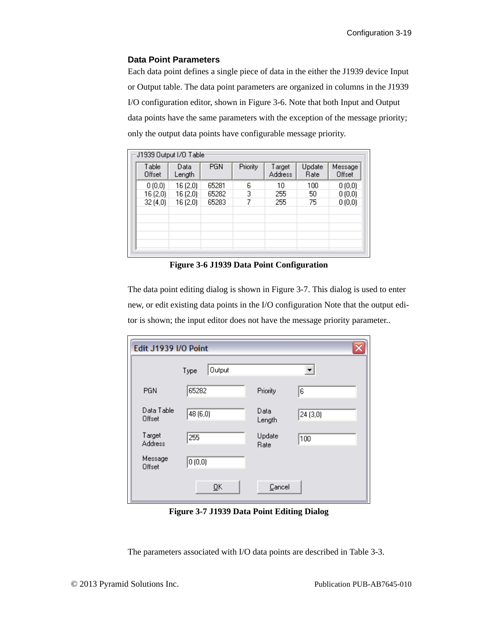#### **Data Point Parameters**

Each data point defines a single piece of data in the either the J1939 device Input or Output table. The data point parameters are organized in columns in the J1939 I/O configuration editor, shown in [Figure 3-6.](#page-36-0) Note that both Input and Output data points have the same parameters with the exception of the message priority; only the output data points have configurable message priority.

|                                    | <b>Address</b> | Rate | Message<br>Offset |
|------------------------------------|----------------|------|-------------------|
| 65281<br>16 (2,0)<br>6<br>0(0,0)   | 10             | 100  | 0(0,0)            |
| з<br>65282<br>16 (2,0)<br>16 (2,0) | 255            | 50   | 0(0,0)            |
| 7<br>65283<br>32(4,0)<br>16 (2,0)  | 255            | 75   | 0(0,0)            |
|                                    |                |      |                   |
|                                    |                |      |                   |
|                                    |                |      |                   |
|                                    |                |      |                   |

**Figure 3-6 J1939 Data Point Configuration**

<span id="page-36-0"></span>The data point editing dialog is shown in [Figure 3-7.](#page-36-1) This dialog is used to enter new, or edit existing data points in the I/O configuration Note that the output editor is shown; the input editor does not have the message priority parameter..

| <b>Edit J1939 I/O Point</b> |                |                |                      |
|-----------------------------|----------------|----------------|----------------------|
|                             | Output<br>Type |                | $\blacktriangledown$ |
| PGN                         | 65282          | Priority       | 6                    |
| Data Table<br>Offset        | 48 (6,0)       | Data<br>Length | 24(3,0)              |
| Target<br><b>Address</b>    | 255            | Update<br>Rate | 100                  |
| Message<br>Offset           | 0(0,0)         |                |                      |
|                             | QK             | Cancel         |                      |

**Figure 3-7 J1939 Data Point Editing Dialog**

<span id="page-36-1"></span>The parameters associated with I/O data points are described in [Table 3-3.](#page-37-0)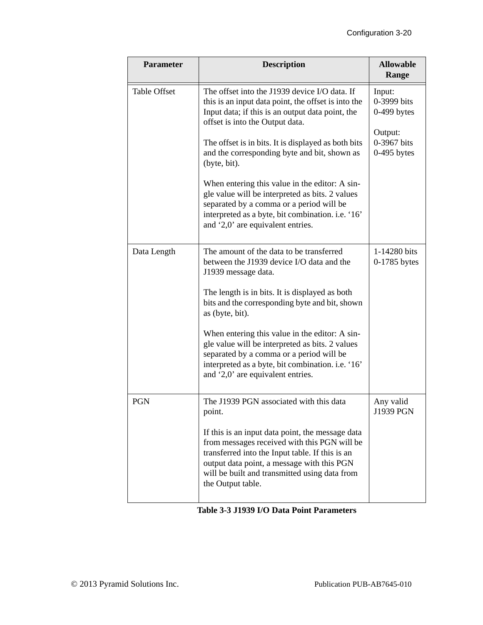| <b>Parameter</b>    | <b>Description</b>                                                                                                                                                                                                                                                                                                                                                                                                                                                                                                                                            | <b>Allowable</b><br>Range                                                         |
|---------------------|---------------------------------------------------------------------------------------------------------------------------------------------------------------------------------------------------------------------------------------------------------------------------------------------------------------------------------------------------------------------------------------------------------------------------------------------------------------------------------------------------------------------------------------------------------------|-----------------------------------------------------------------------------------|
| <b>Table Offset</b> | The offset into the J1939 device I/O data. If<br>this is an input data point, the offset is into the<br>Input data; if this is an output data point, the<br>offset is into the Output data.<br>The offset is in bits. It is displayed as both bits<br>and the corresponding byte and bit, shown as<br>(byte, bit).<br>When entering this value in the editor: A sin-<br>gle value will be interpreted as bits. 2 values<br>separated by a comma or a period will be<br>interpreted as a byte, bit combination. i.e. '16'<br>and '2,0' are equivalent entries. | Input:<br>0-3999 bits<br>$0-499$ bytes<br>Output:<br>0-3967 bits<br>$0-495$ bytes |
| Data Length         | The amount of the data to be transferred<br>between the J1939 device I/O data and the<br>J1939 message data.<br>The length is in bits. It is displayed as both<br>bits and the corresponding byte and bit, shown<br>as (byte, bit).<br>When entering this value in the editor: A sin-<br>gle value will be interpreted as bits. 2 values<br>separated by a comma or a period will be<br>interpreted as a byte, bit combination. i.e. '16'<br>and '2,0' are equivalent entries.                                                                                | 1-14280 bits<br>$0-1785$ bytes                                                    |
| <b>PGN</b>          | The J1939 PGN associated with this data<br>point.<br>If this is an input data point, the message data<br>from messages received with this PGN will be<br>transferred into the Input table. If this is an<br>output data point, a message with this PGN<br>will be built and transmitted using data from<br>the Output table.                                                                                                                                                                                                                                  | Any valid<br>J1939 PGN                                                            |

# <span id="page-37-0"></span>**Table 3-3 J1939 I/O Data Point Parameters**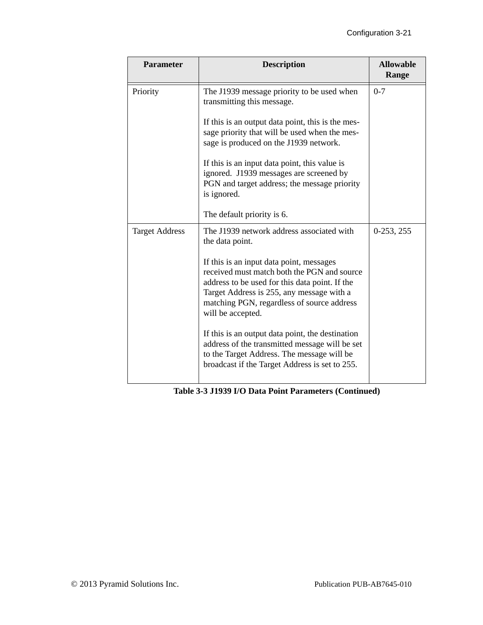| <b>Parameter</b>      | <b>Description</b>                                                                                                                                                                                                                                        | <b>Allowable</b><br>Range |
|-----------------------|-----------------------------------------------------------------------------------------------------------------------------------------------------------------------------------------------------------------------------------------------------------|---------------------------|
| Priority              | The J1939 message priority to be used when<br>transmitting this message.                                                                                                                                                                                  | $0 - 7$                   |
|                       | If this is an output data point, this is the mes-<br>sage priority that will be used when the mes-<br>sage is produced on the J1939 network.                                                                                                              |                           |
|                       | If this is an input data point, this value is<br>ignored. J1939 messages are screened by<br>PGN and target address; the message priority<br>is ignored.                                                                                                   |                           |
|                       | The default priority is 6.                                                                                                                                                                                                                                |                           |
| <b>Target Address</b> | The J1939 network address associated with<br>the data point.                                                                                                                                                                                              | $0-253, 255$              |
|                       | If this is an input data point, messages<br>received must match both the PGN and source<br>address to be used for this data point. If the<br>Target Address is 255, any message with a<br>matching PGN, regardless of source address<br>will be accepted. |                           |
|                       | If this is an output data point, the destination<br>address of the transmitted message will be set<br>to the Target Address. The message will be<br>broadcast if the Target Address is set to 255.                                                        |                           |

**Table 3-3 J1939 I/O Data Point Parameters (Continued)**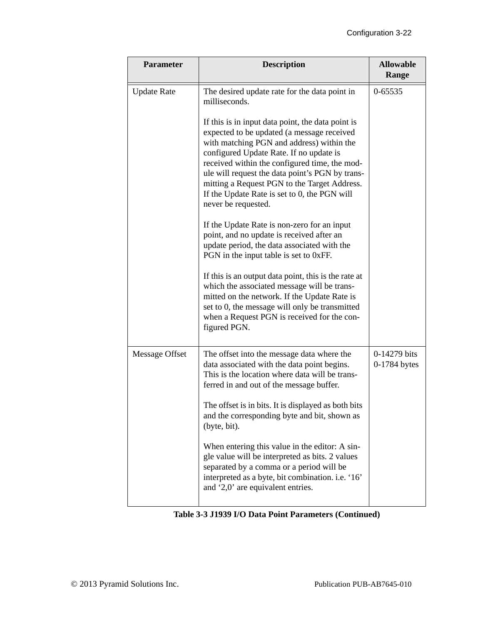| <b>Parameter</b>   | <b>Description</b>                                                                                                                                                                                                                                                                                                                                                                                                 | <b>Allowable</b><br>Range    |
|--------------------|--------------------------------------------------------------------------------------------------------------------------------------------------------------------------------------------------------------------------------------------------------------------------------------------------------------------------------------------------------------------------------------------------------------------|------------------------------|
| <b>Update Rate</b> | The desired update rate for the data point in<br>milliseconds.                                                                                                                                                                                                                                                                                                                                                     | 0-65535                      |
|                    | If this is in input data point, the data point is<br>expected to be updated (a message received<br>with matching PGN and address) within the<br>configured Update Rate. If no update is<br>received within the configured time, the mod-<br>ule will request the data point's PGN by trans-<br>mitting a Request PGN to the Target Address.<br>If the Update Rate is set to 0, the PGN will<br>never be requested. |                              |
|                    | If the Update Rate is non-zero for an input<br>point, and no update is received after an<br>update period, the data associated with the<br>PGN in the input table is set to 0xFF.                                                                                                                                                                                                                                  |                              |
|                    | If this is an output data point, this is the rate at<br>which the associated message will be trans-<br>mitted on the network. If the Update Rate is<br>set to 0, the message will only be transmitted<br>when a Request PGN is received for the con-<br>figured PGN.                                                                                                                                               |                              |
| Message Offset     | The offset into the message data where the<br>data associated with the data point begins.<br>This is the location where data will be trans-<br>ferred in and out of the message buffer.                                                                                                                                                                                                                            | 0-14279 bits<br>0-1784 bytes |
|                    | The offset is in bits. It is displayed as both bits<br>and the corresponding byte and bit, shown as<br>(byte, bit).                                                                                                                                                                                                                                                                                                |                              |
|                    | When entering this value in the editor: A sin-<br>gle value will be interpreted as bits. 2 values<br>separated by a comma or a period will be<br>interpreted as a byte, bit combination. i.e. '16'<br>and '2,0' are equivalent entries.                                                                                                                                                                            |                              |

**Table 3-3 J1939 I/O Data Point Parameters (Continued)**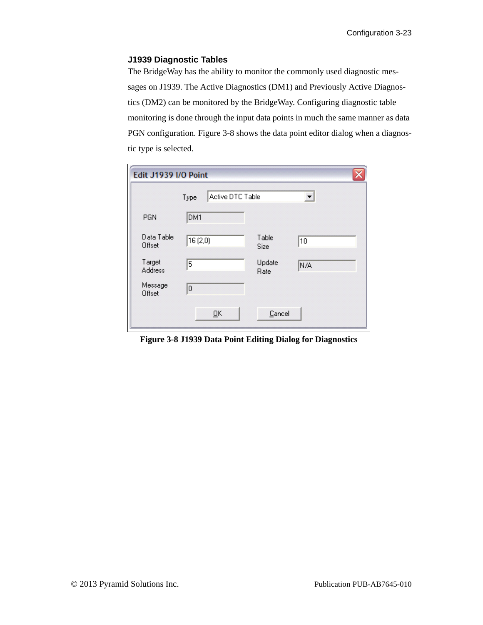#### **J1939 Diagnostic Tables**

The BridgeWay has the ability to monitor the commonly used diagnostic messages on J1939. The Active Diagnostics (DM1) and Previously Active Diagnostics (DM2) can be monitored by the BridgeWay. Configuring diagnostic table monitoring is done through the input data points in much the same manner as data PGN configuration. [Figure 3-8](#page-40-0) shows the data point editor dialog when a diagnostic type is selected.

| Edit J1939 I/O Point |                          |                      |     |
|----------------------|--------------------------|----------------------|-----|
|                      | Active DTC Table<br>Type |                      |     |
| PGN                  | DM1                      |                      |     |
| Data Table<br>Offset | 16(2,0)                  | Table<br><b>Size</b> | 10  |
| Target<br>Address    | 5                        | Update<br>Rate       | N/A |
| Message<br>Offset    | 0                        |                      |     |
|                      | QK                       | Cancel               |     |

<span id="page-40-0"></span>**Figure 3-8 J1939 Data Point Editing Dialog for Diagnostics**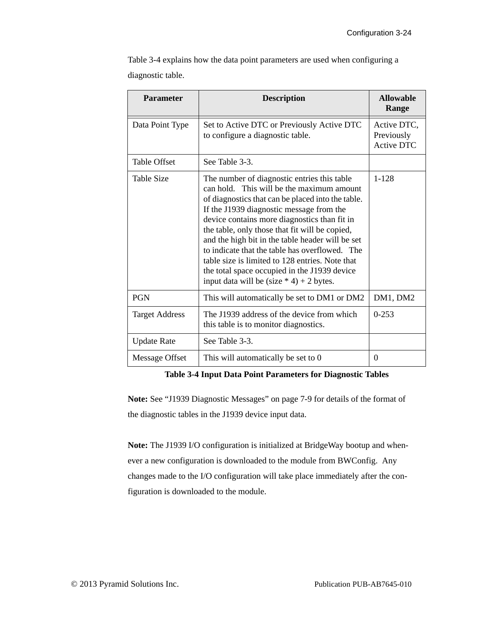[Table 3-4](#page-41-0) explains how the data point parameters are used when configuring a diagnostic table.

| <b>Parameter</b>      | <b>Description</b>                                                                                                                                                                                                                                                                                                                                                                                                                                                                                                                                 | <b>Allowable</b><br>Range                      |
|-----------------------|----------------------------------------------------------------------------------------------------------------------------------------------------------------------------------------------------------------------------------------------------------------------------------------------------------------------------------------------------------------------------------------------------------------------------------------------------------------------------------------------------------------------------------------------------|------------------------------------------------|
| Data Point Type       | Set to Active DTC or Previously Active DTC<br>to configure a diagnostic table.                                                                                                                                                                                                                                                                                                                                                                                                                                                                     | Active DTC,<br>Previously<br><b>Active DTC</b> |
| <b>Table Offset</b>   | See Table 3-3.                                                                                                                                                                                                                                                                                                                                                                                                                                                                                                                                     |                                                |
| <b>Table Size</b>     | The number of diagnostic entries this table<br>can hold. This will be the maximum amount<br>of diagnostics that can be placed into the table.<br>If the J1939 diagnostic message from the<br>device contains more diagnostics than fit in<br>the table, only those that fit will be copied,<br>and the high bit in the table header will be set<br>to indicate that the table has overflowed. The<br>table size is limited to 128 entries. Note that<br>the total space occupied in the J1939 device<br>input data will be (size $*$ 4) + 2 bytes. | $1 - 128$                                      |
| <b>PGN</b>            | This will automatically be set to DM1 or DM2                                                                                                                                                                                                                                                                                                                                                                                                                                                                                                       | DM1, DM2                                       |
| <b>Target Address</b> | The J1939 address of the device from which<br>this table is to monitor diagnostics.                                                                                                                                                                                                                                                                                                                                                                                                                                                                | $0 - 253$                                      |
| <b>Update Rate</b>    | See Table 3-3.                                                                                                                                                                                                                                                                                                                                                                                                                                                                                                                                     |                                                |
| Message Offset        | This will automatically be set to 0                                                                                                                                                                                                                                                                                                                                                                                                                                                                                                                | 0                                              |

**Table 3-4 Input Data Point Parameters for Diagnostic Tables**

<span id="page-41-0"></span>**Note:** See ["J1939 Diagnostic Messages" on page 7-9](#page-84-0) for details of the format of the diagnostic tables in the J1939 device input data.

**Note:** The J1939 I/O configuration is initialized at BridgeWay bootup and whenever a new configuration is downloaded to the module from BWConfig. Any changes made to the I/O configuration will take place immediately after the configuration is downloaded to the module.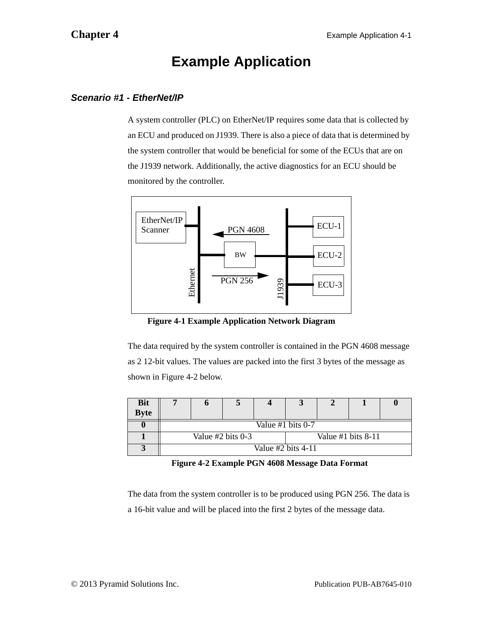# **Example Application**

# *Scenario #1 - EtherNet/IP*

A system controller (PLC) on EtherNet/IP requires some data that is collected by an ECU and produced on J1939. There is also a piece of data that is determined by the system controller that would be beneficial for some of the ECUs that are on the J1939 network. Additionally, the active diagnostics for an ECU should be monitored by the controller.



**Figure 4-1 Example Application Network Diagram**

The data required by the system controller is contained in the PGN 4608 message as 2 12-bit values. The values are packed into the first 3 bytes of the message as shown in [Figure 4-2](#page-42-0) below.

| <b>Bit</b>  |  |                     |                      |                     |                      |  |
|-------------|--|---------------------|----------------------|---------------------|----------------------|--|
| <b>Byte</b> |  |                     |                      |                     |                      |  |
|             |  |                     |                      | Value #1 bits $0-7$ |                      |  |
|             |  | Value $#2$ bits 0-3 |                      |                     | Value #1 bits $8-11$ |  |
|             |  |                     | Value $#2$ bits 4-11 |                     |                      |  |

**Figure 4-2 Example PGN 4608 Message Data Format**

<span id="page-42-0"></span>The data from the system controller is to be produced using PGN 256. The data is a 16-bit value and will be placed into the first 2 bytes of the message data.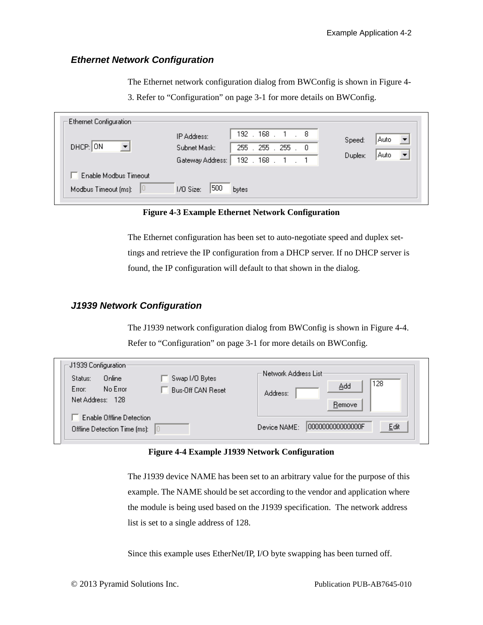### *Ethernet Network Configuration*

The Ethernet network configuration dialog from BWConfig is shown in [Figure 4-](#page-43-0)

[3](#page-43-0). Refer to ["Configuration" on page 3-1](#page-18-0) for more details on BWConfig.

| Ethernet Configuration:<br>DHCP: ON | IP Address:<br>Subnet Mask:<br>Gateway Address: | $192$ .<br>$168$ $1$ $8$<br>255<br>255.255<br>$\cdot$ 0<br>$192$ .<br>168. | Speed:<br>Duplex: | Auto<br>Auto |
|-------------------------------------|-------------------------------------------------|----------------------------------------------------------------------------|-------------------|--------------|
| Enable Modbus Timeout               |                                                 |                                                                            |                   |              |
| Modbus Timeout (ms):                | 500<br>1/0 Size:                                | bytes                                                                      |                   |              |

**Figure 4-3 Example Ethernet Network Configuration**

<span id="page-43-0"></span>The Ethernet configuration has been set to auto-negotiate speed and duplex settings and retrieve the IP configuration from a DHCP server. If no DHCP server is found, the IP configuration will default to that shown in the dialog.

#### *J1939 Network Configuration*

The J1939 network configuration dialog from BWConfig is shown in [Figure 4-4.](#page-43-1) Refer to ["Configuration" on page 3-1](#page-18-0) for more details on BWConfig.

| ·J1939 Configuration·<br>Status:<br>Online<br>No Error<br>Error:<br>Net Address:<br>- 128 | Swap I/O Bytes<br><b>Bus-Off CAN Reset</b> | ·Network Address List∘<br>128<br>Add<br>Address:<br>Remove |
|-------------------------------------------------------------------------------------------|--------------------------------------------|------------------------------------------------------------|
| Enable Offline Detection<br>Offline Detection Time (ms): $\Box$                           |                                            | 000000000000000F<br>Edit<br>Device NAME:                   |

#### **Figure 4-4 Example J1939 Network Configuration**

<span id="page-43-1"></span>The J1939 device NAME has been set to an arbitrary value for the purpose of this example. The NAME should be set according to the vendor and application where the module is being used based on the J1939 specification. The network address list is set to a single address of 128.

Since this example uses EtherNet/IP, I/O byte swapping has been turned off.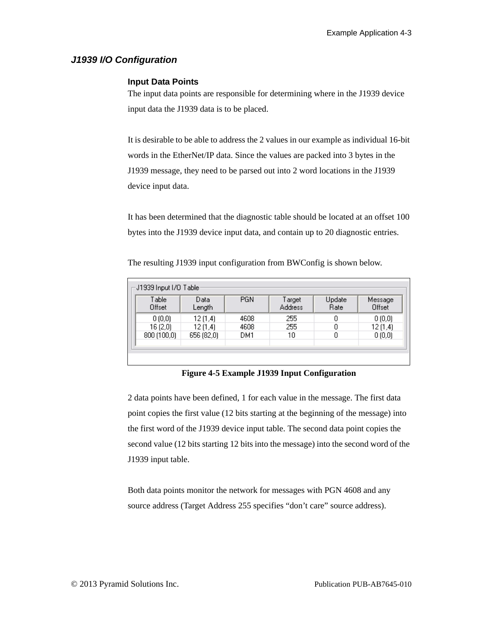# *J1939 I/O Configuration*

#### **Input Data Points**

The input data points are responsible for determining where in the J1939 device input data the J1939 data is to be placed.

It is desirable to be able to address the 2 values in our example as individual 16-bit words in the EtherNet/IP data. Since the values are packed into 3 bytes in the J1939 message, they need to be parsed out into 2 word locations in the J1939 device input data.

It has been determined that the diagnostic table should be located at an offset 100 bytes into the J1939 device input data, and contain up to 20 diagnostic entries.

The resulting J1939 input configuration from BWConfig is shown below.

| Table<br>Offset | Data<br>Length | PGN  | Target<br>Address | Update<br>Rate | Message<br>Offset |
|-----------------|----------------|------|-------------------|----------------|-------------------|
| 0(0,0)          | 12(1,4)        | 4608 | 255               | 0              | 0(0,0)            |
| 16 (2,0)        | 12(1,4)        | 4608 | 255               | Ω              | 12(1,4)           |
| 800 (100,0)     | 656 (82,0)     | DM1  | 10                | 0              | 0(0,0)            |

**Figure 4-5 Example J1939 Input Configuration**

2 data points have been defined, 1 for each value in the message. The first data point copies the first value (12 bits starting at the beginning of the message) into the first word of the J1939 device input table. The second data point copies the second value (12 bits starting 12 bits into the message) into the second word of the J1939 input table.

Both data points monitor the network for messages with PGN 4608 and any source address (Target Address 255 specifies "don't care" source address).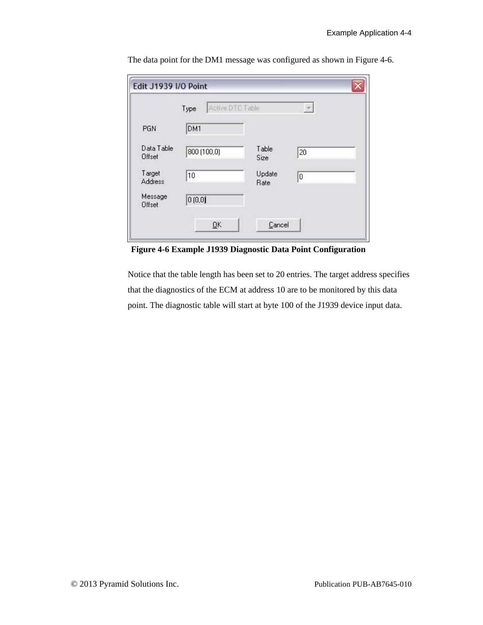|                      | Active DTC Table<br>Type |                | $\overline{\mathscr{L}}$ |
|----------------------|--------------------------|----------------|--------------------------|
| PGN                  | DM1                      |                |                          |
| Data Table<br>Offset | 800 (100,0)              | Table.<br>Size | 20                       |
| Target<br>Address    | 10                       | Update<br>Rate | 0                        |
| Message<br>Offset    | 0(0,0)                   |                |                          |

The data point for the DM1 message was configured as shown in [Figure 4-6.](#page-45-0)

<span id="page-45-0"></span>**Figure 4-6 Example J1939 Diagnostic Data Point Configuration**

Notice that the table length has been set to 20 entries. The target address specifies that the diagnostics of the ECM at address 10 are to be monitored by this data point. The diagnostic table will start at byte 100 of the J1939 device input data.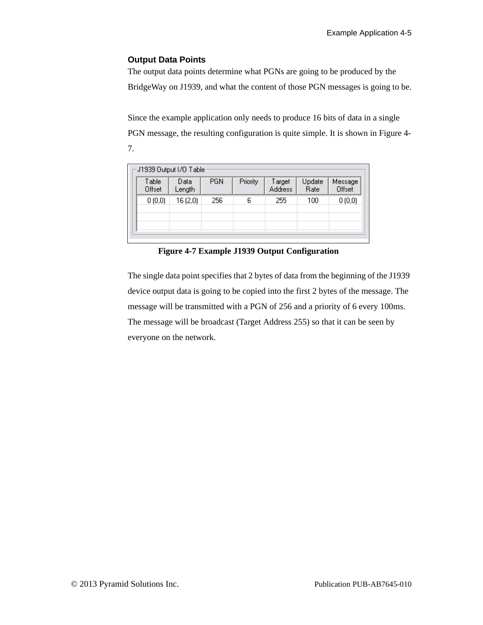#### **Output Data Points**

The output data points determine what PGNs are going to be produced by the BridgeWay on J1939, and what the content of those PGN messages is going to be.

Since the example application only needs to produce 16 bits of data in a single PGN message, the resulting configuration is quite simple. It is shown in [Figure 4-](#page-46-0) [7](#page-46-0).

|                 | J1939 Output I/O Table: |            |          |                          |                |                   |
|-----------------|-------------------------|------------|----------|--------------------------|----------------|-------------------|
| Table<br>Offset | Data<br>Length          | <b>PGN</b> | Priority | Target<br><b>Address</b> | Update<br>Rate | Message<br>Offset |
| 0(0,0)          | 16(2,0)                 | 256        | 6        | 255                      | 100            | 0(0,0)            |
|                 |                         |            |          |                          |                |                   |

**Figure 4-7 Example J1939 Output Configuration**

<span id="page-46-0"></span>The single data point specifies that 2 bytes of data from the beginning of the J1939 device output data is going to be copied into the first 2 bytes of the message. The message will be transmitted with a PGN of 256 and a priority of 6 every 100ms. The message will be broadcast (Target Address 255) so that it can be seen by everyone on the network.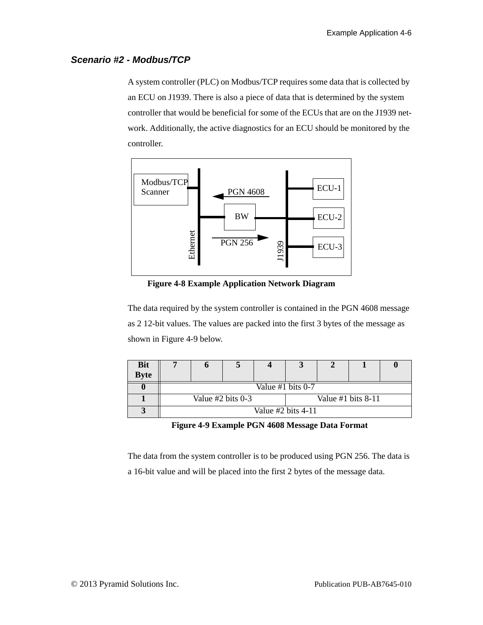## *Scenario #2 - Modbus/TCP*

A system controller (PLC) on Modbus/TCP requires some data that is collected by an ECU on J1939. There is also a piece of data that is determined by the system controller that would be beneficial for some of the ECUs that are on the J1939 network. Additionally, the active diagnostics for an ECU should be monitored by the controller.



**Figure 4-8 Example Application Network Diagram**

The data required by the system controller is contained in the PGN 4608 message as 2 12-bit values. The values are packed into the first 3 bytes of the message as shown in [Figure 4-9](#page-47-0) below.

| <b>Bit</b>  |                     | o                 |  |                      |  |  |  |  |
|-------------|---------------------|-------------------|--|----------------------|--|--|--|--|
| <b>Byte</b> |                     |                   |  |                      |  |  |  |  |
|             |                     | Value #1 bits 0-7 |  |                      |  |  |  |  |
|             | Value $#2$ bits 0-3 |                   |  | Value #1 bits $8-11$ |  |  |  |  |
|             |                     |                   |  | Value #2 bits 4-11   |  |  |  |  |

**Figure 4-9 Example PGN 4608 Message Data Format**

<span id="page-47-0"></span>The data from the system controller is to be produced using PGN 256. The data is a 16-bit value and will be placed into the first 2 bytes of the message data.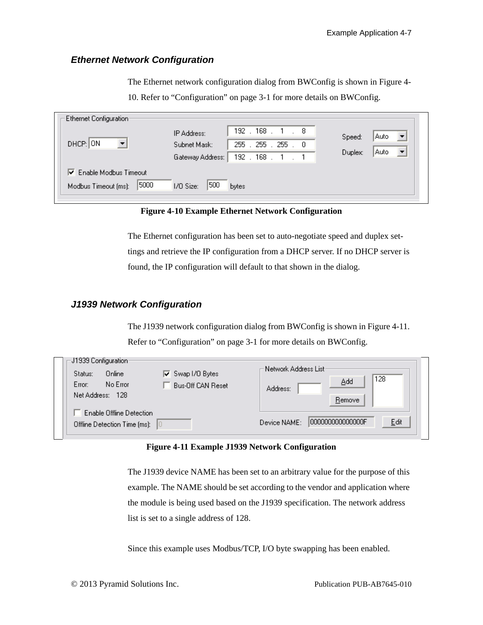#### *Ethernet Network Configuration*

The Ethernet network configuration dialog from BWConfig is shown in [Figure 4-](#page-48-0) [10.](#page-48-0) Refer to ["Configuration" on page 3-1](#page-18-0) for more details on BWConfig.

| Ethernet Configuration: |                                |                  |                             |         |      |
|-------------------------|--------------------------------|------------------|-----------------------------|---------|------|
|                         |                                | IP Address:      | $192$ $.168$ $.1$<br>. 8    | Speed:  | Auto |
| DHCP: ON                | $\overline{\phantom{0}}$       | Subnet Mask:     | 255 . 255 . 255<br>$\sim$ 0 |         |      |
|                         |                                | Gateway Address: | $192$ . $168$ .             | Duplex: | Auto |
|                         | $\nabla$ Enable Modbus Timeout |                  |                             |         |      |
| Modbus Timeout (ms):    | 5000                           | 500<br>I/O Size: | <b>bytes</b>                |         |      |
|                         |                                |                  |                             |         |      |

**Figure 4-10 Example Ethernet Network Configuration**

<span id="page-48-0"></span>The Ethernet configuration has been set to auto-negotiate speed and duplex settings and retrieve the IP configuration from a DHCP server. If no DHCP server is found, the IP configuration will default to that shown in the dialog.

#### *J1939 Network Configuration*

The J1939 network configuration dialog from BWConfig is shown in [Figure 4-11.](#page-48-1) Refer to ["Configuration" on page 3-1](#page-18-0) for more details on BWConfig.

| J1939 Configuration:<br>Online<br>$\nabla$ Swap I/O Bytes<br>Status:<br>No Error<br>Error:<br><b>Bus-Off CAN Reset</b><br>Net Address: 128 | :Network Address List<br>128<br>Add<br>Address:<br>Remove |
|--------------------------------------------------------------------------------------------------------------------------------------------|-----------------------------------------------------------|
| Enable Offline Detection<br>Offline Detection Time (ms):<br>10                                                                             | 1000000000000000F<br>Edit<br>Device NAME:                 |

#### **Figure 4-11 Example J1939 Network Configuration**

<span id="page-48-1"></span>The J1939 device NAME has been set to an arbitrary value for the purpose of this example. The NAME should be set according to the vendor and application where the module is being used based on the J1939 specification. The network address list is set to a single address of 128.

Since this example uses Modbus/TCP, I/O byte swapping has been enabled.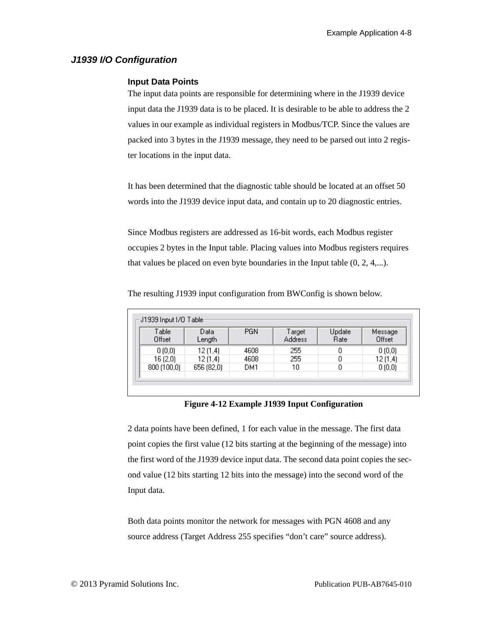# *J1939 I/O Configuration*

#### **Input Data Points**

The input data points are responsible for determining where in the J1939 device input data the J1939 data is to be placed. It is desirable to be able to address the 2 values in our example as individual registers in Modbus/TCP. Since the values are packed into 3 bytes in the J1939 message, they need to be parsed out into 2 register locations in the input data.

It has been determined that the diagnostic table should be located at an offset 50 words into the J1939 device input data, and contain up to 20 diagnostic entries.

Since Modbus registers are addressed as 16-bit words, each Modbus register occupies 2 bytes in the Input table. Placing values into Modbus registers requires that values be placed on even byte boundaries in the Input table (0, 2, 4,...).

|  | The resulting J1939 input configuration from BWConfig is shown below. |  |  |
|--|-----------------------------------------------------------------------|--|--|
|  |                                                                       |  |  |

| Table<br>Offset | Data<br>Length | <b>PGN</b> | Target<br><b>Address</b> | Update<br>Rate | Message<br>Offset |
|-----------------|----------------|------------|--------------------------|----------------|-------------------|
| 0(0,0)          | 12(1,4)        | 4608       | 255                      | 0              | 0(0,0)            |
| 16(2,0)         | 12(1,4)        | 4608       | 255                      | 0              | 12(1,4)           |
| 800(100,0)      | 656 (82,0)     | DM1.       | 10                       | 0              | 0(0,0)            |

#### **Figure 4-12 Example J1939 Input Configuration**

2 data points have been defined, 1 for each value in the message. The first data point copies the first value (12 bits starting at the beginning of the message) into the first word of the J1939 device input data. The second data point copies the second value (12 bits starting 12 bits into the message) into the second word of the Input data.

Both data points monitor the network for messages with PGN 4608 and any source address (Target Address 255 specifies "don't care" source address).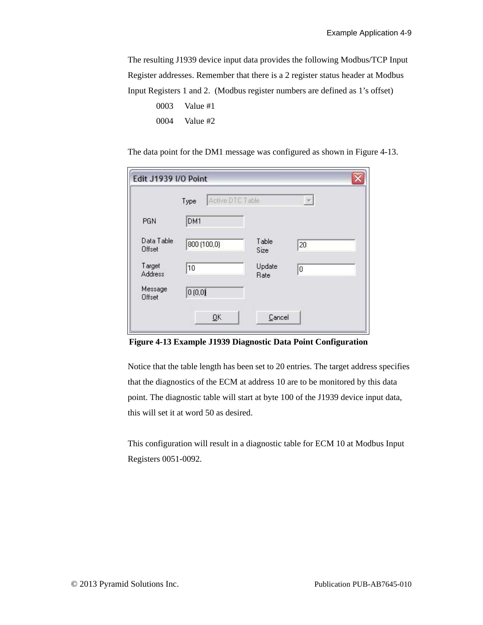The resulting J1939 device input data provides the following Modbus/TCP Input Register addresses. Remember that there is a 2 register status header at Modbus Input Registers 1 and 2. (Modbus register numbers are defined as 1's offset)

| 0003 | Value #1 |
|------|----------|
| 0004 | Value #2 |

The data point for the DM1 message was configured as shown in [Figure 4-13](#page-50-0).

|                      | Active DTC Table<br>Type |                | $\mathcal{V}$ |
|----------------------|--------------------------|----------------|---------------|
| PGN                  | DM1                      |                |               |
| Data Table<br>Offset | 800 (100,0)              | Table.<br>Size | 20            |
| Target<br>Address    | 10                       | Update<br>Rate | 0             |
| Message<br>Offset    | 0(0,0)                   |                |               |

<span id="page-50-0"></span>**Figure 4-13 Example J1939 Diagnostic Data Point Configuration**

Notice that the table length has been set to 20 entries. The target address specifies that the diagnostics of the ECM at address 10 are to be monitored by this data point. The diagnostic table will start at byte 100 of the J1939 device input data, this will set it at word 50 as desired.

This configuration will result in a diagnostic table for ECM 10 at Modbus Input Registers 0051-0092.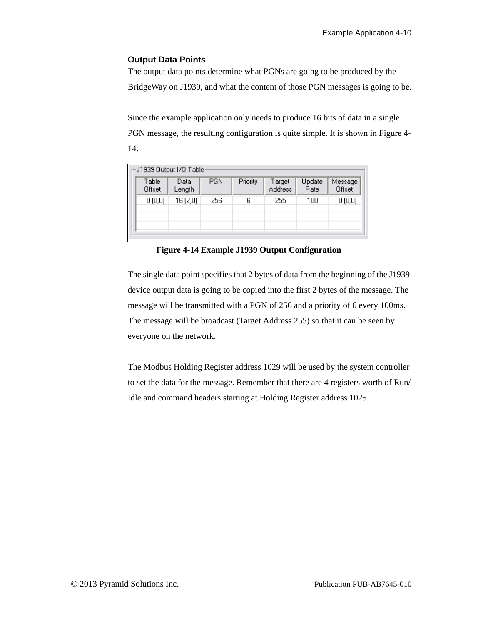#### **Output Data Points**

The output data points determine what PGNs are going to be produced by the BridgeWay on J1939, and what the content of those PGN messages is going to be.

Since the example application only needs to produce 16 bits of data in a single PGN message, the resulting configuration is quite simple. It is shown in [Figure 4-](#page-51-0) [14.](#page-51-0)

|                 | J1939 Output I/O Table: |            |          |                          |                |                   |
|-----------------|-------------------------|------------|----------|--------------------------|----------------|-------------------|
| Table<br>Offset | Data<br>Length          | <b>PGN</b> | Priority | Target<br><b>Address</b> | Update<br>Rate | Message<br>Offset |
| 0(0,0)          | 16 (2,0)                | 256        | 6        | 255                      | 100            | 0(0,0)            |
|                 |                         |            |          |                          |                |                   |

**Figure 4-14 Example J1939 Output Configuration**

<span id="page-51-0"></span>The single data point specifies that 2 bytes of data from the beginning of the J1939 device output data is going to be copied into the first 2 bytes of the message. The message will be transmitted with a PGN of 256 and a priority of 6 every 100ms. The message will be broadcast (Target Address 255) so that it can be seen by everyone on the network.

The Modbus Holding Register address 1029 will be used by the system controller to set the data for the message. Remember that there are 4 registers worth of Run/ Idle and command headers starting at Holding Register address 1025.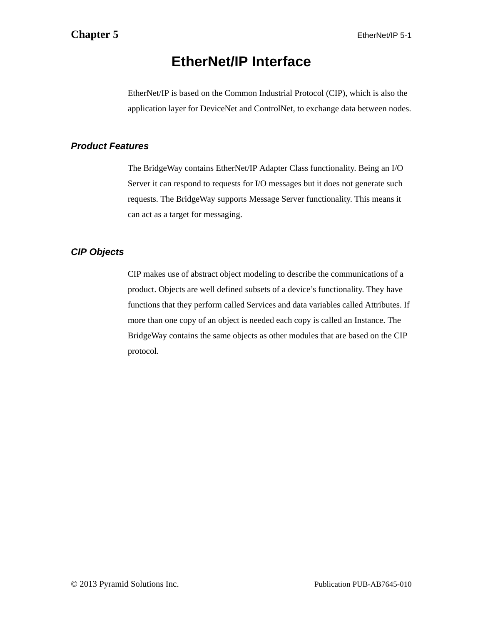# **EtherNet/IP Interface**

EtherNet/IP is based on the Common Industrial Protocol (CIP), which is also the application layer for DeviceNet and ControlNet, to exchange data between nodes.

# *Product Features*

The BridgeWay contains EtherNet/IP Adapter Class functionality. Being an I/O Server it can respond to requests for I/O messages but it does not generate such requests. The BridgeWay supports Message Server functionality. This means it can act as a target for messaging.

# *CIP Objects*

CIP makes use of abstract object modeling to describe the communications of a product. Objects are well defined subsets of a device's functionality. They have functions that they perform called Services and data variables called Attributes. If more than one copy of an object is needed each copy is called an Instance. The BridgeWay contains the same objects as other modules that are based on the CIP protocol.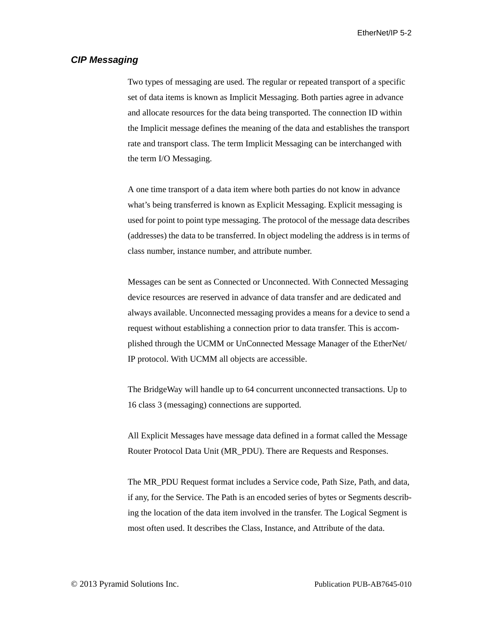EtherNet/IP 5-2

#### *CIP Messaging*

Two types of messaging are used. The regular or repeated transport of a specific set of data items is known as Implicit Messaging. Both parties agree in advance and allocate resources for the data being transported. The connection ID within the Implicit message defines the meaning of the data and establishes the transport rate and transport class. The term Implicit Messaging can be interchanged with the term I/O Messaging.

A one time transport of a data item where both parties do not know in advance what's being transferred is known as Explicit Messaging. Explicit messaging is used for point to point type messaging. The protocol of the message data describes (addresses) the data to be transferred. In object modeling the address is in terms of class number, instance number, and attribute number.

Messages can be sent as Connected or Unconnected. With Connected Messaging device resources are reserved in advance of data transfer and are dedicated and always available. Unconnected messaging provides a means for a device to send a request without establishing a connection prior to data transfer. This is accomplished through the UCMM or UnConnected Message Manager of the EtherNet/ IP protocol. With UCMM all objects are accessible.

The BridgeWay will handle up to 64 concurrent unconnected transactions. Up to 16 class 3 (messaging) connections are supported.

All Explicit Messages have message data defined in a format called the Message Router Protocol Data Unit (MR\_PDU). There are Requests and Responses.

The MR\_PDU Request format includes a Service code, Path Size, Path, and data, if any, for the Service. The Path is an encoded series of bytes or Segments describing the location of the data item involved in the transfer. The Logical Segment is most often used. It describes the Class, Instance, and Attribute of the data.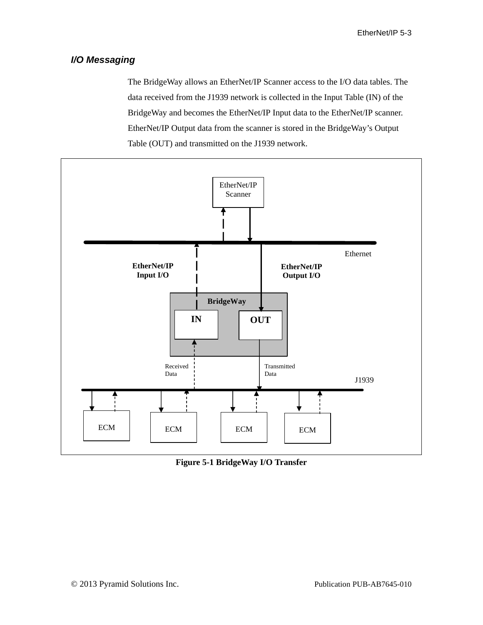# *I/O Messaging*

The BridgeWay allows an EtherNet/IP Scanner access to the I/O data tables. The data received from the J1939 network is collected in the Input Table (IN) of the BridgeWay and becomes the EtherNet/IP Input data to the EtherNet/IP scanner. EtherNet/IP Output data from the scanner is stored in the BridgeWay's Output Table (OUT) and transmitted on the J1939 network.



**Figure 5-1 BridgeWay I/O Transfer**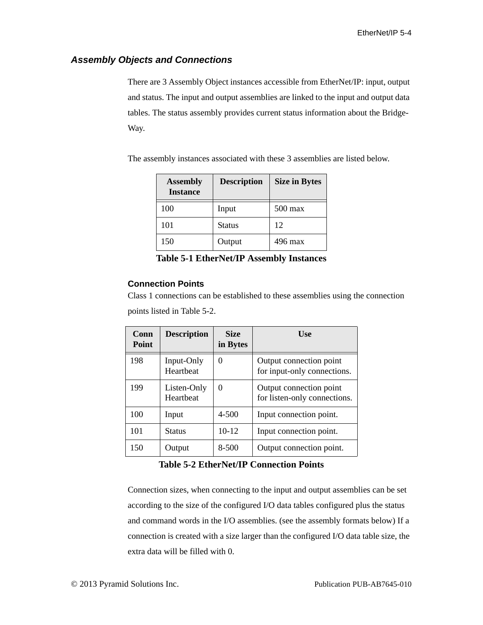# *Assembly Objects and Connections*

There are 3 Assembly Object instances accessible from EtherNet/IP: input, output and status. The input and output assemblies are linked to the input and output data tables. The status assembly provides current status information about the Bridge-Way.

The assembly instances associated with these 3 assemblies are listed below.

| <b>Assembly</b><br><b>Instance</b> | <b>Description</b> | <b>Size in Bytes</b> |
|------------------------------------|--------------------|----------------------|
| 100                                | Input              | $500 \,\mathrm{max}$ |
| 101                                | <b>Status</b>      | 12                   |
| 150                                | Output             | 496 max              |

**Table 5-1 EtherNet/IP Assembly Instances**

#### **Connection Points**

Class 1 connections can be established to these assemblies using the connection points listed in [Table 5-2](#page-55-0).

| Conn<br><b>Point</b> | <b>Description</b>       | <b>Size</b><br>in Bytes | <b>Use</b>                                              |
|----------------------|--------------------------|-------------------------|---------------------------------------------------------|
| 198                  | Input-Only<br>Heartheat  | $\theta$                | Output connection point<br>for input-only connections.  |
| 199                  | Listen-Only<br>Heartheat | $\Omega$                | Output connection point<br>for listen-only connections. |
| 100                  | Input                    | 4-500                   | Input connection point.                                 |
| 101                  | Status                   | $10-12$                 | Input connection point.                                 |
| 150                  | Output                   | $8 - 500$               | Output connection point.                                |

**Table 5-2 EtherNet/IP Connection Points**

<span id="page-55-0"></span>Connection sizes, when connecting to the input and output assemblies can be set according to the size of the configured I/O data tables configured plus the status and command words in the I/O assemblies. (see the assembly formats below) If a connection is created with a size larger than the configured I/O data table size, the extra data will be filled with 0.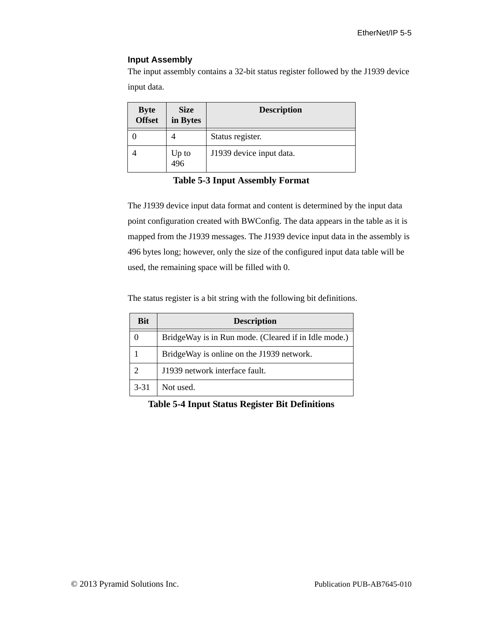#### **Input Assembly**

The input assembly contains a 32-bit status register followed by the J1939 device input data.

| <b>Byte</b><br>Offset | <b>Size</b><br>in Bytes | <b>Description</b>       |
|-----------------------|-------------------------|--------------------------|
|                       |                         | Status register.         |
|                       | Up to<br>496            | J1939 device input data. |

#### **Table 5-3 Input Assembly Format**

The J1939 device input data format and content is determined by the input data point configuration created with BWConfig. The data appears in the table as it is mapped from the J1939 messages. The J1939 device input data in the assembly is 496 bytes long; however, only the size of the configured input data table will be used, the remaining space will be filled with 0.

The status register is a bit string with the following bit definitions.

| <b>Bit</b> | <b>Description</b>                                   |
|------------|------------------------------------------------------|
|            | BridgeWay is in Run mode. (Cleared if in Idle mode.) |
|            | BridgeWay is online on the J1939 network.            |
| ာ          | J1939 network interface fault.                       |
| $3 - 31$   | Not used.                                            |

**Table 5-4 Input Status Register Bit Definitions**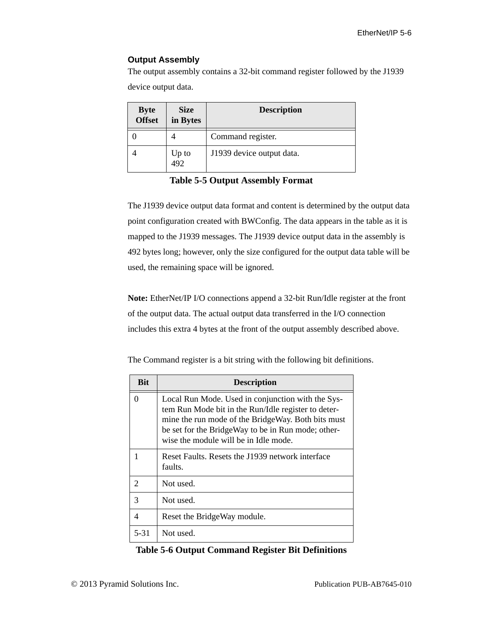### **Output Assembly**

The output assembly contains a 32-bit command register followed by the J1939 device output data.

| <b>Byte</b><br><b>Offset</b> | <b>Size</b><br>in Bytes | <b>Description</b>        |
|------------------------------|-------------------------|---------------------------|
|                              |                         | Command register.         |
|                              | Up to<br>492            | J1939 device output data. |

**Table 5-5 Output Assembly Format**

The J1939 device output data format and content is determined by the output data point configuration created with BWConfig. The data appears in the table as it is mapped to the J1939 messages. The J1939 device output data in the assembly is 492 bytes long; however, only the size configured for the output data table will be used, the remaining space will be ignored.

**Note:** EtherNet/IP I/O connections append a 32-bit Run/Idle register at the front of the output data. The actual output data transferred in the I/O connection includes this extra 4 bytes at the front of the output assembly described above.

The Command register is a bit string with the following bit definitions.

| Bit                   | <b>Description</b>                                                                                                                                                                                                                                            |
|-----------------------|---------------------------------------------------------------------------------------------------------------------------------------------------------------------------------------------------------------------------------------------------------------|
| 0                     | Local Run Mode. Used in conjunction with the Sys-<br>tem Run Mode bit in the Run/Idle register to deter-<br>mine the run mode of the BridgeWay. Both bits must<br>be set for the BridgeWay to be in Run mode; other-<br>wise the module will be in Idle mode. |
|                       | Reset Faults. Resets the J1939 network interface<br>faults.                                                                                                                                                                                                   |
| $\mathcal{D}_{\cdot}$ | Not used.                                                                                                                                                                                                                                                     |
| 3                     | Not used.                                                                                                                                                                                                                                                     |
| 4                     | Reset the BridgeWay module.                                                                                                                                                                                                                                   |
| 5-31                  | Not used.                                                                                                                                                                                                                                                     |

**Table 5-6 Output Command Register Bit Definitions**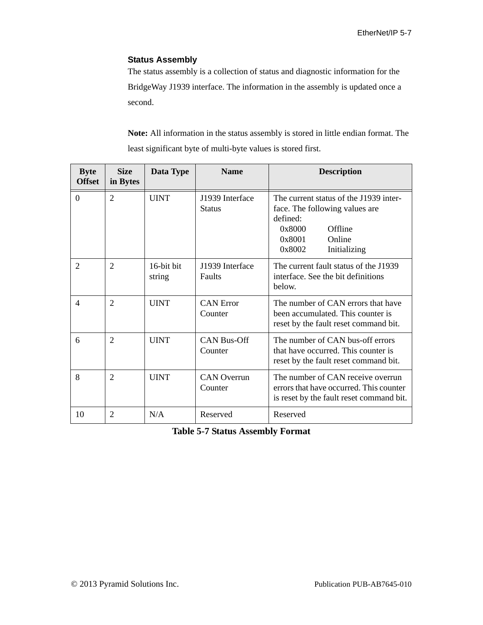#### **Status Assembly**

The status assembly is a collection of status and diagnostic information for the BridgeWay J1939 interface. The information in the assembly is updated once a second.

**Note:** All information in the status assembly is stored in little endian format. The least significant byte of multi-byte values is stored first.

| <b>Byte</b><br><b>Offset</b> | <b>Size</b><br>in Bytes | Data Type            | <b>Name</b>                      | <b>Description</b>                                                                                                                                      |  |  |  |
|------------------------------|-------------------------|----------------------|----------------------------------|---------------------------------------------------------------------------------------------------------------------------------------------------------|--|--|--|
| $\boldsymbol{0}$             | $\overline{2}$          | <b>UINT</b>          | J1939 Interface<br><b>Status</b> | The current status of the J1939 inter-<br>face. The following values are<br>defined:<br>Offline<br>0x8000<br>0x8001<br>Online<br>0x8002<br>Initializing |  |  |  |
| 2                            | $\overline{2}$          | 16-bit bit<br>string | J1939 Interface<br>Faults        | The current fault status of the J1939<br>interface. See the bit definitions<br>below.                                                                   |  |  |  |
| $\overline{4}$               | $\overline{2}$          | <b>UINT</b>          | <b>CAN</b> Error<br>Counter      | The number of CAN errors that have<br>been accumulated. This counter is<br>reset by the fault reset command bit.                                        |  |  |  |
| 6                            | $\overline{2}$          | <b>UINT</b>          | <b>CAN Bus-Off</b><br>Counter    | The number of CAN bus-off errors<br>that have occurred. This counter is<br>reset by the fault reset command bit.                                        |  |  |  |
| 8                            | $\overline{2}$          | <b>UINT</b>          | <b>CAN</b> Overrun<br>Counter    | The number of CAN receive overrun<br>errors that have occurred. This counter<br>is reset by the fault reset command bit.                                |  |  |  |
| 10                           | $\overline{2}$          | N/A                  | Reserved                         | Reserved                                                                                                                                                |  |  |  |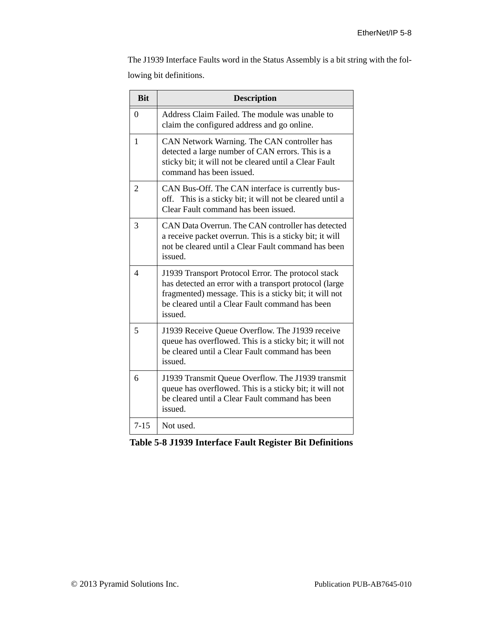The J1939 Interface Faults word in the Status Assembly is a bit string with the following bit definitions.

| <b>Bit</b>               | <b>Description</b>                                                                                                                                                                                                                   |
|--------------------------|--------------------------------------------------------------------------------------------------------------------------------------------------------------------------------------------------------------------------------------|
| $\theta$                 | Address Claim Failed. The module was unable to<br>claim the configured address and go online.                                                                                                                                        |
| $\mathbf{1}$             | CAN Network Warning. The CAN controller has<br>detected a large number of CAN errors. This is a<br>sticky bit; it will not be cleared until a Clear Fault<br>command has been issued.                                                |
| $\overline{2}$           | CAN Bus-Off. The CAN interface is currently bus-<br>off. This is a sticky bit; it will not be cleared until a<br>Clear Fault command has been issued.                                                                                |
| 3                        | CAN Data Overrun. The CAN controller has detected<br>a receive packet overrun. This is a sticky bit; it will<br>not be cleared until a Clear Fault command has been<br>issued.                                                       |
| $\overline{\mathcal{A}}$ | J1939 Transport Protocol Error. The protocol stack<br>has detected an error with a transport protocol (large<br>fragmented) message. This is a sticky bit; it will not<br>be cleared until a Clear Fault command has been<br>issued. |
| 5                        | J1939 Receive Queue Overflow. The J1939 receive<br>queue has overflowed. This is a sticky bit; it will not<br>be cleared until a Clear Fault command has been<br>issued.                                                             |
| 6                        | J1939 Transmit Queue Overflow. The J1939 transmit<br>queue has overflowed. This is a sticky bit; it will not<br>be cleared until a Clear Fault command has been<br>issued.                                                           |
| $7 - 15$                 | Not used.                                                                                                                                                                                                                            |

**Table 5-8 J1939 Interface Fault Register Bit Definitions**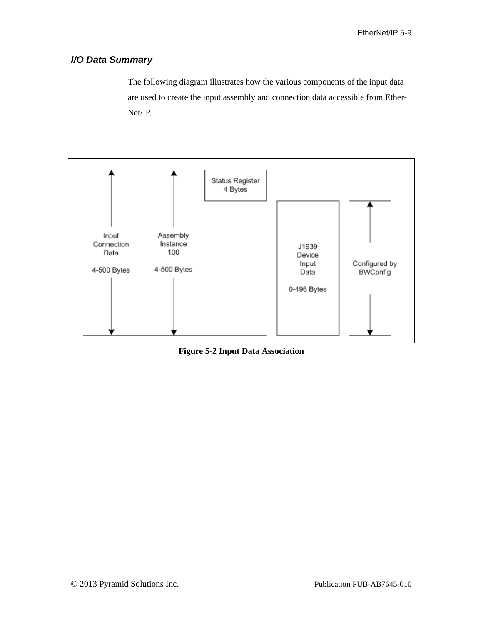# *I/O Data Summary*

The following diagram illustrates how the various components of the input data are used to create the input assembly and connection data accessible from Ether-Net/IP.



**Figure 5-2 Input Data Association**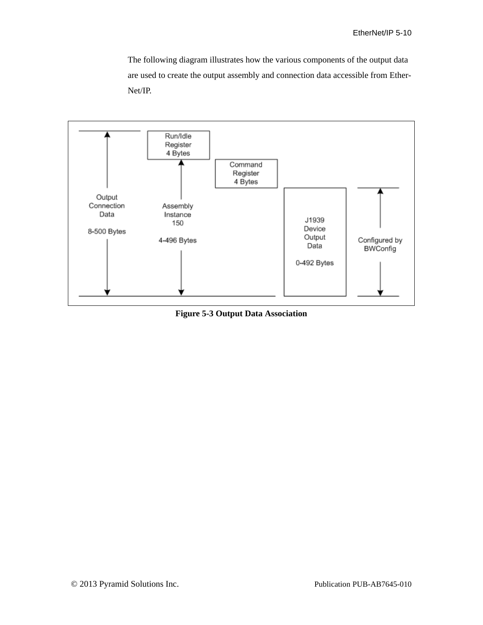The following diagram illustrates how the various components of the output data are used to create the output assembly and connection data accessible from Ether-Net/IP.



**Figure 5-3 Output Data Association**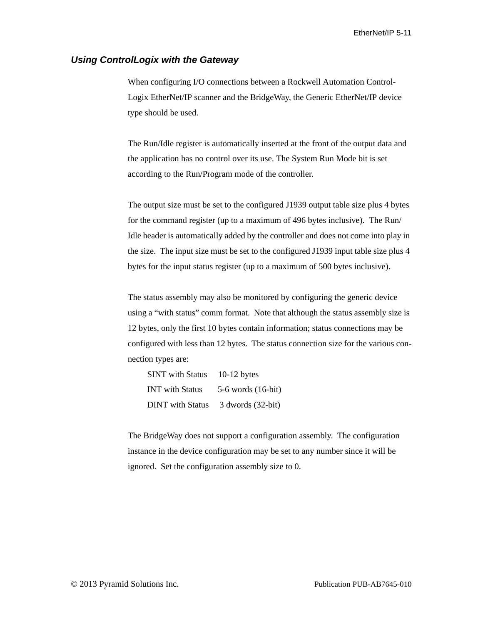#### *Using ControlLogix with the Gateway*

When configuring I/O connections between a Rockwell Automation Control-Logix EtherNet/IP scanner and the BridgeWay, the Generic EtherNet/IP device type should be used.

The Run/Idle register is automatically inserted at the front of the output data and the application has no control over its use. The System Run Mode bit is set according to the Run/Program mode of the controller.

The output size must be set to the configured J1939 output table size plus 4 bytes for the command register (up to a maximum of 496 bytes inclusive). The Run/ Idle header is automatically added by the controller and does not come into play in the size. The input size must be set to the configured J1939 input table size plus 4 bytes for the input status register (up to a maximum of 500 bytes inclusive).

The status assembly may also be monitored by configuring the generic device using a "with status" comm format. Note that although the status assembly size is 12 bytes, only the first 10 bytes contain information; status connections may be configured with less than 12 bytes. The status connection size for the various connection types are:

| <b>SINT</b> with Status | 10-12 bytes            |
|-------------------------|------------------------|
| <b>INT</b> with Status  | $5-6$ words $(16-bit)$ |
| <b>DINT</b> with Status | $3$ dwords $(32-bit)$  |

The BridgeWay does not support a configuration assembly. The configuration instance in the device configuration may be set to any number since it will be ignored. Set the configuration assembly size to 0.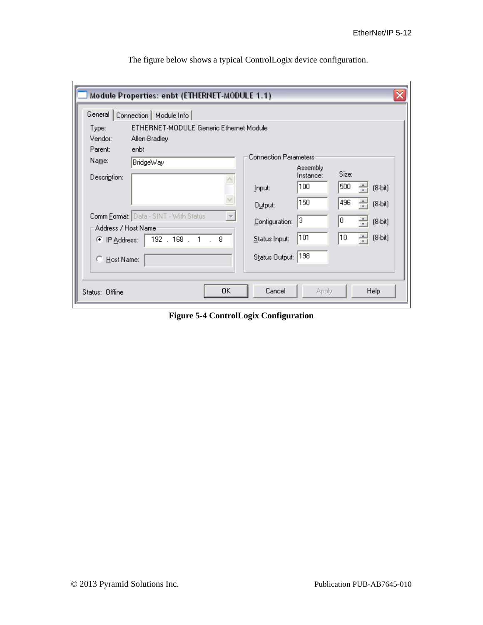| Module Properties: enbt (ETHERNET-MODULE 1.1)                                |                                                                                                     |  |  |  |  |  |  |  |
|------------------------------------------------------------------------------|-----------------------------------------------------------------------------------------------------|--|--|--|--|--|--|--|
| General  <br>Connection   Module Info                                        |                                                                                                     |  |  |  |  |  |  |  |
| ETHERNET-MODULE Generic Ethernet Module<br>Type:<br>Vendor:<br>Allen-Bradley |                                                                                                     |  |  |  |  |  |  |  |
| Parent:<br>enbt<br>Name:<br>BridgeWay<br>Description:                        | <b>Connection Parameters</b><br>Assembly<br>Size:<br>Instance:<br>100<br>500<br>$(8-bit)$<br>Input: |  |  |  |  |  |  |  |
| $\sim$<br>Comm Format: Data - SINT - With Status<br>Address / Host Name      | 150<br>496<br>÷<br>$(8-bit)$<br>Output:<br>13<br>÷<br>10<br>$(8-bit)$<br>Configuration:             |  |  |  |  |  |  |  |
| 192.168.1.8<br>C IP Address:<br>C Host Name:                                 | 101<br>10<br>싁<br>$(8-bit)$<br>Status Input:<br> 198<br>Status Output:                              |  |  |  |  |  |  |  |
| 0K<br>Status: Offline                                                        | Cancel<br><b>Help</b><br><b>Apply</b>                                                               |  |  |  |  |  |  |  |

The figure below shows a typical ControlLogix device configuration.

**Figure 5-4 ControlLogix Configuration**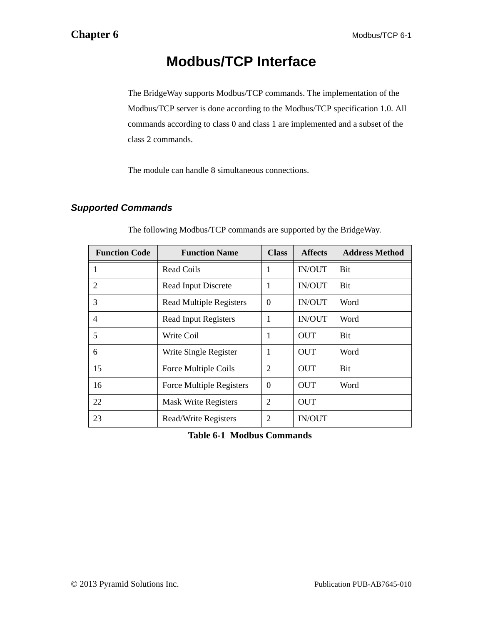# **Modbus/TCP Interface**

The BridgeWay supports Modbus/TCP commands. The implementation of the Modbus/TCP server is done according to the Modbus/TCP specification 1.0. All commands according to class 0 and class 1 are implemented and a subset of the class 2 commands.

The module can handle 8 simultaneous connections.

# *Supported Commands*

| <b>Function Code</b> | <b>Function Name</b>            | <b>Class</b>   | <b>Affects</b> | <b>Address Method</b> |
|----------------------|---------------------------------|----------------|----------------|-----------------------|
|                      | Read Coils                      | 1              | IN/OUT         | Bit                   |
| 2                    | Read Input Discrete             | 1              | <b>IN/OUT</b>  | Bit                   |
| 3                    | <b>Read Multiple Registers</b>  | $\Omega$       | <b>IN/OUT</b>  | Word                  |
| $\overline{4}$       | <b>Read Input Registers</b>     | $\mathbf{1}$   | IN/OUT         | Word                  |
| 5                    | Write Coil                      | 1              | <b>OUT</b>     | Bit                   |
| 6                    | Write Single Register           | 1              | <b>OUT</b>     | Word                  |
| 15                   | Force Multiple Coils            | 2              | <b>OUT</b>     | Bit                   |
| 16                   | <b>Force Multiple Registers</b> | $\Omega$       | OUT            | Word                  |
| 22                   | <b>Mask Write Registers</b>     | $\overline{2}$ | <b>OUT</b>     |                       |
| 23                   | Read/Write Registers            | $\overline{2}$ | <b>IN/OUT</b>  |                       |

The following Modbus/TCP commands are supported by the BridgeWay.

**Table 6-1 Modbus Commands**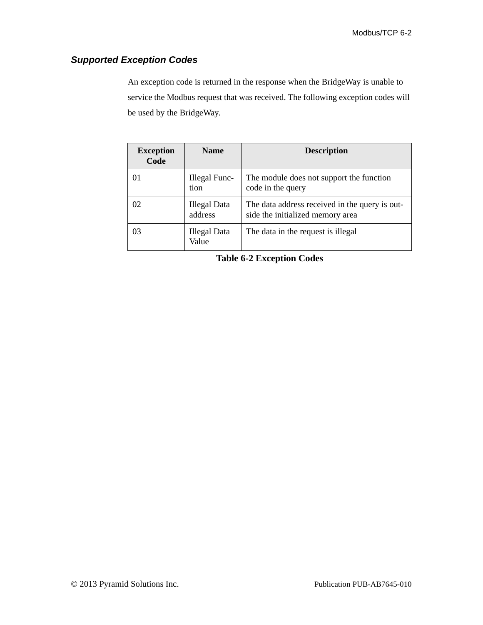# *Supported Exception Codes*

An exception code is returned in the response when the BridgeWay is unable to service the Modbus request that was received. The following exception codes will be used by the BridgeWay.

| <b>Exception</b><br>Code | <b>Name</b>                    | <b>Description</b>                                                                 |
|--------------------------|--------------------------------|------------------------------------------------------------------------------------|
| 01                       | Illegal Func-<br>tion          | The module does not support the function<br>code in the query                      |
| 02                       | <b>Illegal Data</b><br>address | The data address received in the query is out-<br>side the initialized memory area |
| 03                       | <b>Illegal Data</b><br>Value   | The data in the request is illegal                                                 |

**Table 6-2 Exception Codes**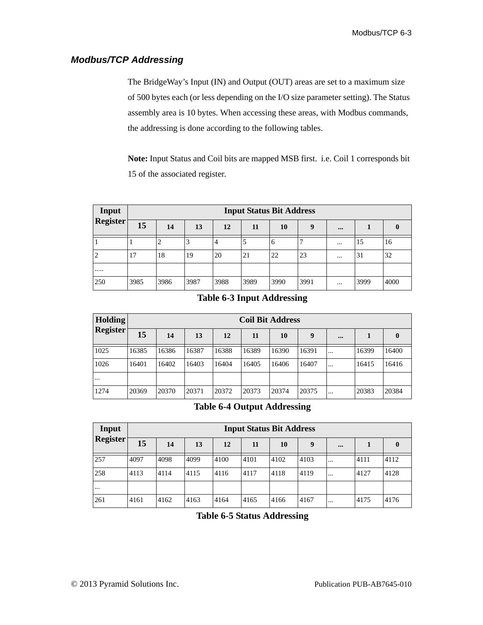# *Modbus/TCP Addressing*

The BridgeWay's Input (IN) and Output (OUT) areas are set to a maximum size of 500 bytes each (or less depending on the I/O size parameter setting). The Status assembly area is 10 bytes. When accessing these areas, with Modbus commands, the addressing is done according to the following tables.

**Note:** Input Status and Coil bits are mapped MSB first. i.e. Coil 1 corresponds bit 15 of the associated register.

| Input           | <b>Input Status Bit Address</b> |      |      |                |      |         |      |          |      |      |
|-----------------|---------------------------------|------|------|----------------|------|---------|------|----------|------|------|
| <b>Register</b> | 15                              | 14   | 13   | 12             | 11   | 10      | Q    |          |      |      |
|                 |                                 |      | Ć    | $\overline{4}$ |      | $\circ$ |      | $\cdots$ | 15   | 16   |
| ∠               | 17                              | 18   | 19   | 20             | 21   | 22      | 23   | $\cdots$ | 31   | 32   |
|                 |                                 |      |      |                |      |         |      |          |      |      |
| 250             | 3985                            | 3986 | 3987 | 3988           | 3989 | 3990    | 3991 | $\cdots$ | 3999 | 4000 |

#### **Table 6-3 Input Addressing**

| <b>Holding</b>  | <b>Coil Bit Address</b> |       |       |       |       |       |       |           |       |          |
|-----------------|-------------------------|-------|-------|-------|-------|-------|-------|-----------|-------|----------|
| <b>Register</b> | 15                      | 14    | 13    | 12    | 11    | 10    | 9     |           |       | $\bf{0}$ |
| 1025            | 16385                   | 16386 | 16387 | 16388 | 16389 | 16390 | 16391 | $\ddotsc$ | 16399 | 16400    |
| 1026            | 16401                   | 16402 | 16403 | 16404 | 16405 | 16406 | 16407 | $\ddotsc$ | 16415 | 16416    |
| $\cdots$        |                         |       |       |       |       |       |       |           |       |          |
| 1274            | 20369                   | 20370 | 20371 | 20372 | 20373 | 20374 | 20375 | $\ddotsc$ | 20383 | 20384    |

#### **Table 6-4 Output Addressing**

| Input           | <b>Input Status Bit Address</b> |      |      |      |      |      |      |          |      |      |
|-----------------|---------------------------------|------|------|------|------|------|------|----------|------|------|
| <b>Register</b> | 15                              | 14   | 13   | 12   | 11   | 10   | 9    |          |      | 0    |
| 257             | 4097                            | 4098 | 4099 | 4100 | 4101 | 4102 | 4103 | $\cdots$ | 4111 | 4112 |
| 258             | 4113                            | 4114 | 4115 | 4116 | 4117 | 4118 | 4119 | $\cdots$ | 4127 | 4128 |
| .               |                                 |      |      |      |      |      |      |          |      |      |
| 261             | 4161                            | 4162 | 4163 | 4164 | 4165 | 4166 | 4167 | $\cdots$ | 4175 | 4176 |

**Table 6-5 Status Addressing**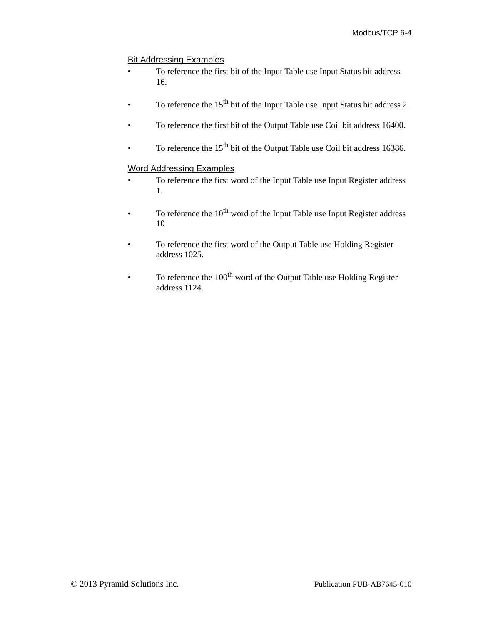### Bit Addressing Examples

- To reference the first bit of the Input Table use Input Status bit address 16.
- To reference the  $15<sup>th</sup>$  bit of the Input Table use Input Status bit address 2
- To reference the first bit of the Output Table use Coil bit address 16400.
- To reference the  $15<sup>th</sup>$  bit of the Output Table use Coil bit address 16386.

#### Word Addressing Examples

- To reference the first word of the Input Table use Input Register address 1.
- To reference the  $10^{th}$  word of the Input Table use Input Register address 10
- To reference the first word of the Output Table use Holding Register address 1025.
- To reference the 100<sup>th</sup> word of the Output Table use Holding Register address 1124.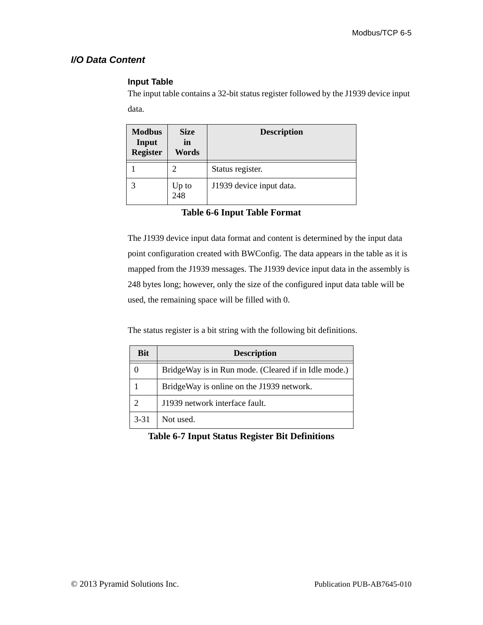# *I/O Data Content*

# **Input Table**

The input table contains a 32-bit status register followed by the J1939 device input data.

| <b>Modbus</b><br>Input<br><b>Register</b> | <b>Size</b><br>in<br>Words | <b>Description</b>       |
|-------------------------------------------|----------------------------|--------------------------|
|                                           |                            | Status register.         |
|                                           | Up to<br>248               | J1939 device input data. |

**Table 6-6 Input Table Format**

The J1939 device input data format and content is determined by the input data point configuration created with BWConfig. The data appears in the table as it is mapped from the J1939 messages. The J1939 device input data in the assembly is 248 bytes long; however, only the size of the configured input data table will be used, the remaining space will be filled with 0.

The status register is a bit string with the following bit definitions.

| <b>Bit</b> | <b>Description</b>                                   |  |  |  |
|------------|------------------------------------------------------|--|--|--|
|            | BridgeWay is in Run mode. (Cleared if in Idle mode.) |  |  |  |
|            | BridgeWay is online on the J1939 network.            |  |  |  |
|            | J1939 network interface fault.                       |  |  |  |
| $3 - 31$   | Not used.                                            |  |  |  |

# **Table 6-7 Input Status Register Bit Definitions**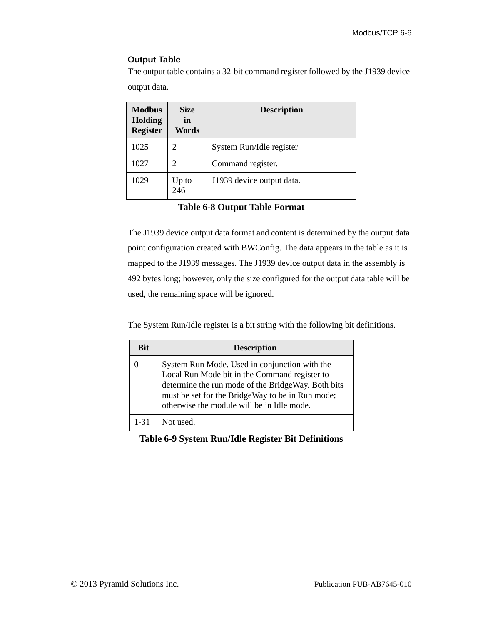#### **Output Table**

The output table contains a 32-bit command register followed by the J1939 device

output data.

| <b>Modbus</b><br><b>Holding</b><br><b>Register</b> | <b>Size</b><br>in<br>Words | <b>Description</b>        |
|----------------------------------------------------|----------------------------|---------------------------|
| 1025                                               | 2                          | System Run/Idle register  |
| 1027                                               | 2                          | Command register.         |
| 1029                                               | Up to<br>246               | J1939 device output data. |

**Table 6-8 Output Table Format**

The J1939 device output data format and content is determined by the output data point configuration created with BWConfig. The data appears in the table as it is mapped to the J1939 messages. The J1939 device output data in the assembly is 492 bytes long; however, only the size configured for the output data table will be used, the remaining space will be ignored.

The System Run/Idle register is a bit string with the following bit definitions.

| <b>Bit</b> | <b>Description</b>                                                                                                                                                                                                                                     |
|------------|--------------------------------------------------------------------------------------------------------------------------------------------------------------------------------------------------------------------------------------------------------|
|            | System Run Mode. Used in conjunction with the<br>Local Run Mode bit in the Command register to<br>determine the run mode of the BridgeWay. Both bits<br>must be set for the BridgeWay to be in Run mode;<br>otherwise the module will be in Idle mode. |
| 1-31       | Not used.                                                                                                                                                                                                                                              |

## **Table 6-9 System Run/Idle Register Bit Definitions**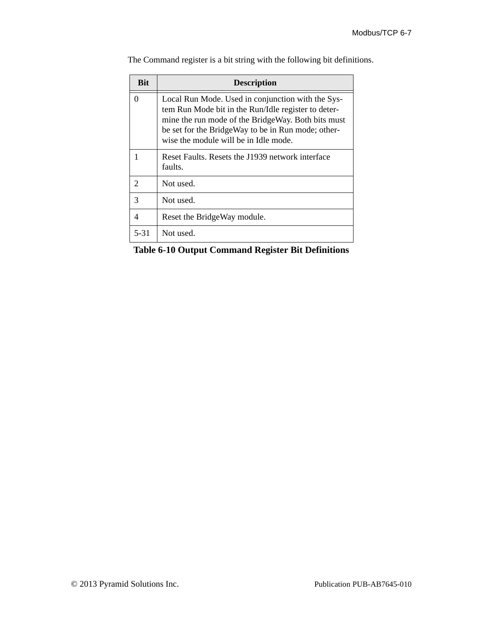| <b>Bit</b>    | <b>Description</b>                                                                                                                                                                                                                                            |  |  |  |
|---------------|---------------------------------------------------------------------------------------------------------------------------------------------------------------------------------------------------------------------------------------------------------------|--|--|--|
| 0             | Local Run Mode. Used in conjunction with the Sys-<br>tem Run Mode bit in the Run/Idle register to deter-<br>mine the run mode of the BridgeWay. Both bits must<br>be set for the BridgeWay to be in Run mode; other-<br>wise the module will be in Idle mode. |  |  |  |
|               | Reset Faults. Resets the J1939 network interface<br>faults.                                                                                                                                                                                                   |  |  |  |
| $\mathcal{D}$ | Not used.                                                                                                                                                                                                                                                     |  |  |  |
| 3             | Not used.                                                                                                                                                                                                                                                     |  |  |  |
| 4             | Reset the BridgeWay module.                                                                                                                                                                                                                                   |  |  |  |
| $5 - 31$      | Not used.                                                                                                                                                                                                                                                     |  |  |  |

The Command register is a bit string with the following bit definitions.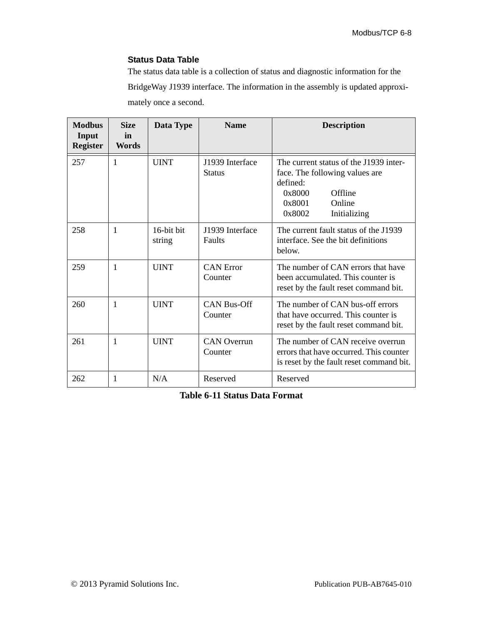#### **Status Data Table**

The status data table is a collection of status and diagnostic information for the BridgeWay J1939 interface. The information in the assembly is updated approximately once a second.

| <b>Modbus</b><br>Input<br><b>Register</b> | <b>Size</b><br>in<br>Words | Data Type            | <b>Name</b>                      | <b>Description</b>                                                                                                                                      |
|-------------------------------------------|----------------------------|----------------------|----------------------------------|---------------------------------------------------------------------------------------------------------------------------------------------------------|
| 257                                       | 1                          | <b>UINT</b>          | J1939 Interface<br><b>Status</b> | The current status of the J1939 inter-<br>face. The following values are<br>defined:<br>Offline<br>0x8000<br>0x8001<br>Online<br>0x8002<br>Initializing |
| 258                                       | 1                          | 16-bit bit<br>string | J1939 Interface<br>Faults        | The current fault status of the J1939<br>interface. See the bit definitions<br>below.                                                                   |
| 259                                       | 1                          | <b>UINT</b>          | <b>CAN</b> Error<br>Counter      | The number of CAN errors that have<br>been accumulated. This counter is<br>reset by the fault reset command bit.                                        |
| 260                                       | 1                          | <b>UINT</b>          | <b>CAN Bus-Off</b><br>Counter    | The number of CAN bus-off errors<br>that have occurred. This counter is<br>reset by the fault reset command bit.                                        |
| 261                                       | 1                          | <b>UINT</b>          | <b>CAN</b> Overrun<br>Counter    | The number of CAN receive overrun<br>errors that have occurred. This counter<br>is reset by the fault reset command bit.                                |
| 262                                       | 1                          | N/A<br>Reserved      |                                  | Reserved                                                                                                                                                |

**Table 6-11 Status Data Format**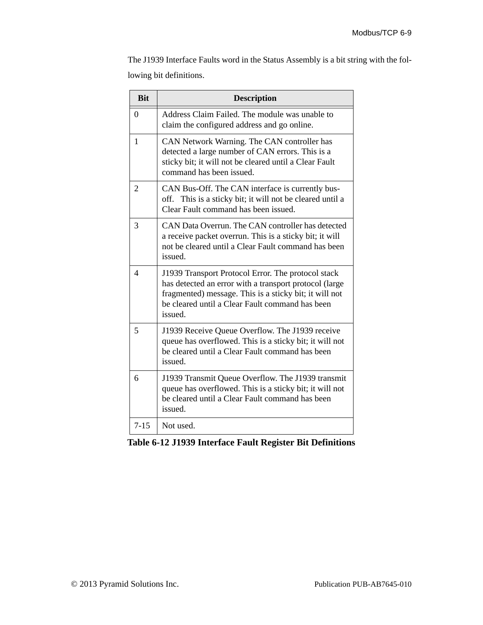The J1939 Interface Faults word in the Status Assembly is a bit string with the following bit definitions.

| <b>Bit</b>            | <b>Description</b>                                                                                                                                                                                                                   |
|-----------------------|--------------------------------------------------------------------------------------------------------------------------------------------------------------------------------------------------------------------------------------|
| $\theta$              | Address Claim Failed. The module was unable to<br>claim the configured address and go online.                                                                                                                                        |
| $\mathbf{1}$          | CAN Network Warning. The CAN controller has<br>detected a large number of CAN errors. This is a<br>sticky bit; it will not be cleared until a Clear Fault<br>command has been issued.                                                |
| $\overline{2}$        | CAN Bus-Off. The CAN interface is currently bus-<br>off. This is a sticky bit; it will not be cleared until a<br>Clear Fault command has been issued.                                                                                |
| 3                     | CAN Data Overrun. The CAN controller has detected<br>a receive packet overrun. This is a sticky bit; it will<br>not be cleared until a Clear Fault command has been<br>issued.                                                       |
| $\boldsymbol{\Delta}$ | J1939 Transport Protocol Error. The protocol stack<br>has detected an error with a transport protocol (large<br>fragmented) message. This is a sticky bit; it will not<br>be cleared until a Clear Fault command has been<br>issued. |
| 5                     | J1939 Receive Queue Overflow. The J1939 receive<br>queue has overflowed. This is a sticky bit; it will not<br>be cleared until a Clear Fault command has been<br>issued.                                                             |
| 6                     | J1939 Transmit Queue Overflow. The J1939 transmit<br>queue has overflowed. This is a sticky bit; it will not<br>be cleared until a Clear Fault command has been<br>issued.                                                           |
| $7 - 15$              | Not used.                                                                                                                                                                                                                            |

**Table 6-12 J1939 Interface Fault Register Bit Definitions**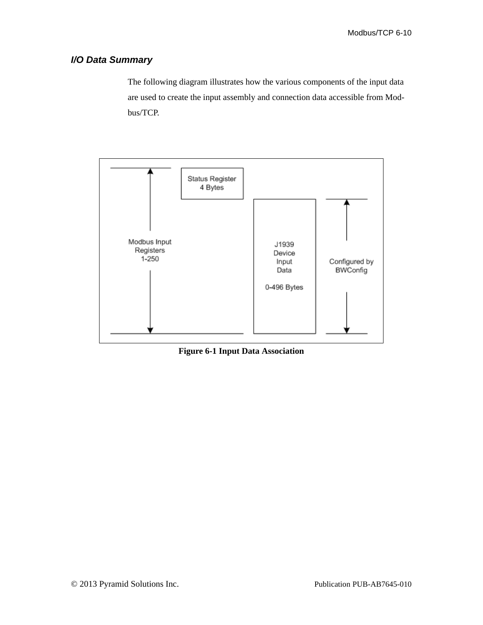### *I/O Data Summary*

The following diagram illustrates how the various components of the input data are used to create the input assembly and connection data accessible from Modbus/TCP.



**Figure 6-1 Input Data Association**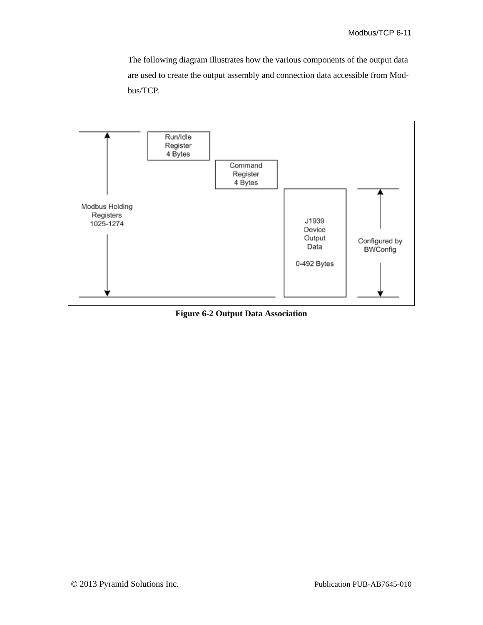The following diagram illustrates how the various components of the output data are used to create the output assembly and connection data accessible from Modbus/TCP.



**Figure 6-2 Output Data Association**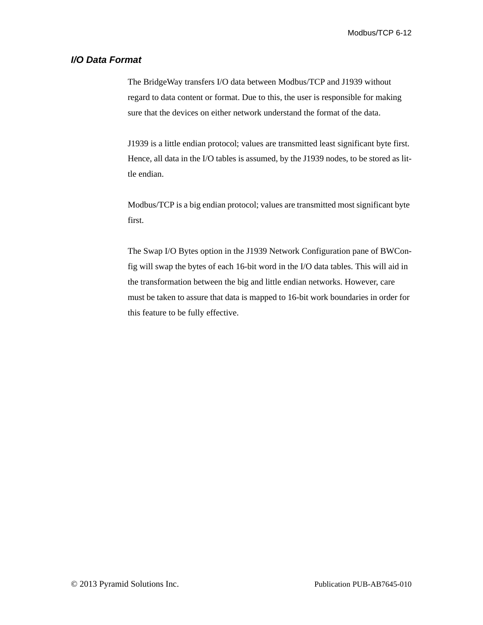### *I/O Data Format*

The BridgeWay transfers I/O data between Modbus/TCP and J1939 without regard to data content or format. Due to this, the user is responsible for making sure that the devices on either network understand the format of the data.

J1939 is a little endian protocol; values are transmitted least significant byte first. Hence, all data in the I/O tables is assumed, by the J1939 nodes, to be stored as little endian.

Modbus/TCP is a big endian protocol; values are transmitted most significant byte first.

The Swap I/O Bytes option in the J1939 Network Configuration pane of BWConfig will swap the bytes of each 16-bit word in the I/O data tables. This will aid in the transformation between the big and little endian networks. However, care must be taken to assure that data is mapped to 16-bit work boundaries in order for this feature to be fully effective.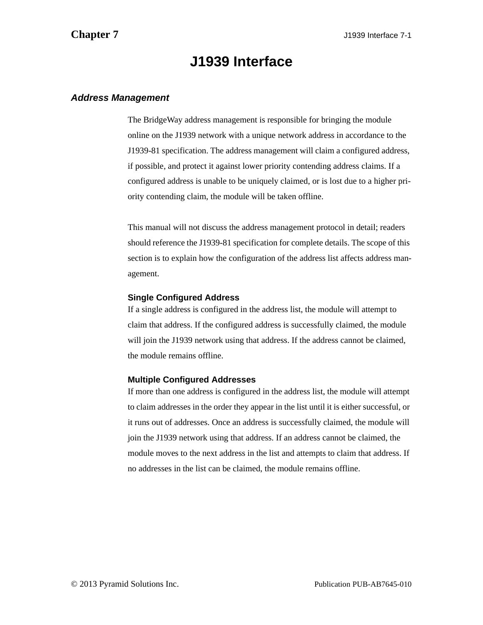# **J1939 Interface**

### <span id="page-76-0"></span>*Address Management*

The BridgeWay address management is responsible for bringing the module online on the J1939 network with a unique network address in accordance to the J1939-81 specification. The address management will claim a configured address, if possible, and protect it against lower priority contending address claims. If a configured address is unable to be uniquely claimed, or is lost due to a higher priority contending claim, the module will be taken offline.

This manual will not discuss the address management protocol in detail; readers should reference the J1939-81 specification for complete details. The scope of this section is to explain how the configuration of the address list affects address management.

### **Single Configured Address**

If a single address is configured in the address list, the module will attempt to claim that address. If the configured address is successfully claimed, the module will join the J1939 network using that address. If the address cannot be claimed, the module remains offline.

### **Multiple Configured Addresses**

If more than one address is configured in the address list, the module will attempt to claim addresses in the order they appear in the list until it is either successful, or it runs out of addresses. Once an address is successfully claimed, the module will join the J1939 network using that address. If an address cannot be claimed, the module moves to the next address in the list and attempts to claim that address. If no addresses in the list can be claimed, the module remains offline.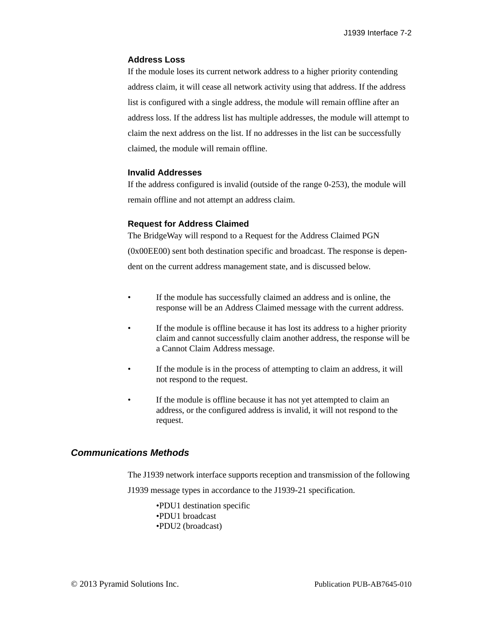### **Address Loss**

If the module loses its current network address to a higher priority contending address claim, it will cease all network activity using that address. If the address list is configured with a single address, the module will remain offline after an address loss. If the address list has multiple addresses, the module will attempt to claim the next address on the list. If no addresses in the list can be successfully claimed, the module will remain offline.

### **Invalid Addresses**

If the address configured is invalid (outside of the range 0-253), the module will remain offline and not attempt an address claim.

### **Request for Address Claimed**

The BridgeWay will respond to a Request for the Address Claimed PGN (0x00EE00) sent both destination specific and broadcast. The response is dependent on the current address management state, and is discussed below.

- If the module has successfully claimed an address and is online, the response will be an Address Claimed message with the current address.
- If the module is offline because it has lost its address to a higher priority claim and cannot successfully claim another address, the response will be a Cannot Claim Address message.
- If the module is in the process of attempting to claim an address, it will not respond to the request.
- If the module is offline because it has not yet attempted to claim an address, or the configured address is invalid, it will not respond to the request.

### *Communications Methods*

The J1939 network interface supports reception and transmission of the following J1939 message types in accordance to the J1939-21 specification.

> •PDU1 destination specific •PDU1 broadcast •PDU2 (broadcast)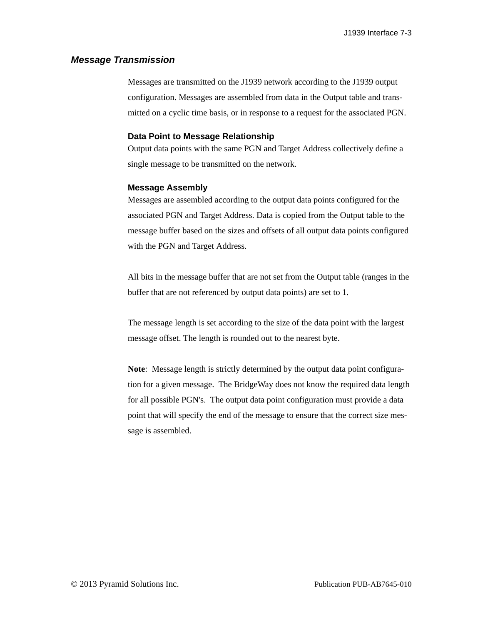### <span id="page-78-0"></span>*Message Transmission*

Messages are transmitted on the J1939 network according to the J1939 output configuration. Messages are assembled from data in the Output table and transmitted on a cyclic time basis, or in response to a request for the associated PGN.

### **Data Point to Message Relationship**

Output data points with the same PGN and Target Address collectively define a single message to be transmitted on the network.

### **Message Assembly**

Messages are assembled according to the output data points configured for the associated PGN and Target Address. Data is copied from the Output table to the message buffer based on the sizes and offsets of all output data points configured with the PGN and Target Address.

All bits in the message buffer that are not set from the Output table (ranges in the buffer that are not referenced by output data points) are set to 1.

The message length is set according to the size of the data point with the largest message offset. The length is rounded out to the nearest byte.

**Note**: Message length is strictly determined by the output data point configuration for a given message. The BridgeWay does not know the required data length for all possible PGN's. The output data point configuration must provide a data point that will specify the end of the message to ensure that the correct size message is assembled.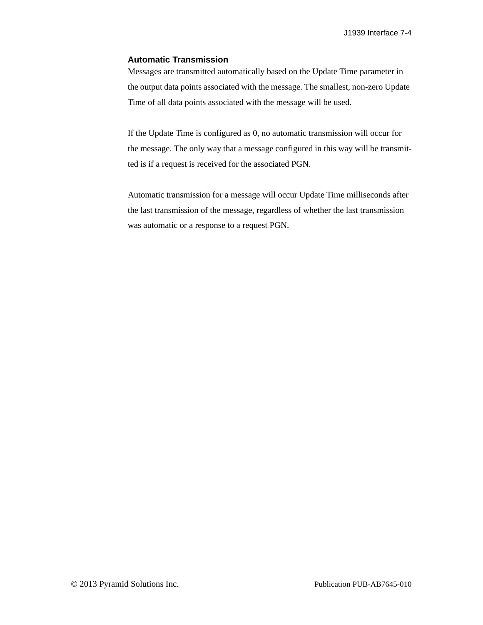### **Automatic Transmission**

Messages are transmitted automatically based on the Update Time parameter in the output data points associated with the message. The smallest, non-zero Update Time of all data points associated with the message will be used.

If the Update Time is configured as 0, no automatic transmission will occur for the message. The only way that a message configured in this way will be transmitted is if a request is received for the associated PGN.

Automatic transmission for a message will occur Update Time milliseconds after the last transmission of the message, regardless of whether the last transmission was automatic or a response to a request PGN.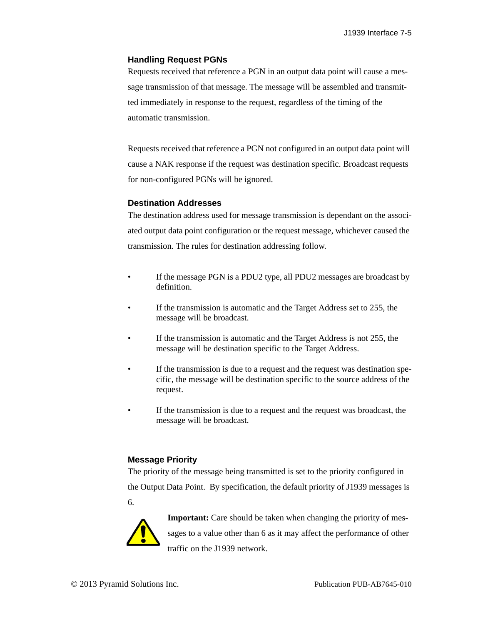### **Handling Request PGNs**

Requests received that reference a PGN in an output data point will cause a message transmission of that message. The message will be assembled and transmitted immediately in response to the request, regardless of the timing of the automatic transmission.

Requests received that reference a PGN not configured in an output data point will cause a NAK response if the request was destination specific. Broadcast requests for non-configured PGNs will be ignored.

### **Destination Addresses**

The destination address used for message transmission is dependant on the associated output data point configuration or the request message, whichever caused the transmission. The rules for destination addressing follow.

- If the message PGN is a PDU2 type, all PDU2 messages are broadcast by definition.
- If the transmission is automatic and the Target Address set to 255, the message will be broadcast.
- If the transmission is automatic and the Target Address is not 255, the message will be destination specific to the Target Address.
- If the transmission is due to a request and the request was destination specific, the message will be destination specific to the source address of the request.
- If the transmission is due to a request and the request was broadcast, the message will be broadcast.

### **Message Priority**

The priority of the message being transmitted is set to the priority configured in the Output Data Point. By specification, the default priority of J1939 messages is 6.



**Important:** Care should be taken when changing the priority of messages to a value other than 6 as it may affect the performance of other traffic on the J1939 network.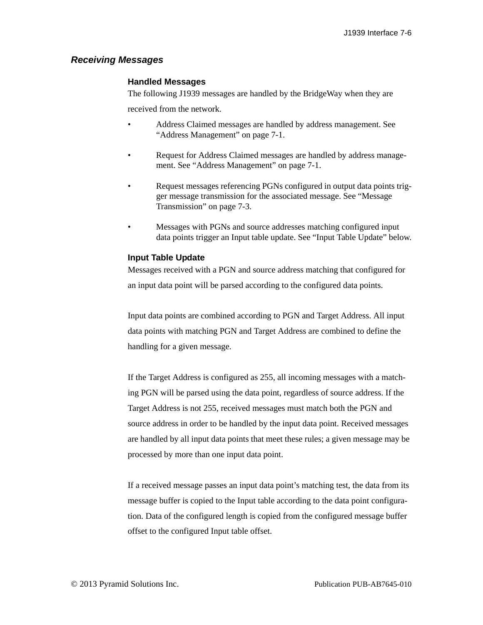### *Receiving Messages*

### **Handled Messages**

The following J1939 messages are handled by the BridgeWay when they are

received from the network.

- Address Claimed messages are handled by address management. See ["Address Management" on page 7-1](#page-76-0).
- Request for Address Claimed messages are handled by address management. See ["Address Management" on page 7-1.](#page-76-0)
- Request messages referencing PGNs configured in output data points trigger message transmission for the associated message. See ["Message](#page-78-0)  [Transmission" on page 7-3](#page-78-0).
- Messages with PGNs and source addresses matching configured input data points trigger an Input table update. See "Input Table Update" below.

### **Input Table Update**

Messages received with a PGN and source address matching that configured for an input data point will be parsed according to the configured data points.

Input data points are combined according to PGN and Target Address. All input data points with matching PGN and Target Address are combined to define the handling for a given message.

If the Target Address is configured as 255, all incoming messages with a matching PGN will be parsed using the data point, regardless of source address. If the Target Address is not 255, received messages must match both the PGN and source address in order to be handled by the input data point. Received messages are handled by all input data points that meet these rules; a given message may be processed by more than one input data point.

If a received message passes an input data point's matching test, the data from its message buffer is copied to the Input table according to the data point configuration. Data of the configured length is copied from the configured message buffer offset to the configured Input table offset.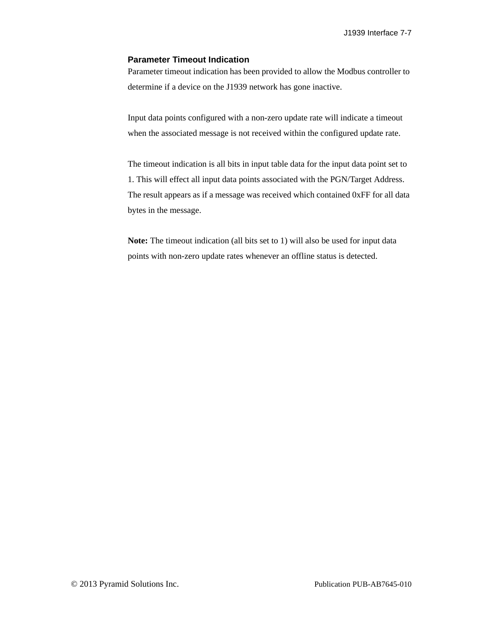### **Parameter Timeout Indication**

Parameter timeout indication has been provided to allow the Modbus controller to determine if a device on the J1939 network has gone inactive.

Input data points configured with a non-zero update rate will indicate a timeout when the associated message is not received within the configured update rate.

The timeout indication is all bits in input table data for the input data point set to 1. This will effect all input data points associated with the PGN/Target Address. The result appears as if a message was received which contained 0xFF for all data bytes in the message.

**Note:** The timeout indication (all bits set to 1) will also be used for input data points with non-zero update rates whenever an offline status is detected.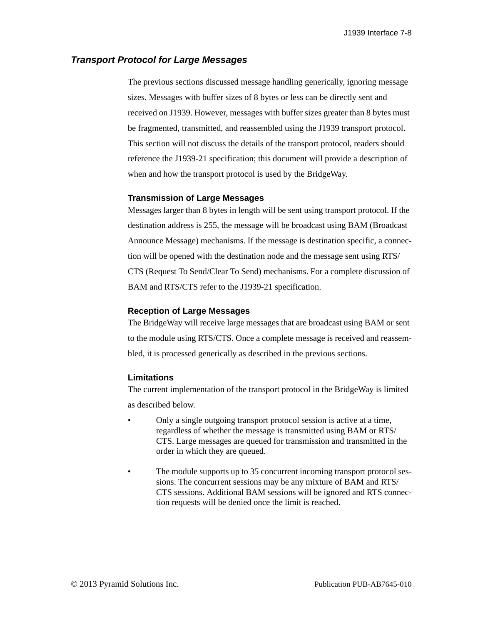### *Transport Protocol for Large Messages*

The previous sections discussed message handling generically, ignoring message sizes. Messages with buffer sizes of 8 bytes or less can be directly sent and received on J1939. However, messages with buffer sizes greater than 8 bytes must be fragmented, transmitted, and reassembled using the J1939 transport protocol. This section will not discuss the details of the transport protocol, readers should reference the J1939-21 specification; this document will provide a description of when and how the transport protocol is used by the BridgeWay.

#### **Transmission of Large Messages**

Messages larger than 8 bytes in length will be sent using transport protocol. If the destination address is 255, the message will be broadcast using BAM (Broadcast Announce Message) mechanisms. If the message is destination specific, a connection will be opened with the destination node and the message sent using RTS/ CTS (Request To Send/Clear To Send) mechanisms. For a complete discussion of BAM and RTS/CTS refer to the J1939-21 specification.

#### **Reception of Large Messages**

The BridgeWay will receive large messages that are broadcast using BAM or sent to the module using RTS/CTS. Once a complete message is received and reassembled, it is processed generically as described in the previous sections.

#### **Limitations**

The current implementation of the transport protocol in the BridgeWay is limited as described below.

- Only a single outgoing transport protocol session is active at a time, regardless of whether the message is transmitted using BAM or RTS/ CTS. Large messages are queued for transmission and transmitted in the order in which they are queued.
- The module supports up to 35 concurrent incoming transport protocol sessions. The concurrent sessions may be any mixture of BAM and RTS/ CTS sessions. Additional BAM sessions will be ignored and RTS connection requests will be denied once the limit is reached.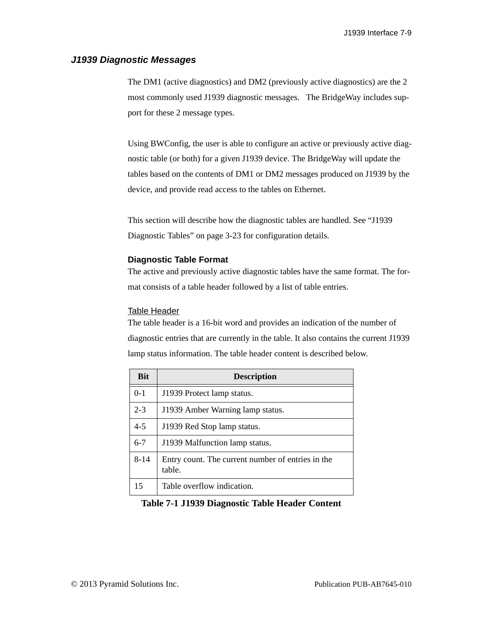### *J1939 Diagnostic Messages*

The DM1 (active diagnostics) and DM2 (previously active diagnostics) are the 2 most commonly used J1939 diagnostic messages. The BridgeWay includes support for these 2 message types.

Using BWConfig, the user is able to configure an active or previously active diagnostic table (or both) for a given J1939 device. The BridgeWay will update the tables based on the contents of DM1 or DM2 messages produced on J1939 by the device, and provide read access to the tables on Ethernet.

This section will describe how the diagnostic tables are handled. See ["J1939](#page-40-0)  [Diagnostic Tables" on page 3-23](#page-40-0) for configuration details.

### **Diagnostic Table Format**

The active and previously active diagnostic tables have the same format. The format consists of a table header followed by a list of table entries.

### Table Header

The table header is a 16-bit word and provides an indication of the number of diagnostic entries that are currently in the table. It also contains the current J1939 lamp status information. The table header content is described below.

| <b>Bit</b> | <b>Description</b>                                          |
|------------|-------------------------------------------------------------|
| $0 - 1$    | J1939 Protect lamp status.                                  |
| $2 - 3$    | J1939 Amber Warning lamp status.                            |
| $4 - 5$    | J1939 Red Stop lamp status.                                 |
| $6 - 7$    | J1939 Malfunction lamp status.                              |
| $8 - 14$   | Entry count. The current number of entries in the<br>table. |
| 15         | Table overflow indication.                                  |

### **Table 7-1 J1939 Diagnostic Table Header Content**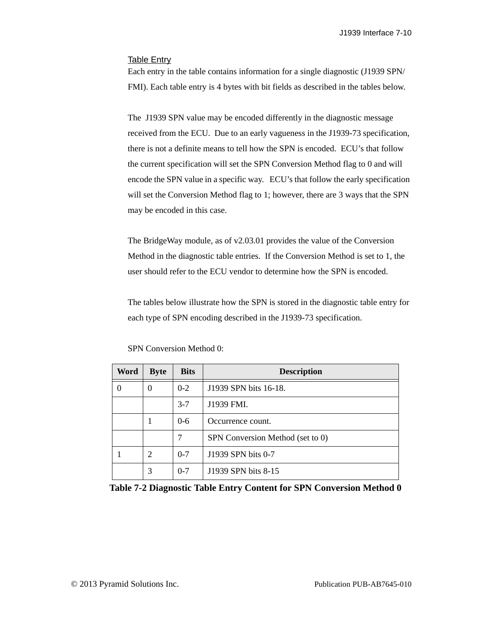### Table Entry

Each entry in the table contains information for a single diagnostic (J1939 SPN/ FMI). Each table entry is 4 bytes with bit fields as described in the tables below.

The J1939 SPN value may be encoded differently in the diagnostic message received from the ECU. Due to an early vagueness in the J1939-73 specification, there is not a definite means to tell how the SPN is encoded. ECU's that follow the current specification will set the SPN Conversion Method flag to 0 and will encode the SPN value in a specific way. ECU's that follow the early specification will set the Conversion Method flag to 1; however, there are 3 ways that the SPN may be encoded in this case.

The BridgeWay module, as of v2.03.01 provides the value of the Conversion Method in the diagnostic table entries. If the Conversion Method is set to 1, the user should refer to the ECU vendor to determine how the SPN is encoded.

The tables below illustrate how the SPN is stored in the diagnostic table entry for each type of SPN encoding described in the J1939-73 specification.

| Word | <b>Byte</b>    | <b>Bits</b> | <b>Description</b>               |  |
|------|----------------|-------------|----------------------------------|--|
| 0    | 0              | $0 - 2$     | J1939 SPN bits 16-18.            |  |
|      |                | $3 - 7$     | J1939 FMI.                       |  |
|      | 1              | $0-6$       | Occurrence count.                |  |
|      |                | 7           | SPN Conversion Method (set to 0) |  |
|      | $\overline{2}$ | $0 - 7$     | J1939 SPN bits 0-7               |  |
|      | 3              | $0 - 7$     | J1939 SPN bits 8-15              |  |

SPN Conversion Method 0:

**Table 7-2 Diagnostic Table Entry Content for SPN Conversion Method 0**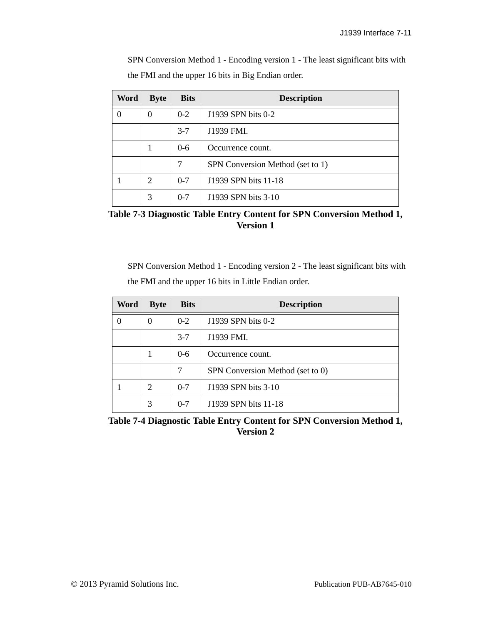SPN Conversion Method 1 - Encoding version 1 - The least significant bits with the FMI and the upper 16 bits in Big Endian order.

| Word | <b>Byte</b> | <b>Bits</b> | <b>Description</b>               |  |
|------|-------------|-------------|----------------------------------|--|
| 0    | $\theta$    | $0 - 2$     | J1939 SPN bits 0-2               |  |
|      |             | $3 - 7$     | J1939 FMI.                       |  |
|      | 1           | $0 - 6$     | Occurrence count.                |  |
|      |             | 7           | SPN Conversion Method (set to 1) |  |
|      | 2           | $0 - 7$     | J1939 SPN bits 11-18             |  |
|      | 3           | $0 - 7$     | J1939 SPN bits 3-10              |  |

**Table 7-3 Diagnostic Table Entry Content for SPN Conversion Method 1, Version 1**

SPN Conversion Method 1 - Encoding version 2 - The least significant bits with the FMI and the upper 16 bits in Little Endian order.

| Word | <b>Byte</b> | <b>Bits</b> | <b>Description</b>               |  |
|------|-------------|-------------|----------------------------------|--|
| 0    | 0           | $0 - 2$     | J1939 SPN bits 0-2               |  |
|      |             | $3 - 7$     | J1939 FMI.                       |  |
|      |             | $0 - 6$     | Occurrence count.                |  |
|      |             |             | SPN Conversion Method (set to 0) |  |
|      | 2           | $0 - 7$     | J1939 SPN bits 3-10              |  |
|      | 3           | $0 - 7$     | J1939 SPN bits 11-18             |  |

**Table 7-4 Diagnostic Table Entry Content for SPN Conversion Method 1, Version 2**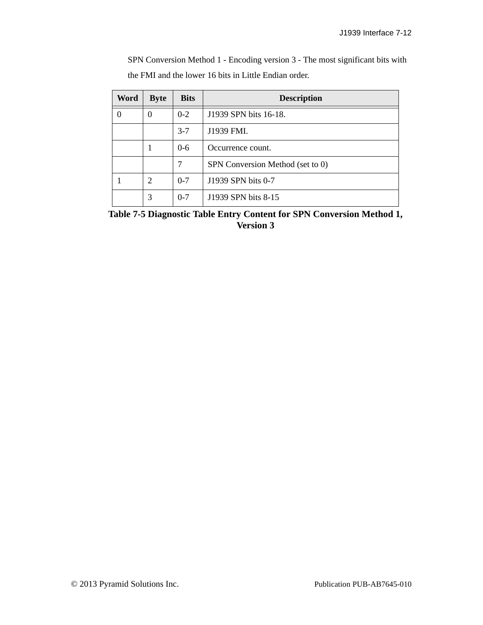SPN Conversion Method 1 - Encoding version 3 - The most significant bits with the FMI and the lower 16 bits in Little Endian order.

| Word | <b>Byte</b>    | <b>Bits</b> | <b>Description</b>               |  |
|------|----------------|-------------|----------------------------------|--|
| 0    | 0              | $0 - 2$     | J1939 SPN bits 16-18.            |  |
|      |                | $3 - 7$     | J1939 FMI.                       |  |
|      |                | $0-6$       | Occurrence count.                |  |
|      |                | 7           | SPN Conversion Method (set to 0) |  |
|      | $\overline{2}$ | $0 - 7$     | J1939 SPN bits 0-7               |  |
|      | 3              | $0 - 7$     | J1939 SPN bits 8-15              |  |

**Table 7-5 Diagnostic Table Entry Content for SPN Conversion Method 1, Version 3**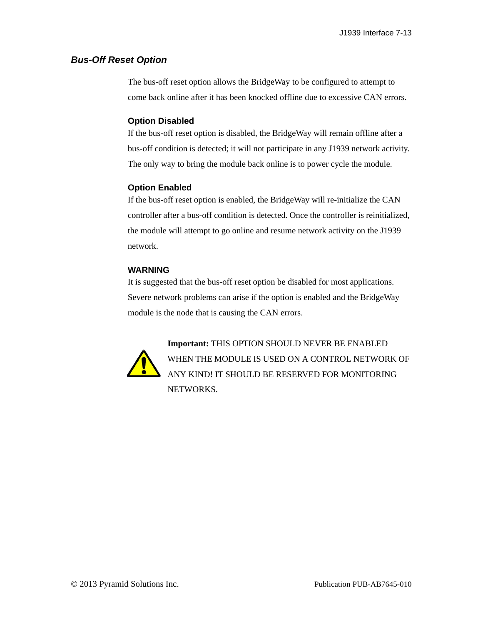### *Bus-Off Reset Option*

The bus-off reset option allows the BridgeWay to be configured to attempt to come back online after it has been knocked offline due to excessive CAN errors.

### **Option Disabled**

If the bus-off reset option is disabled, the BridgeWay will remain offline after a bus-off condition is detected; it will not participate in any J1939 network activity. The only way to bring the module back online is to power cycle the module.

### **Option Enabled**

If the bus-off reset option is enabled, the BridgeWay will re-initialize the CAN controller after a bus-off condition is detected. Once the controller is reinitialized, the module will attempt to go online and resume network activity on the J1939 network.

### **WARNING**

It is suggested that the bus-off reset option be disabled for most applications. Severe network problems can arise if the option is enabled and the BridgeWay module is the node that is causing the CAN errors.



**Important:** THIS OPTION SHOULD NEVER BE ENABLED WHEN THE MODULE IS USED ON A CONTROL NETWORK OF ANY KIND! IT SHOULD BE RESERVED FOR MONITORING NETWORKS.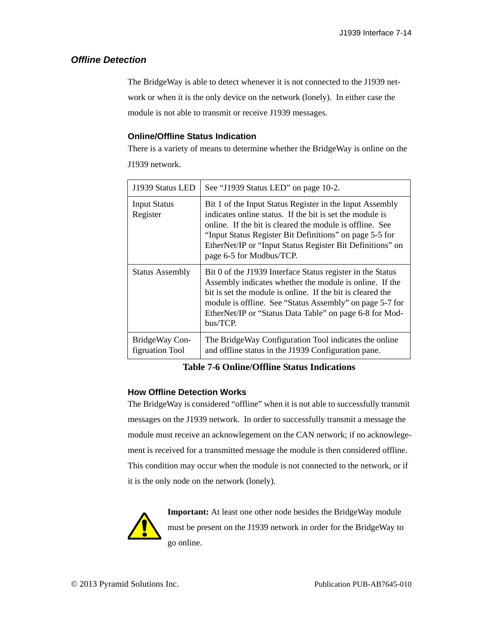### *Offline Detection*

The BridgeWay is able to detect whenever it is not connected to the J1939 network or when it is the only device on the network (lonely). In either case the module is not able to transmit or receive J1939 messages.

### **Online/Offline Status Indication**

There is a variety of means to determine whether the BridgeWay is online on the J1939 network.

| J1939 Status LED                  | See "J1939 Status LED" on page 10-2.                                                                                                                                                                                                                                                                                                 |
|-----------------------------------|--------------------------------------------------------------------------------------------------------------------------------------------------------------------------------------------------------------------------------------------------------------------------------------------------------------------------------------|
| <b>Input Status</b><br>Register   | Bit 1 of the Input Status Register in the Input Assembly<br>indicates online status. If the bit is set the module is<br>online. If the bit is cleared the module is offline. See<br>"Input Status Register Bit Definitions" on page 5-5 for<br>EtherNet/IP or "Input Status Register Bit Definitions" on<br>page 6-5 for Modbus/TCP. |
| <b>Status Assembly</b>            | Bit 0 of the J1939 Interface Status register in the Status<br>Assembly indicates whether the module is online. If the<br>bit is set the module is online. If the bit is cleared the<br>module is offline. See "Status Assembly" on page 5-7 for<br>EtherNet/IP or "Status Data Table" on page 6-8 for Mod-<br>bus/TCP.               |
| BridgeWay Con-<br>figruation Tool | The BridgeWay Configuration Tool indicates the online<br>and offline status in the J1939 Configuration pane.                                                                                                                                                                                                                         |

**Table 7-6 Online/Offline Status Indications**

### **How Offline Detection Works**

The BridgeWay is considered "offline" when it is not able to successfully transmit messages on the J1939 network. In order to successfully transmit a message the module must receive an acknowlegement on the CAN network; if no acknowlegement is received for a transmitted message the module is then considered offline. This condition may occur when the module is not connected to the network, or if it is the only node on the network (lonely).



**Important:** At least one other node besides the BridgeWay module must be present on the J1939 network in order for the BridgeWay to go online.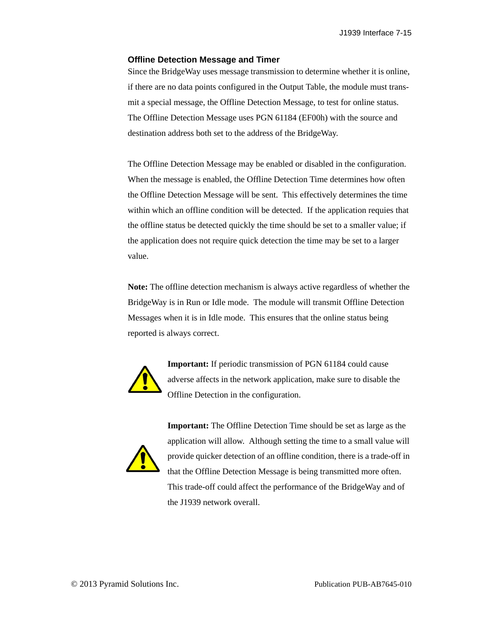J1939 Interface 7-15

#### **Offline Detection Message and Timer**

Since the BridgeWay uses message transmission to determine whether it is online, if there are no data points configured in the Output Table, the module must transmit a special message, the Offline Detection Message, to test for online status. The Offline Detection Message uses PGN 61184 (EF00h) with the source and destination address both set to the address of the BridgeWay.

The Offline Detection Message may be enabled or disabled in the configuration. When the message is enabled, the Offline Detection Time determines how often the Offline Detection Message will be sent. This effectively determines the time within which an offline condition will be detected. If the application requies that the offline status be detected quickly the time should be set to a smaller value; if the application does not require quick detection the time may be set to a larger value.

**Note:** The offline detection mechanism is always active regardless of whether the BridgeWay is in Run or Idle mode. The module will transmit Offline Detection Messages when it is in Idle mode. This ensures that the online status being reported is always correct.



**Important:** If periodic transmission of PGN 61184 could cause adverse affects in the network application, make sure to disable the Offline Detection in the configuration.



**Important:** The Offline Detection Time should be set as large as the application will allow. Although setting the time to a small value will provide quicker detection of an offline condition, there is a trade-off in that the Offline Detection Message is being transmitted more often. This trade-off could affect the performance of the BridgeWay and of the J1939 network overall.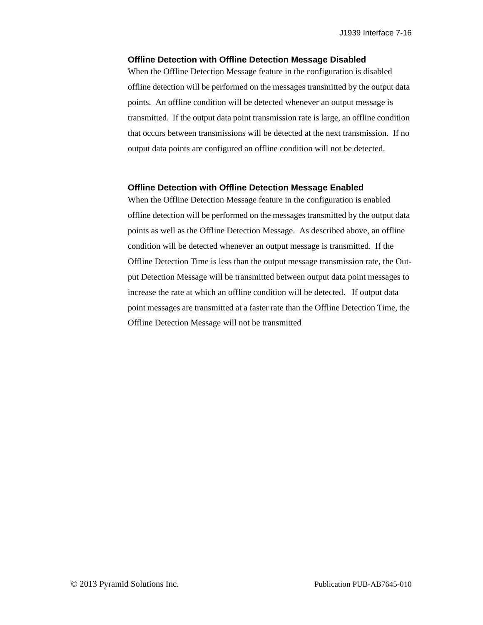#### **Offline Detection with Offline Detection Message Disabled**

When the Offline Detection Message feature in the configuration is disabled offline detection will be performed on the messages transmitted by the output data points. An offline condition will be detected whenever an output message is transmitted. If the output data point transmission rate is large, an offline condition that occurs between transmissions will be detected at the next transmission. If no output data points are configured an offline condition will not be detected.

#### **Offline Detection with Offline Detection Message Enabled**

When the Offline Detection Message feature in the configuration is enabled offline detection will be performed on the messages transmitted by the output data points as well as the Offline Detection Message. As described above, an offline condition will be detected whenever an output message is transmitted. If the Offline Detection Time is less than the output message transmission rate, the Output Detection Message will be transmitted between output data point messages to increase the rate at which an offline condition will be detected. If output data point messages are transmitted at a faster rate than the Offline Detection Time, the Offline Detection Message will not be transmitted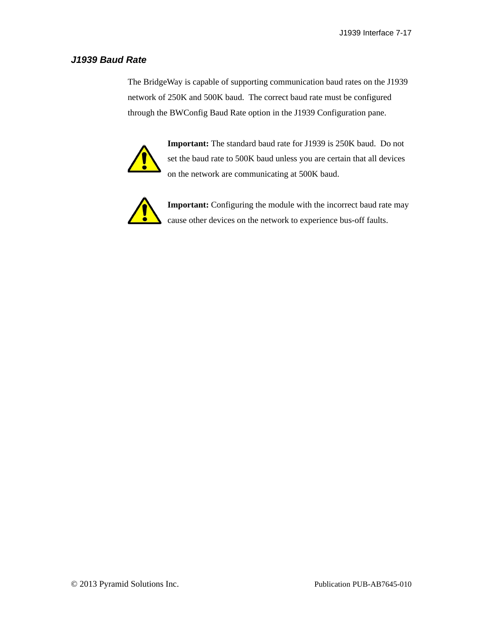### *J1939 Baud Rate*

The BridgeWay is capable of supporting communication baud rates on the J1939 network of 250K and 500K baud. The correct baud rate must be configured through the BWConfig Baud Rate option in the J1939 Configuration pane.



**Important:** The standard baud rate for J1939 is 250K baud. Do not set the baud rate to 500K baud unless you are certain that all devices on the network are communicating at 500K baud.



**Important:** Configuring the module with the incorrect baud rate may cause other devices on the network to experience bus-off faults.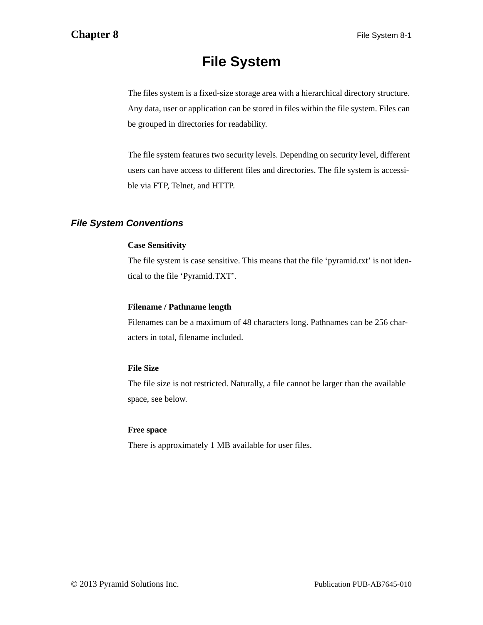# **File System**

The files system is a fixed-size storage area with a hierarchical directory structure. Any data, user or application can be stored in files within the file system. Files can be grouped in directories for readability.

The file system features two security levels. Depending on security level, different users can have access to different files and directories. The file system is accessible via FTP, Telnet, and HTTP.

## *File System Conventions*

### **Case Sensitivity**

The file system is case sensitive. This means that the file 'pyramid.txt' is not identical to the file 'Pyramid.TXT'.

### **Filename / Pathname length**

Filenames can be a maximum of 48 characters long. Pathnames can be 256 characters in total, filename included.

### **File Size**

The file size is not restricted. Naturally, a file cannot be larger than the available space, see below.

### **Free space**

There is approximately 1 MB available for user files.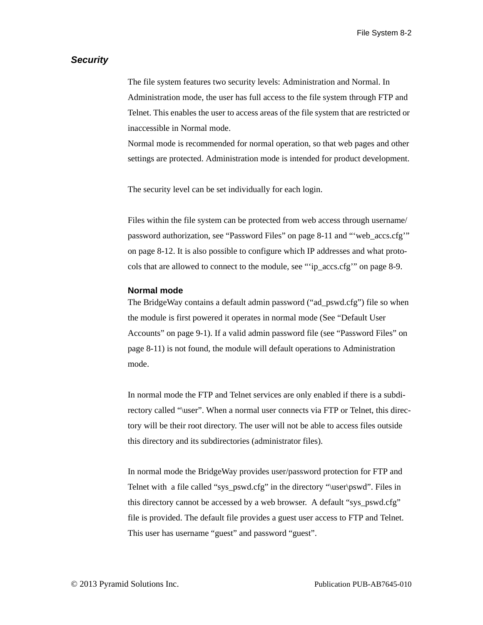### *Security*

The file system features two security levels: Administration and Normal. In Administration mode, the user has full access to the file system through FTP and Telnet. This enables the user to access areas of the file system that are restricted or inaccessible in Normal mode.

Normal mode is recommended for normal operation, so that web pages and other settings are protected. Administration mode is intended for product development.

The security level can be set individually for each login.

Files within the file system can be protected from web access through username/ password authorization, see ["Password Files" on page 8-11](#page-103-0) and ["'web\\_accs.cfg'"](#page-104-0)  [on page 8-12](#page-104-0). It is also possible to configure which IP addresses and what protocols that are allowed to connect to the module, see ["'ip\\_accs.cfg'" on page 8-9.](#page-101-0)

### **Normal mode**

The BridgeWay contains a default admin password ("ad\_pswd.cfg") file so when the module is first powered it operates in normal mode (See ["Default User](#page-110-0)  [Accounts" on page 9-1](#page-110-0)). If a valid admin password file (see ["Password Files" on](#page-103-0)  [page 8-11](#page-103-0)) is not found, the module will default operations to Administration mode.

In normal mode the FTP and Telnet services are only enabled if there is a subdirectory called "\user". When a normal user connects via FTP or Telnet, this directory will be their root directory. The user will not be able to access files outside this directory and its subdirectories (administrator files).

In normal mode the BridgeWay provides user/password protection for FTP and Telnet with a file called "sys\_pswd.cfg" in the directory "\user\pswd". Files in this directory cannot be accessed by a web browser. A default "sys\_pswd.cfg" file is provided. The default file provides a guest user access to FTP and Telnet. This user has username "guest" and password "guest".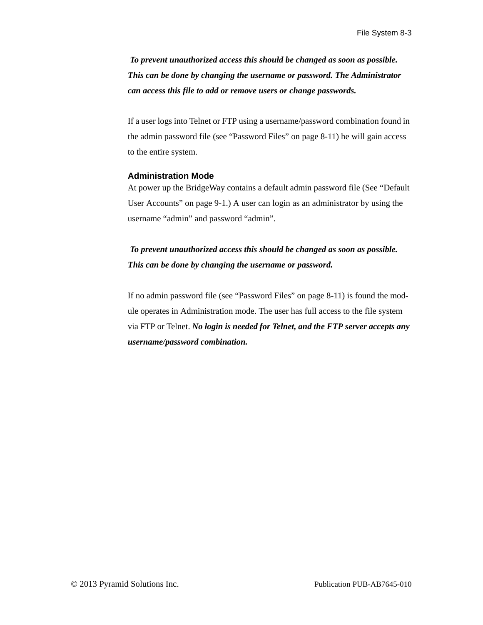*To prevent unauthorized access this should be changed as soon as possible. This can be done by changing the username or password. The Administrator can access this file to add or remove users or change passwords.*

If a user logs into Telnet or FTP using a username/password combination found in the admin password file (see ["Password Files" on page 8-11](#page-103-0)) he will gain access to the entire system.

#### **Administration Mode**

At power up the BridgeWay contains a default admin password file (See ["Default](#page-110-0)  [User Accounts" on page 9-1](#page-110-0).) A user can login as an administrator by using the username "admin" and password "admin".

# *To prevent unauthorized access this should be changed as soon as possible. This can be done by changing the username or password.*

If no admin password file (see ["Password Files" on page 8-11\)](#page-103-0) is found the module operates in Administration mode. The user has full access to the file system via FTP or Telnet. *No login is needed for Telnet, and the FTP server accepts any username/password combination.*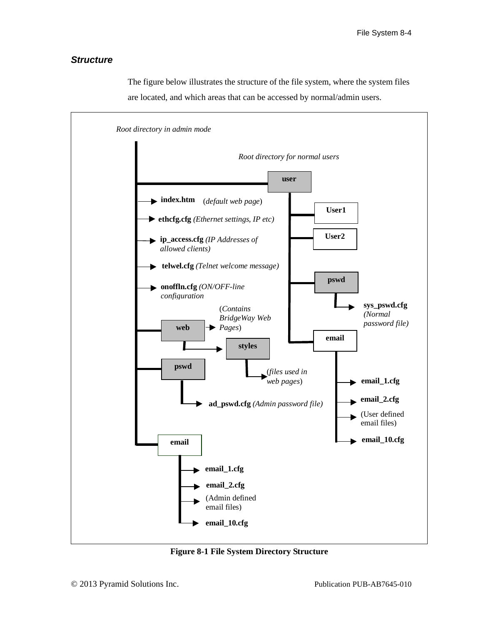### *Structure*



The figure below illustrates the structure of the file system, where the system files are located, and which areas that can be accessed by normal/admin users.

**Figure 8-1 File System Directory Structure**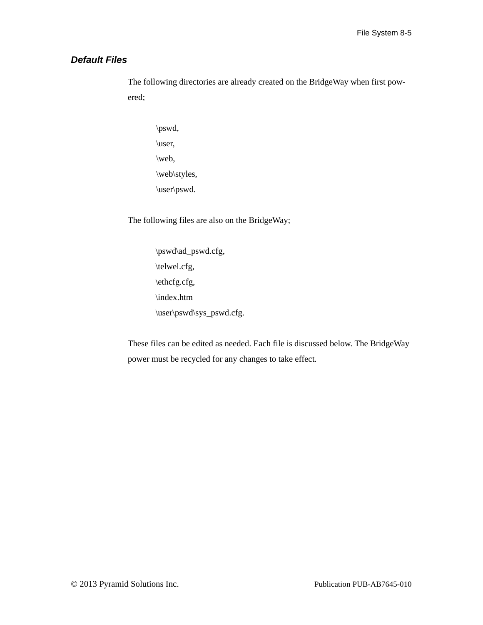### *Default Files*

The following directories are already created on the BridgeWay when first powered;

\pswd, \user, \web, \web\styles, \user\pswd.

The following files are also on the BridgeWay;

\pswd\ad\_pswd.cfg, \telwel.cfg, \ethcfg.cfg, \index.htm \user\pswd\sys\_pswd.cfg.

These files can be edited as needed. Each file is discussed below. The BridgeWay power must be recycled for any changes to take effect.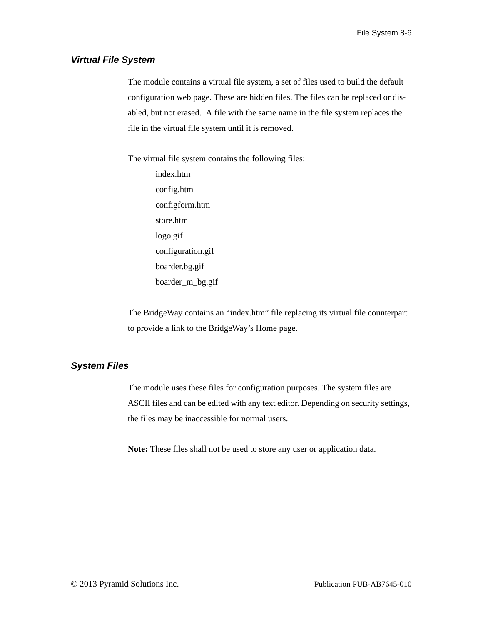### *Virtual File System*

The module contains a virtual file system, a set of files used to build the default configuration web page. These are hidden files. The files can be replaced or disabled, but not erased. A file with the same name in the file system replaces the file in the virtual file system until it is removed.

The virtual file system contains the following files:

index.htm config.htm configform.htm store.htm logo.gif configuration.gif boarder.bg.gif boarder\_m\_bg.gif

The BridgeWay contains an "index.htm" file replacing its virtual file counterpart to provide a link to the BridgeWay's Home page.

### *System Files*

The module uses these files for configuration purposes. The system files are ASCII files and can be edited with any text editor. Depending on security settings, the files may be inaccessible for normal users.

**Note:** These files shall not be used to store any user or application data.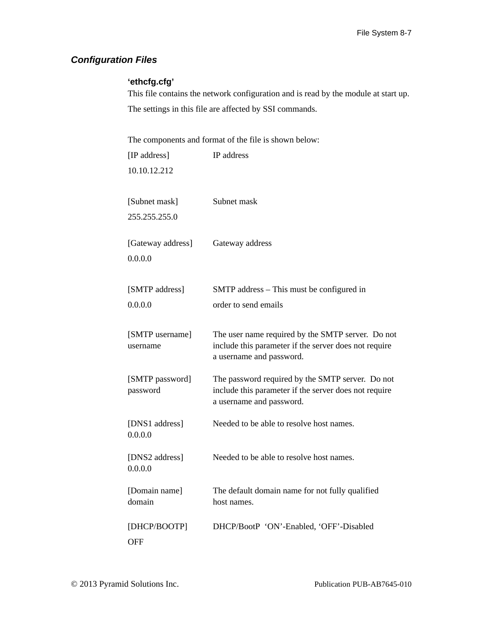## <span id="page-99-0"></span>*Configuration Files*

### **'ethcfg.cfg'**

This file contains the network configuration and is read by the module at start up. The settings in this file are affected by SSI commands.

The components and format of the file is shown below:

| [IP address]                | IP address                                                                                                                             |
|-----------------------------|----------------------------------------------------------------------------------------------------------------------------------------|
| 10.10.12.212                |                                                                                                                                        |
| [Subnet mask]               | Subnet mask                                                                                                                            |
| 255.255.255.0               |                                                                                                                                        |
| [Gateway address]           | Gateway address                                                                                                                        |
| 0.0.0.0                     |                                                                                                                                        |
| [SMTP address]              | SMTP address – This must be configured in                                                                                              |
| 0.0.0.0                     | order to send emails                                                                                                                   |
| [SMTP username]<br>username | The user name required by the SMTP server. Do not<br>include this parameter if the server does not require<br>a username and password. |
| [SMTP password]<br>password | The password required by the SMTP server. Do not<br>include this parameter if the server does not require<br>a username and password.  |
| [DNS1 address]<br>0.0.0.0   | Needed to be able to resolve host names.                                                                                               |
| [DNS2 address]<br>0.0.0.0   | Needed to be able to resolve host names.                                                                                               |
| [Domain name]<br>domain     | The default domain name for not fully qualified<br>host names.                                                                         |
| [DHCP/BOOTP]<br><b>OFF</b>  | DHCP/BootP 'ON'-Enabled, 'OFF'-Disabled                                                                                                |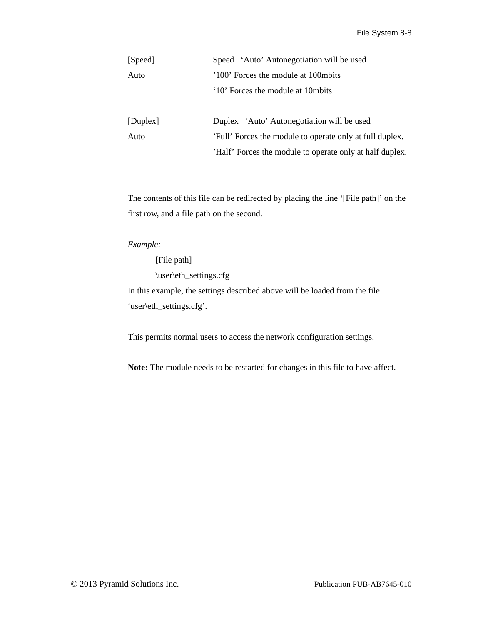| [Speed]  | Speed 'Auto' Autonegotiation will be used  |  |  |
|----------|--------------------------------------------|--|--|
| Auto     | '100' Forces the module at 100 mbits'      |  |  |
|          | '10' Forces the module at 10 mbits         |  |  |
| [Duplex] | Duplex 'Auto' Autonegotiation will be used |  |  |

Auto 'Full' Forces the module to operate only at full duplex. 'Half' Forces the module to operate only at half duplex.

The contents of this file can be redirected by placing the line '[File path]' on the first row, and a file path on the second.

*Example:*

[File path] \user\eth\_settings.cfg In this example, the settings described above will be loaded from the file 'user\eth\_settings.cfg'.

This permits normal users to access the network configuration settings.

**Note:** The module needs to be restarted for changes in this file to have affect.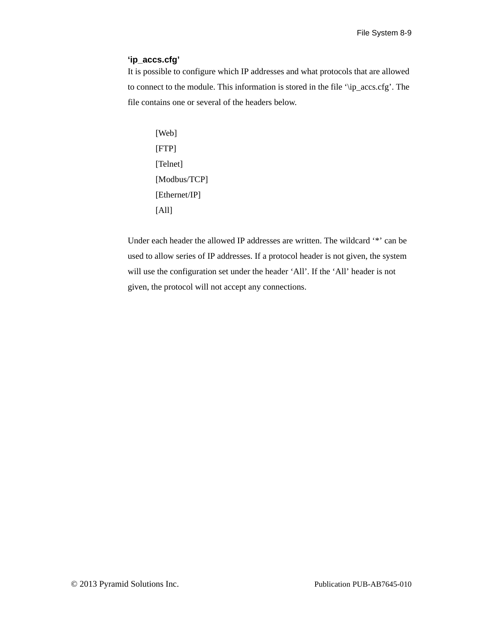### <span id="page-101-0"></span>**'ip\_accs.cfg'**

It is possible to configure which IP addresses and what protocols that are allowed to connect to the module. This information is stored in the file '\ip\_accs.cfg'. The file contains one or several of the headers below.

```
[Web]
[FTP]
[Telnet]
[Modbus/TCP]
[Ethernet/IP]
[All]
```
Under each header the allowed IP addresses are written. The wildcard '\*' can be used to allow series of IP addresses. If a protocol header is not given, the system will use the configuration set under the header 'All'. If the 'All' header is not given, the protocol will not accept any connections.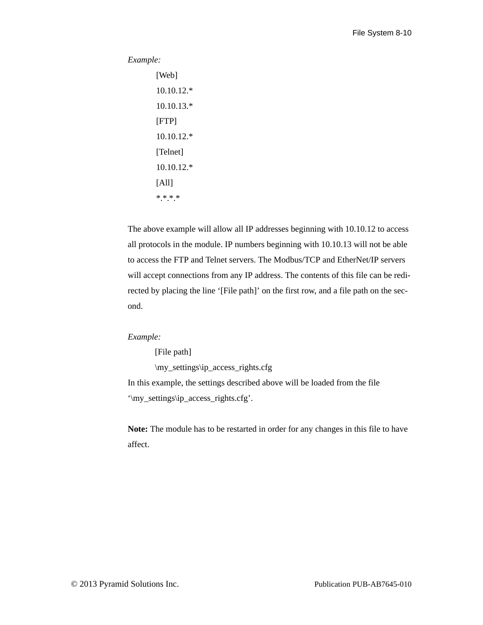#### *Example:*

```
[Web]
10.10.12.*
10.10.13.*
[FTP]
10.10.12.*
[Telnet]
10.10.12.*
[All]***.*.*
```
The above example will allow all IP addresses beginning with 10.10.12 to access all protocols in the module. IP numbers beginning with 10.10.13 will not be able to access the FTP and Telnet servers. The Modbus/TCP and EtherNet/IP servers will accept connections from any IP address. The contents of this file can be redirected by placing the line '[File path]' on the first row, and a file path on the second.

### *Example:*

[File path]

\my\_settings\ip\_access\_rights.cfg

In this example, the settings described above will be loaded from the file '\my\_settings\ip\_access\_rights.cfg'.

**Note:** The module has to be restarted in order for any changes in this file to have affect.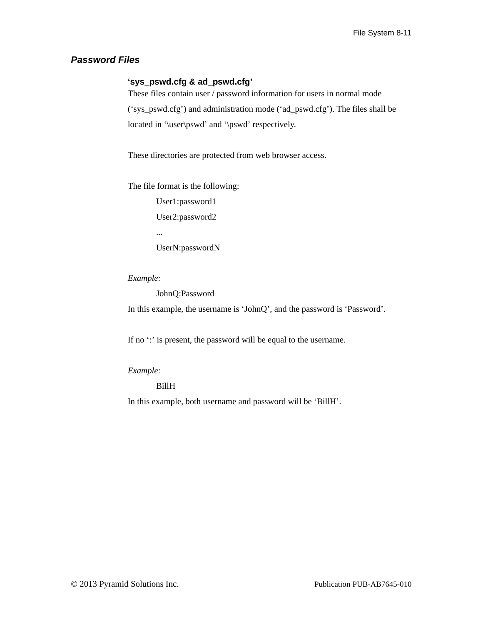### <span id="page-103-0"></span>*Password Files*

### **'sys\_pswd.cfg & ad\_pswd.cfg'**

These files contain user / password information for users in normal mode ('sys\_pswd.cfg') and administration mode ('ad\_pswd.cfg'). The files shall be located in '\user\pswd' and '\pswd' respectively.

These directories are protected from web browser access.

The file format is the following:

User1:password1 User2:password2 ...

UserN:passwordN

*Example:*

JohnQ:Password

In this example, the username is 'JohnQ', and the password is 'Password'.

If no ": is present, the password will be equal to the username.

### *Example:*

BillH

In this example, both username and password will be 'BillH'.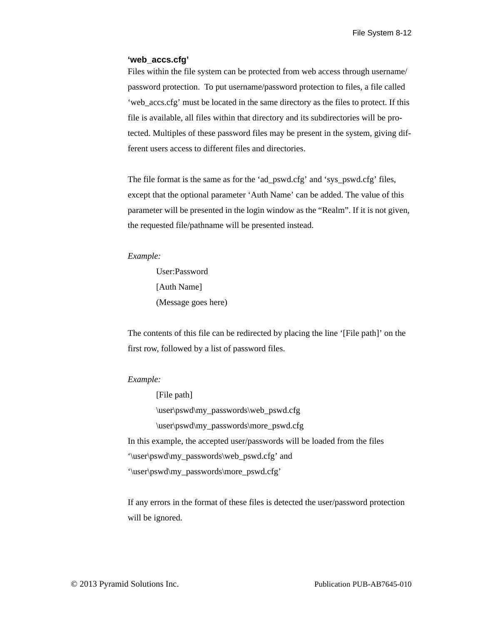#### <span id="page-104-0"></span>**'web\_accs.cfg'**

Files within the file system can be protected from web access through username/ password protection. To put username/password protection to files, a file called 'web\_accs.cfg' must be located in the same directory as the files to protect. If this file is available, all files within that directory and its subdirectories will be protected. Multiples of these password files may be present in the system, giving different users access to different files and directories.

The file format is the same as for the 'ad\_pswd.cfg' and 'sys\_pswd.cfg' files, except that the optional parameter 'Auth Name' can be added. The value of this parameter will be presented in the login window as the "Realm". If it is not given, the requested file/pathname will be presented instead.

#### *Example:*

User:Password [Auth Name] (Message goes here)

The contents of this file can be redirected by placing the line '[File path]' on the first row, followed by a list of password files.

#### *Example:*

[File path] \user\pswd\my\_passwords\web\_pswd.cfg \user\pswd\my\_passwords\more\_pswd.cfg In this example, the accepted user/passwords will be loaded from the files '\user\pswd\my\_passwords\web\_pswd.cfg' and '\user\pswd\my\_passwords\more\_pswd.cfg'

If any errors in the format of these files is detected the user/password protection will be ignored.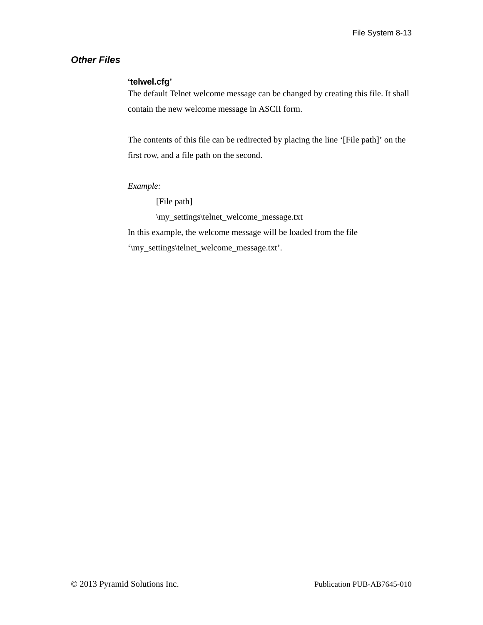### *Other Files*

### **'telwel.cfg'**

The default Telnet welcome message can be changed by creating this file. It shall contain the new welcome message in ASCII form.

The contents of this file can be redirected by placing the line '[File path]' on the first row, and a file path on the second.

### *Example:*

[File path]

\my\_settings\telnet\_welcome\_message.txt

In this example, the welcome message will be loaded from the file

'\my\_settings\telnet\_welcome\_message.txt'.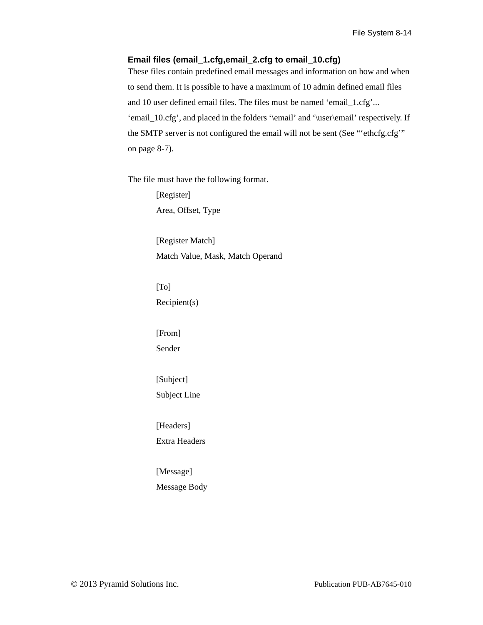### **Email files (email\_1.cfg,email\_2.cfg to email\_10.cfg)**

These files contain predefined email messages and information on how and when to send them. It is possible to have a maximum of 10 admin defined email files and 10 user defined email files. The files must be named 'email\_1.cfg'... 'email\_10.cfg', and placed in the folders '\email' and '\user\email' respectively. If the SMTP server is not configured the email will not be sent (See ["'ethcfg.cfg'"](#page-99-0)  [on page 8-7\)](#page-99-0).

The file must have the following format.

[Register] Area, Offset, Type

[Register Match] Match Value, Mask, Match Operand

[To] Recipient(s)

[From] Sender

[Subject] Subject Line

[Headers] Extra Headers

[Message] Message Body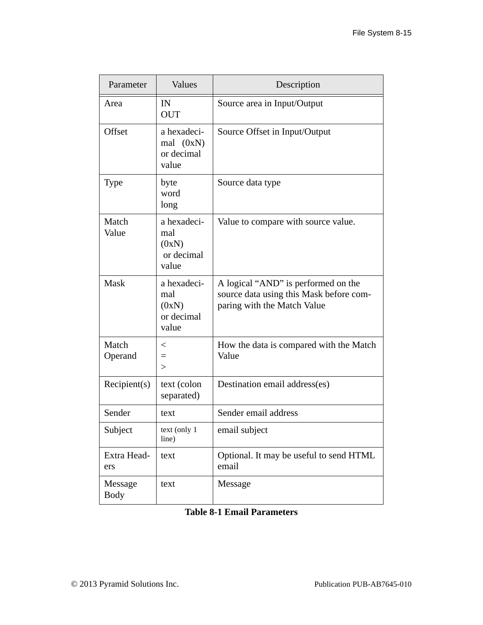| Parameter              | Values                                             | Description                                                                                                   |
|------------------------|----------------------------------------------------|---------------------------------------------------------------------------------------------------------------|
| Area                   | IN<br><b>OUT</b>                                   | Source area in Input/Output                                                                                   |
| Offset                 | a hexadeci-<br>mal $(0xN)$<br>or decimal<br>value  | Source Offset in Input/Output                                                                                 |
| <b>Type</b>            | byte<br>word<br>long                               | Source data type                                                                                              |
| Match<br>Value         | a hexadeci-<br>mal<br>(0xN)<br>or decimal<br>value | Value to compare with source value.                                                                           |
| Mask                   | a hexadeci-<br>mal<br>(0xN)<br>or decimal<br>value | A logical "AND" is performed on the<br>source data using this Mask before com-<br>paring with the Match Value |
| Match<br>Operand       | $\,<\,$<br>$=$<br>$\geq$                           | How the data is compared with the Match<br>Value                                                              |
| Recipient(s)           | text (colon<br>separated)                          | Destination email address(es)                                                                                 |
| Sender                 | text                                               | Sender email address                                                                                          |
| Subject                | text (only 1<br>line)                              | email subject                                                                                                 |
| Extra Head-<br>ers     | text                                               | Optional. It may be useful to send HTML<br>email                                                              |
| Message<br><b>Body</b> | text                                               | Message                                                                                                       |

# **Table 8-1 Email Parameters**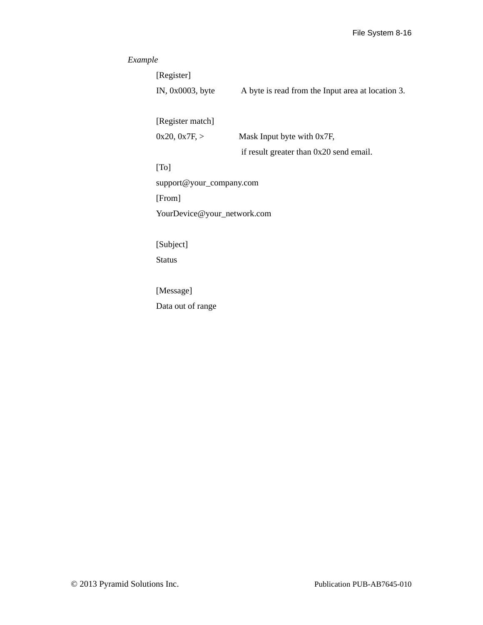# *Example*

| [Register]                  |                                                   |
|-----------------------------|---------------------------------------------------|
| IN, $0x0003$ , byte         | A byte is read from the Input area at location 3. |
|                             |                                                   |
| [Register match]            |                                                   |
| 0x20, 0x7F, >               | Mask Input byte with 0x7F,                        |
|                             | if result greater than 0x20 send email.           |
| [T <sub>o</sub> ]           |                                                   |
| support@your_company.com    |                                                   |
| [From]                      |                                                   |
| YourDevice@your_network.com |                                                   |
|                             |                                                   |
| [Subject]                   |                                                   |
| <b>Status</b>               |                                                   |
|                             |                                                   |
| [Message]                   |                                                   |
| Data out of range           |                                                   |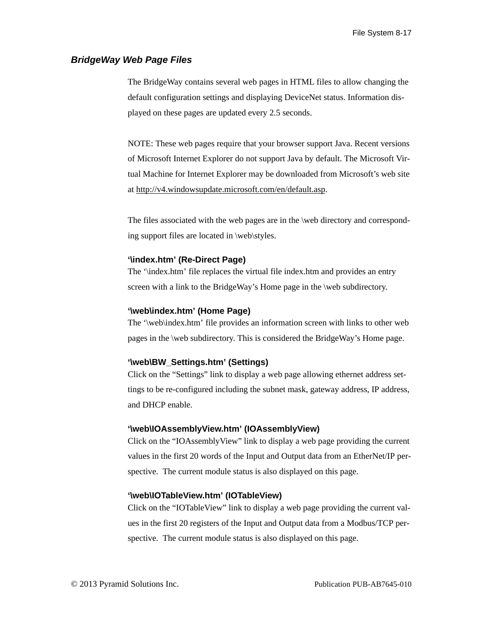## *BridgeWay Web Page Files*

The BridgeWay contains several web pages in HTML files to allow changing the default configuration settings and displaying DeviceNet status. Information displayed on these pages are updated every 2.5 seconds.

NOTE: These web pages require that your browser support Java. Recent versions of Microsoft Internet Explorer do not support Java by default. The Microsoft Virtual Machine for Internet Explorer may be downloaded from Microsoft's web site at http://v4.windowsupdate.microsoft.com/en/default.asp.

The files associated with the web pages are in the \web directory and corresponding support files are located in \web\styles.

#### **'\index.htm' (Re-Direct Page)**

The '\index.htm' file replaces the virtual file index.htm and provides an entry screen with a link to the BridgeWay's Home page in the \web subdirectory.

#### **'\web\index.htm' (Home Page)**

The '\web\index.htm' file provides an information screen with links to other web pages in the \web subdirectory. This is considered the BridgeWay's Home page.

#### **'\web\BW\_Settings.htm' (Settings)**

Click on the "Settings" link to display a web page allowing ethernet address settings to be re-configured including the subnet mask, gateway address, IP address, and DHCP enable.

#### **'\web\IOAssemblyView.htm' (IOAssemblyView)**

Click on the "IOAssemblyView" link to display a web page providing the current values in the first 20 words of the Input and Output data from an EtherNet/IP perspective. The current module status is also displayed on this page.

#### **'\web\IOTableView.htm' (IOTableView)**

Click on the "IOTableView" link to display a web page providing the current values in the first 20 registers of the Input and Output data from a Modbus/TCP perspective. The current module status is also displayed on this page.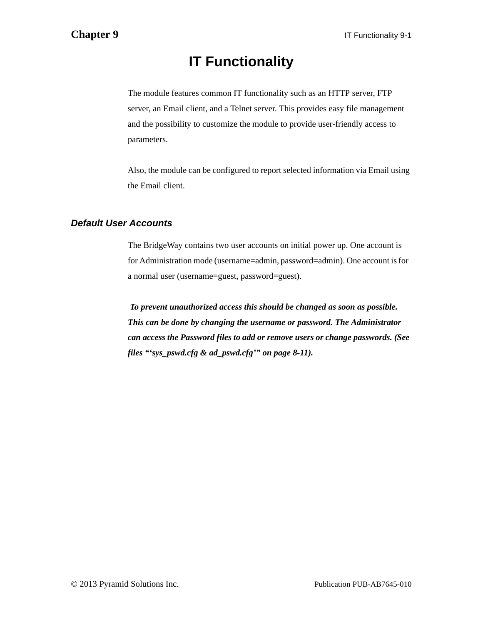# **IT Functionality**

The module features common IT functionality such as an HTTP server, FTP server, an Email client, and a Telnet server. This provides easy file management and the possibility to customize the module to provide user-friendly access to parameters.

Also, the module can be configured to report selected information via Email using the Email client.

## *Default User Accounts*

The BridgeWay contains two user accounts on initial power up. One account is for Administration mode (username=admin, password=admin). One account is for a normal user (username=guest, password=guest).

*To prevent unauthorized access this should be changed as soon as possible. This can be done by changing the username or password. The Administrator can access the Password files to add or remove users or change passwords. (See files ["'sys\\_pswd.cfg & ad\\_pswd.cfg'" on page 8-11\)](#page-103-0).*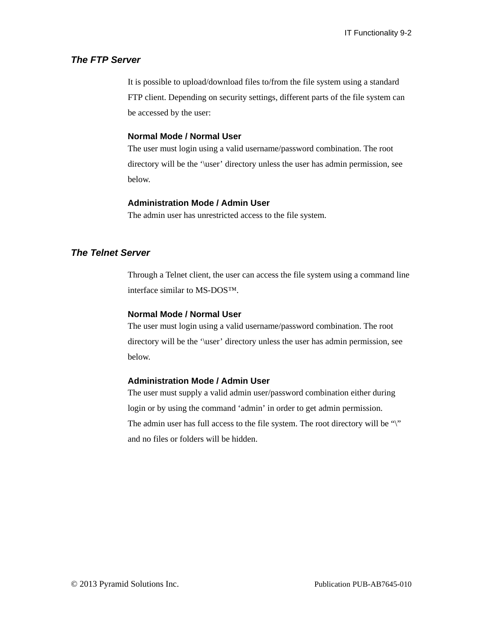## *The FTP Server*

It is possible to upload/download files to/from the file system using a standard FTP client. Depending on security settings, different parts of the file system can be accessed by the user:

## **Normal Mode / Normal User**

The user must login using a valid username/password combination. The root directory will be the '\user' directory unless the user has admin permission, see below.

#### **Administration Mode / Admin User**

The admin user has unrestricted access to the file system.

## *The Telnet Server*

Through a Telnet client, the user can access the file system using a command line interface similar to MS-DOS™.

#### **Normal Mode / Normal User**

The user must login using a valid username/password combination. The root directory will be the '\user' directory unless the user has admin permission, see below.

#### **Administration Mode / Admin User**

The user must supply a valid admin user/password combination either during login or by using the command 'admin' in order to get admin permission. The admin user has full access to the file system. The root directory will be "\" and no files or folders will be hidden.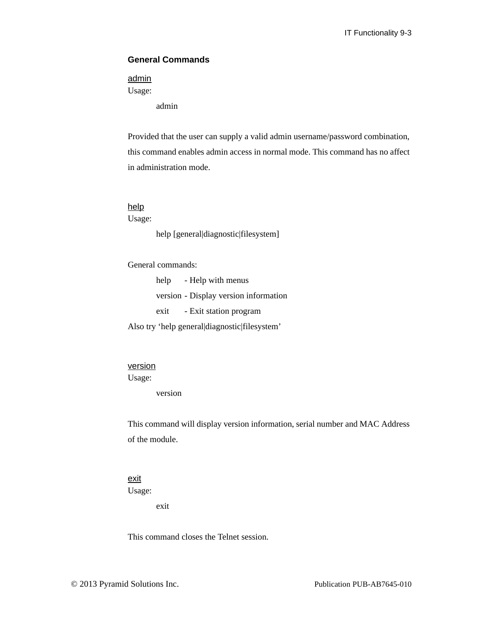## **General Commands**

## admin

Usage:

admin

Provided that the user can supply a valid admin username/password combination, this command enables admin access in normal mode. This command has no affect in administration mode.

## help

Usage:

help [general|diagnostic|filesystem]

General commands:

help - Help with menus version - Display version information exit - Exit station program

Also try 'help general|diagnostic|filesystem'

## version

Usage:

version

This command will display version information, serial number and MAC Address of the module.

#### exit

Usage:

exit

This command closes the Telnet session.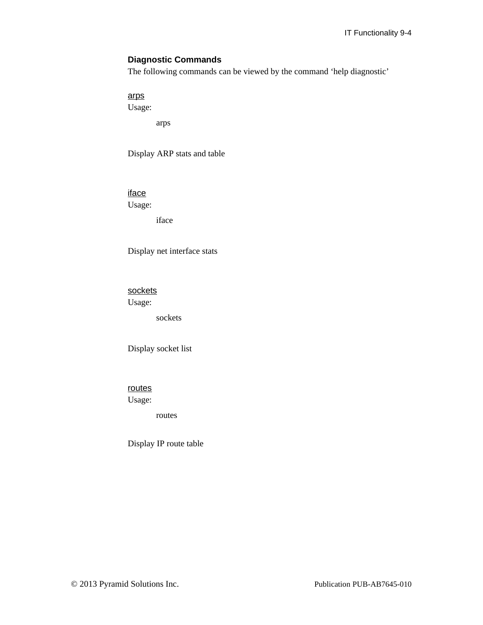## **Diagnostic Commands**

The following commands can be viewed by the command 'help diagnostic'

arps

Usage:

arps

Display ARP stats and table

iface

Usage:

iface

Display net interface stats

sockets

Usage:

sockets

Display socket list

routes Usage:

routes

Display IP route table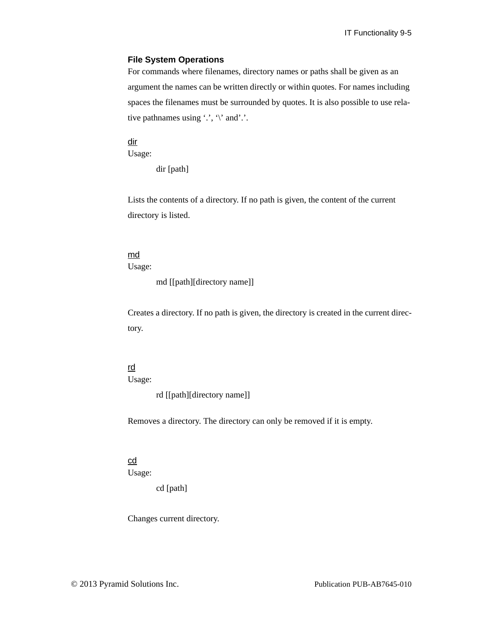#### **File System Operations**

For commands where filenames, directory names or paths shall be given as an argument the names can be written directly or within quotes. For names including spaces the filenames must be surrounded by quotes. It is also possible to use relative pathnames using  $\langle \cdot, \cdot \rangle$  and  $\langle \cdot \rangle$ .

dir Usage:

dir [path]

Lists the contents of a directory. If no path is given, the content of the current directory is listed.

#### md

Usage:

```
md [[path][directory name]]
```
Creates a directory. If no path is given, the directory is created in the current directory.

## rd

Usage:

rd [[path][directory name]]

Removes a directory. The directory can only be removed if it is empty.

### cd

Usage:

cd [path]

Changes current directory.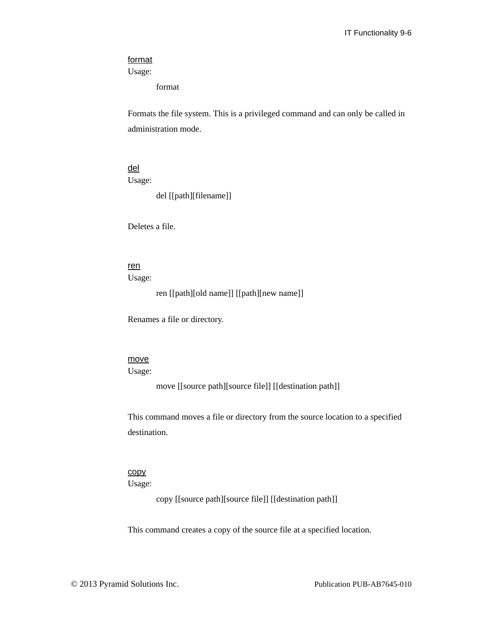#### format

Usage:

format

Formats the file system. This is a privileged command and can only be called in administration mode.

del

Usage:

del [[path][filename]]

Deletes a file.

## ren

Usage:

ren [[path][old name]] [[path][new name]]

Renames a file or directory.

#### move

Usage:

move [[source path][source file]] [[destination path]]

This command moves a file or directory from the source location to a specified destination.

#### copy

Usage:

copy [[source path][source file]] [[destination path]]

This command creates a copy of the source file at a specified location.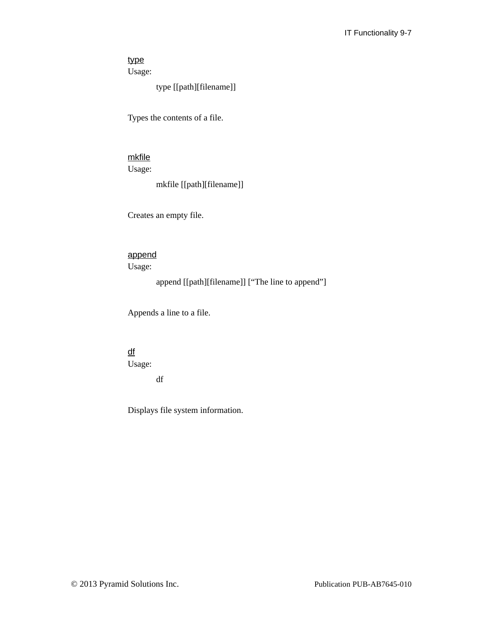# type

Usage:

type [[path][filename]]

Types the contents of a file.

# mkfile

Usage:

mkfile [[path][filename]]

Creates an empty file.

## append

Usage:

append [[path][filename]] ["The line to append"]

Appends a line to a file.

# df

Usage:

df

Displays file system information.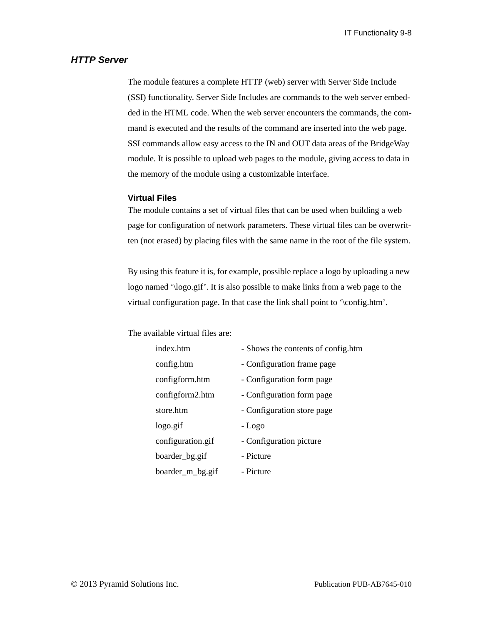## *HTTP Server*

The module features a complete HTTP (web) server with Server Side Include (SSI) functionality. Server Side Includes are commands to the web server embedded in the HTML code. When the web server encounters the commands, the command is executed and the results of the command are inserted into the web page. SSI commands allow easy access to the IN and OUT data areas of the BridgeWay module. It is possible to upload web pages to the module, giving access to data in the memory of the module using a customizable interface.

#### **Virtual Files**

The module contains a set of virtual files that can be used when building a web page for configuration of network parameters. These virtual files can be overwritten (not erased) by placing files with the same name in the root of the file system.

By using this feature it is, for example, possible replace a logo by uploading a new logo named '\logo.gif'. It is also possible to make links from a web page to the virtual configuration page. In that case the link shall point to '\config.htm'.

The available virtual files are:

| index htm         | - Shows the contents of config.htm |
|-------------------|------------------------------------|
| config.htm        | - Configuration frame page         |
| configform.htm    | - Configuration form page          |
| configform2.htm   | - Configuration form page          |
| store.htm         | - Configuration store page         |
| logo.gif          | - Logo                             |
| configuration.gif | - Configuration picture            |
| boarder_bg.gif    | - Picture                          |
| boarder_m_bg.gif  | - Picture                          |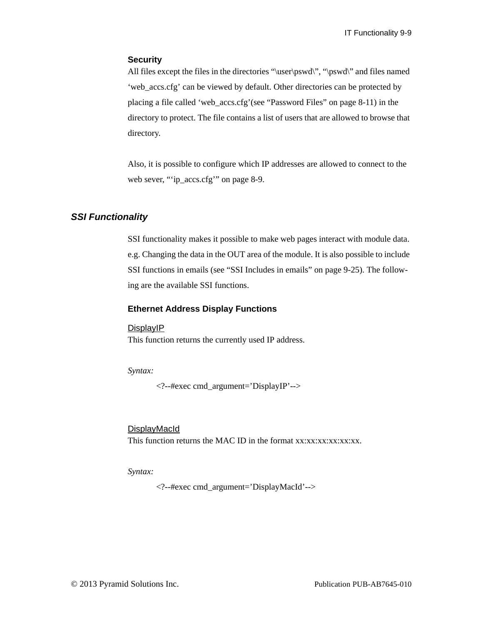#### **Security**

All files except the files in the directories "\user\pswd\", "\pswd\" and files named 'web\_accs.cfg' can be viewed by default. Other directories can be protected by placing a file called 'web\_accs.cfg'(see ["Password Files" on page 8-11](#page-103-1)) in the directory to protect. The file contains a list of users that are allowed to browse that directory.

Also, it is possible to configure which IP addresses are allowed to connect to the web sever, ["'ip\\_accs.cfg'" on page 8-9.](#page-101-0)

## *SSI Functionality*

SSI functionality makes it possible to make web pages interact with module data. e.g. Changing the data in the OUT area of the module. It is also possible to include SSI functions in emails (see ["SSI Includes in emails" on page 9-25\)](#page-134-0). The following are the available SSI functions.

#### **Ethernet Address Display Functions**

#### DisplayIP

This function returns the currently used IP address.

*Syntax:*

<?--#exec cmd\_argument='DisplayIP'-->

#### **DisplayMacId**

This function returns the MAC ID in the format xx:xx:xx:xx:xx:xx.

#### *Syntax:*

<?--#exec cmd\_argument='DisplayMacId'-->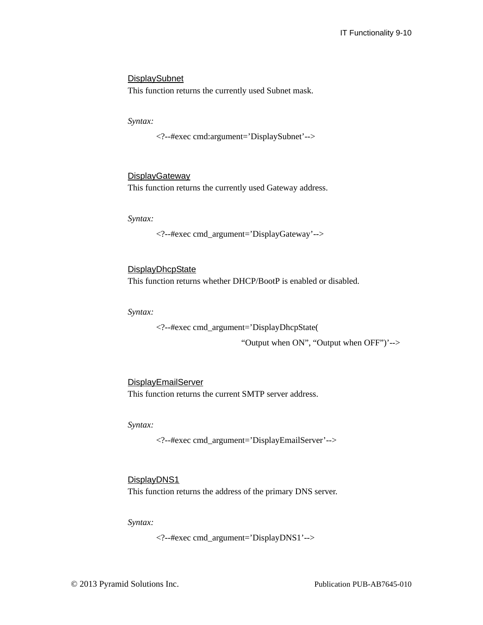## **DisplaySubnet**

This function returns the currently used Subnet mask.

*Syntax:*

<?--#exec cmd:argument='DisplaySubnet'-->

#### **DisplayGateway**

This function returns the currently used Gateway address.

*Syntax:*

<?--#exec cmd\_argument='DisplayGateway'-->

**DisplayDhcpState** This function returns whether DHCP/BootP is enabled or disabled.

*Syntax:*

<?--#exec cmd\_argument='DisplayDhcpState(

"Output when ON", "Output when OFF")'-->

**DisplayEmailServer** This function returns the current SMTP server address.

*Syntax:*

<?--#exec cmd\_argument='DisplayEmailServer'-->

#### DisplayDNS1

This function returns the address of the primary DNS server.

*Syntax:*

<?--#exec cmd\_argument='DisplayDNS1'-->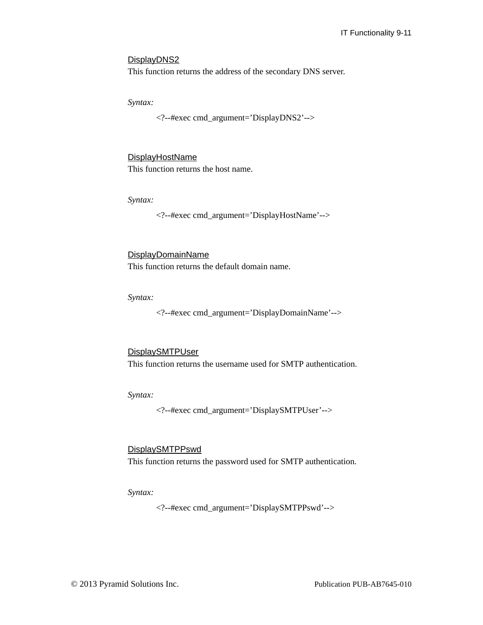#### DisplayDNS<sub>2</sub>

This function returns the address of the secondary DNS server.

*Syntax:*

<?--#exec cmd\_argument='DisplayDNS2'-->

#### DisplayHostName

This function returns the host name.

*Syntax:*

<?--#exec cmd\_argument='DisplayHostName'-->

#### DisplayDomainName

This function returns the default domain name.

*Syntax:*

<?--#exec cmd\_argument='DisplayDomainName'-->

#### **DisplaySMTPUser**

This function returns the username used for SMTP authentication.

*Syntax:*

<?--#exec cmd\_argument='DisplaySMTPUser'-->

#### DisplaySMTPPswd

This function returns the password used for SMTP authentication.

#### *Syntax:*

<?--#exec cmd\_argument='DisplaySMTPPswd'-->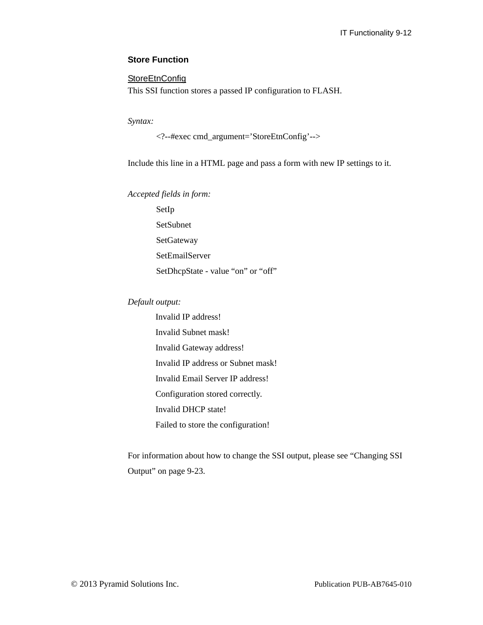## **Store Function**

### **StoreEtnConfig**

This SSI function stores a passed IP configuration to FLASH.

*Syntax:*

<?--#exec cmd\_argument='StoreEtnConfig'-->

Include this line in a HTML page and pass a form with new IP settings to it.

*Accepted fields in form:*

SetIp SetSubnet SetGateway SetEmailServer SetDhcpState - value "on" or "off"

## *Default output:*

Invalid IP address! Invalid Subnet mask! Invalid Gateway address! Invalid IP address or Subnet mask! Invalid Email Server IP address! Configuration stored correctly. Invalid DHCP state! Failed to store the configuration!

For information about how to change the SSI output, please see ["Changing SSI](#page-132-0)  [Output" on page 9-23.](#page-132-0)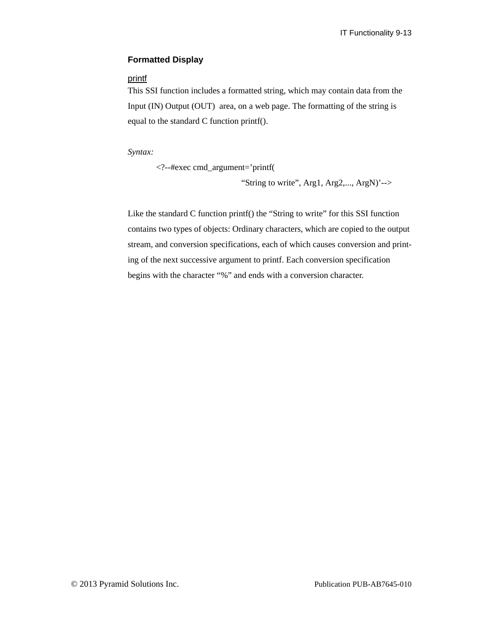## **Formatted Display**

## printf

This SSI function includes a formatted string, which may contain data from the Input (IN) Output (OUT) area, on a web page. The formatting of the string is equal to the standard C function printf().

*Syntax:*

<?--#exec cmd\_argument='printf( "String to write", Arg1, Arg2,..., ArgN)'-->

Like the standard C function printf() the "String to write" for this SSI function contains two types of objects: Ordinary characters, which are copied to the output stream, and conversion specifications, each of which causes conversion and printing of the next successive argument to printf. Each conversion specification begins with the character "%" and ends with a conversion character.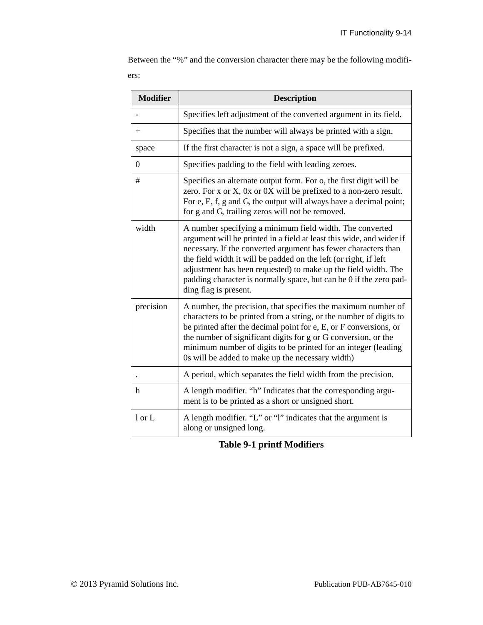Between the "%" and the conversion character there may be the following modifiers:

| <b>Modifier</b>  | <b>Description</b>                                                                                                                                                                                                                                                                                                                                                                                                                      |  |  |
|------------------|-----------------------------------------------------------------------------------------------------------------------------------------------------------------------------------------------------------------------------------------------------------------------------------------------------------------------------------------------------------------------------------------------------------------------------------------|--|--|
|                  | Specifies left adjustment of the converted argument in its field.                                                                                                                                                                                                                                                                                                                                                                       |  |  |
| $^{+}$           | Specifies that the number will always be printed with a sign.                                                                                                                                                                                                                                                                                                                                                                           |  |  |
| space            | If the first character is not a sign, a space will be prefixed.                                                                                                                                                                                                                                                                                                                                                                         |  |  |
| $\boldsymbol{0}$ | Specifies padding to the field with leading zeroes.                                                                                                                                                                                                                                                                                                                                                                                     |  |  |
| #                | Specifies an alternate output form. For o, the first digit will be<br>zero. For x or X, 0x or 0X will be prefixed to a non-zero result.<br>For e, E, f, g and G, the output will always have a decimal point;<br>for g and G, trailing zeros will not be removed.                                                                                                                                                                       |  |  |
| width            | A number specifying a minimum field width. The converted<br>argument will be printed in a field at least this wide, and wider if<br>necessary. If the converted argument has fewer characters than<br>the field width it will be padded on the left (or right, if left<br>adjustment has been requested) to make up the field width. The<br>padding character is normally space, but can be 0 if the zero pad-<br>ding flag is present. |  |  |
| precision        | A number, the precision, that specifies the maximum number of<br>characters to be printed from a string, or the number of digits to<br>be printed after the decimal point for e, E, or F conversions, or<br>the number of significant digits for g or G conversion, or the<br>minimum number of digits to be printed for an integer (leading<br>Os will be added to make up the necessary width)                                        |  |  |
|                  | A period, which separates the field width from the precision.                                                                                                                                                                                                                                                                                                                                                                           |  |  |
| h                | A length modifier. "h" Indicates that the corresponding argu-<br>ment is to be printed as a short or unsigned short.                                                                                                                                                                                                                                                                                                                    |  |  |
| 1 or L           | A length modifier. "L" or "l" indicates that the argument is<br>along or unsigned long.                                                                                                                                                                                                                                                                                                                                                 |  |  |

# **Table 9-1 printf Modifiers**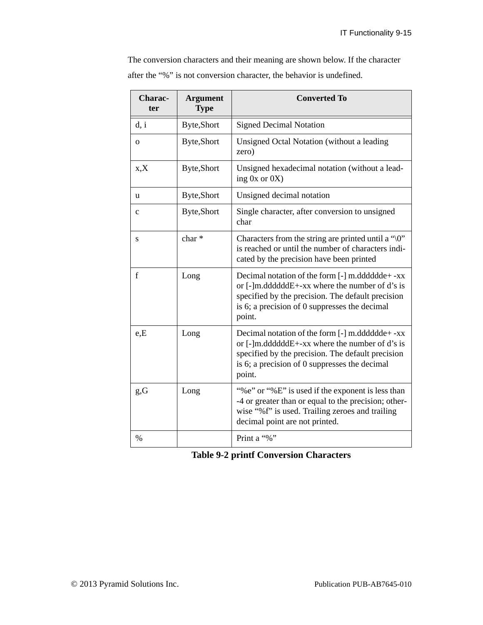The conversion characters and their meaning are shown below. If the character after the "%" is not conversion character, the behavior is undefined.

| Charac-<br>ter | <b>Argument</b><br><b>Type</b> | <b>Converted To</b>                                                                                                                                                                                                      |
|----------------|--------------------------------|--------------------------------------------------------------------------------------------------------------------------------------------------------------------------------------------------------------------------|
| d, i           | Byte,Short                     | <b>Signed Decimal Notation</b>                                                                                                                                                                                           |
| $\mathbf{O}$   | Byte, Short                    | Unsigned Octal Notation (without a leading<br>zero)                                                                                                                                                                      |
| X, X           | <b>Byte,Short</b>              | Unsigned hexadecimal notation (without a lead-<br>ing $0x$ or $0X$ )                                                                                                                                                     |
| u              | Byte,Short                     | Unsigned decimal notation                                                                                                                                                                                                |
| $\mathbf c$    | Byte, Short                    | Single character, after conversion to unsigned<br>char                                                                                                                                                                   |
| S              | char*                          | Characters from the string are printed until a " $\langle 0$ "<br>is reached or until the number of characters indi-<br>cated by the precision have been printed                                                         |
| f              | Long                           | Decimal notation of the form [-] m.dddddde+ -xx<br>or $[-]$ m.dddddd $E+$ -xx where the number of d's is<br>specified by the precision. The default precision<br>is 6; a precision of 0 suppresses the decimal<br>point. |
| e.E            | Long                           | Decimal notation of the form [-] m.dddddde+ -xx<br>or $[-]$ m.dddddd $E+$ -xx where the number of d's is<br>specified by the precision. The default precision<br>is 6; a precision of 0 suppresses the decimal<br>point. |
| g,G            | Long                           | "%e" or "%E" is used if the exponent is less than<br>-4 or greater than or equal to the precision; other-<br>wise "%f" is used. Trailing zeroes and trailing<br>decimal point are not printed.                           |
| $\%$           |                                | Print a "%"                                                                                                                                                                                                              |

|  |  | <b>Table 9-2 printf Conversion Characters</b> |  |
|--|--|-----------------------------------------------|--|
|--|--|-----------------------------------------------|--|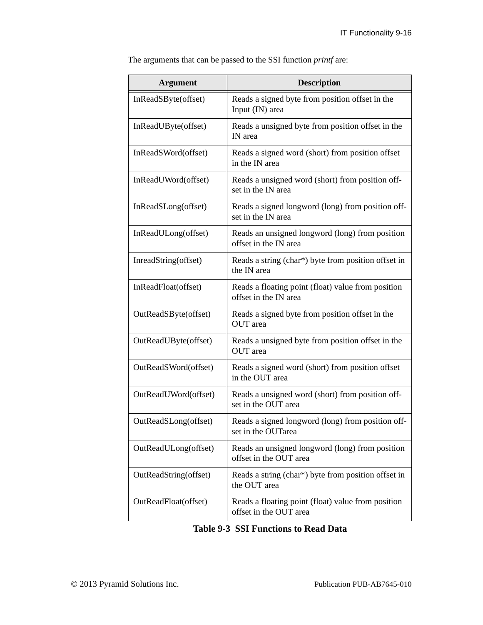| The arguments that can be passed to the SSI function <i>printf</i> are: |  |  |  |
|-------------------------------------------------------------------------|--|--|--|
|                                                                         |  |  |  |

| <b>Argument</b>       | <b>Description</b>                                                           |
|-----------------------|------------------------------------------------------------------------------|
| InReadSByte(offset)   | Reads a signed byte from position offset in the<br>Input (IN) area           |
| InReadUByte(offset)   | Reads a unsigned byte from position offset in the<br>IN area                 |
| InReadSWord(offset)   | Reads a signed word (short) from position offset<br>in the IN area           |
| InReadUWord(offset)   | Reads a unsigned word (short) from position off-<br>set in the IN area       |
| InReadSLong(offset)   | Reads a signed longword (long) from position off-<br>set in the IN area      |
| InReadULong(offset)   | Reads an unsigned longword (long) from position<br>offset in the IN area     |
| InreadString(offset)  | Reads a string (char*) byte from position offset in<br>the IN area           |
| InReadFloat(offset)   | Reads a floating point (float) value from position<br>offset in the IN area  |
| OutReadSByte(offset)  | Reads a signed byte from position offset in the<br>OUT area                  |
| OutReadUByte(offset)  | Reads a unsigned byte from position offset in the<br>OUT area                |
| OutReadSWord(offset)  | Reads a signed word (short) from position offset<br>in the OUT area          |
| OutReadUWord(offset)  | Reads a unsigned word (short) from position off-<br>set in the OUT area      |
| OutReadSLong(offset)  | Reads a signed longword (long) from position off-<br>set in the OUTarea      |
| OutReadULong(offset)  | Reads an unsigned longword (long) from position<br>offset in the OUT area    |
| OutReadString(offset) | Reads a string (char*) byte from position offset in<br>the OUT area          |
| OutReadFloat(offset)  | Reads a floating point (float) value from position<br>offset in the OUT area |

| <b>Table 9-3 SSI Functions to Read Data</b> |
|---------------------------------------------|
|---------------------------------------------|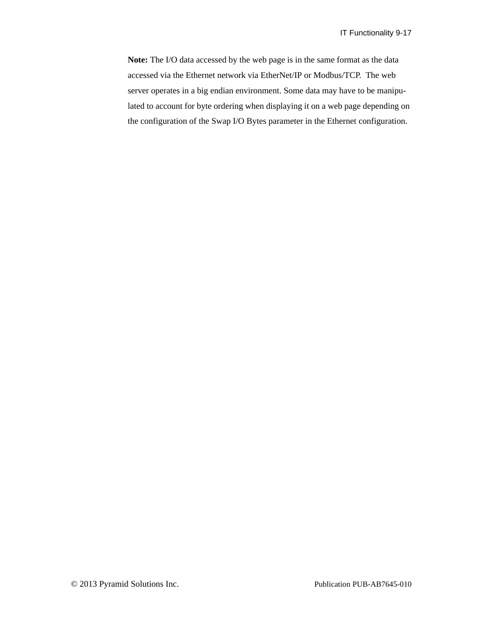**Note:** The I/O data accessed by the web page is in the same format as the data accessed via the Ethernet network via EtherNet/IP or Modbus/TCP. The web server operates in a big endian environment. Some data may have to be manipulated to account for byte ordering when displaying it on a web page depending on the configuration of the Swap I/O Bytes parameter in the Ethernet configuration.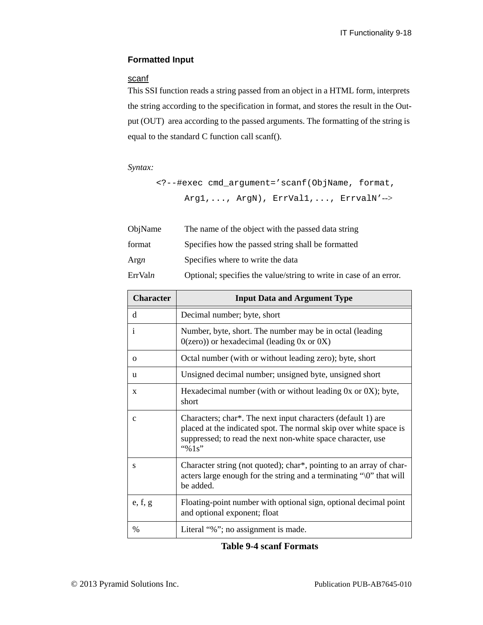## **Formatted Input**

# scanf

This SSI function reads a string passed from an object in a HTML form, interprets the string according to the specification in format, and stores the result in the Output (OUT) area according to the passed arguments. The formatting of the string is equal to the standard C function call scanf().

#### *Syntax:*

<?--#exec cmd\_argument='scanf(ObjName, format, Arg1,..., ArgN), ErrVal1,..., ErrvalN'-->

| ObjName | The name of the object with the passed data string                 |
|---------|--------------------------------------------------------------------|
| format  | Specifies how the passed string shall be formatted                 |
| Argn    | Specifies where to write the data                                  |
| ErrValn | Optional; specifies the value/string to write in case of an error. |

| <b>Character</b> | <b>Input Data and Argument Type</b>                                                                                                                                                                           |
|------------------|---------------------------------------------------------------------------------------------------------------------------------------------------------------------------------------------------------------|
| d                | Decimal number; byte, short                                                                                                                                                                                   |
| $\mathbf{i}$     | Number, byte, short. The number may be in octal (leading)<br>$0$ (zero)) or hexadecimal (leading 0x or 0X)                                                                                                    |
| $\Omega$         | Octal number (with or without leading zero); byte, short                                                                                                                                                      |
| u                | Unsigned decimal number; unsigned byte, unsigned short                                                                                                                                                        |
| $\mathbf{x}$     | Hexadecimal number (with or without leading $0x$ or $0X$ ); byte,<br>short                                                                                                                                    |
| $\mathbf{C}$     | Characters; char*. The next input characters (default 1) are<br>placed at the indicated spot. The normal skip over white space is<br>suppressed; to read the next non-white space character, use<br>"% $1s$ " |
| S                | Character string (not quoted); char*, pointing to an array of char-<br>acters large enough for the string and a terminating "\0" that will<br>be added.                                                       |
| e, f, g          | Floating-point number with optional sign, optional decimal point<br>and optional exponent; float                                                                                                              |
| $\frac{0}{0}$    | Literal "%"; no assignment is made.                                                                                                                                                                           |

|  |  |  | <b>Table 9-4 scanf Formats</b> |
|--|--|--|--------------------------------|
|--|--|--|--------------------------------|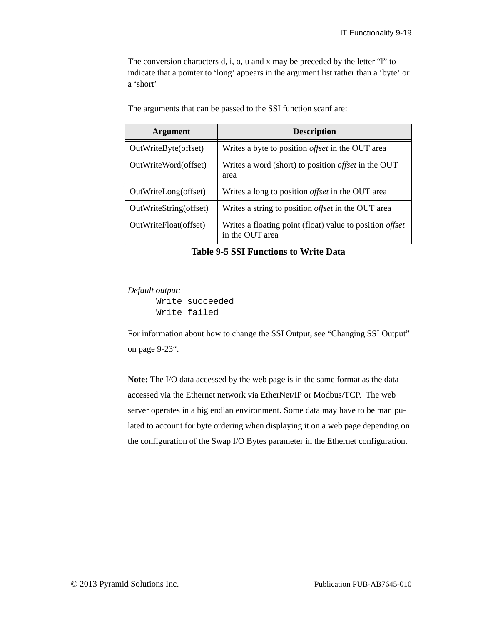The conversion characters d, i, o, u and x may be preceded by the letter "l" to indicate that a pointer to 'long' appears in the argument list rather than a 'byte' or a 'short'

| <b>Argument</b>        | <b>Description</b>                                                                 |
|------------------------|------------------------------------------------------------------------------------|
| OutWriteByte(offset)   | Writes a byte to position <i>offset</i> in the OUT area                            |
| OutWriteWord(offset)   | Writes a word (short) to position <i>offset</i> in the OUT<br>area                 |
| OutWriteLong(offset)   | Writes a long to position <i>offset</i> in the OUT area                            |
| OutWriteString(offset) | Writes a string to position <i>offset</i> in the OUT area                          |
| OutWriteFloat(offset)  | Writes a floating point (float) value to position <i>offset</i><br>in the OUT area |

The arguments that can be passed to the SSI function scanf are:

**Table 9-5 SSI Functions to Write Data**

*Default output:*

Write succeeded Write failed

For information about how to change the SSI Output, see ["Changing SSI Output"](#page-132-0)  [on page 9-23](#page-132-0)".

**Note:** The I/O data accessed by the web page is in the same format as the data accessed via the Ethernet network via EtherNet/IP or Modbus/TCP. The web server operates in a big endian environment. Some data may have to be manipulated to account for byte ordering when displaying it on a web page depending on the configuration of the Swap I/O Bytes parameter in the Ethernet configuration.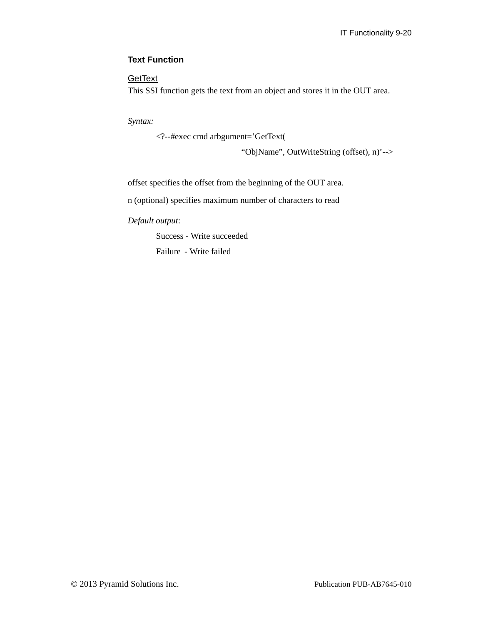## **Text Function**

# **GetText**

This SSI function gets the text from an object and stores it in the OUT area.

*Syntax:*

<?--#exec cmd arbgument='GetText(

"ObjName", OutWriteString (offset), n)'-->

offset specifies the offset from the beginning of the OUT area.

n (optional) specifies maximum number of characters to read

*Default output*:

Success - Write succeeded

Failure - Write failed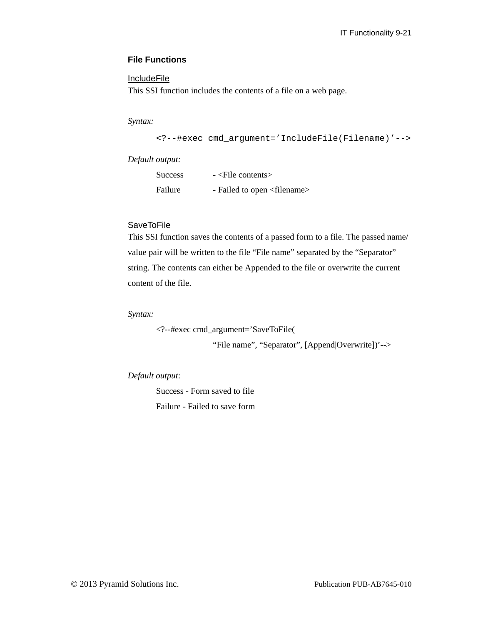## **File Functions**

## **IncludeFile**

This SSI function includes the contents of a file on a web page.

*Syntax:*

```
<?--#exec cmd_argument='IncludeFile(Filename)'-->
```
*Default output:*

| Success | $-$ <file contents=""></file>          |
|---------|----------------------------------------|
| Failure | - Failed to open <filename></filename> |

# **SaveToFile**

This SSI function saves the contents of a passed form to a file. The passed name/ value pair will be written to the file "File name" separated by the "Separator" string. The contents can either be Appended to the file or overwrite the current content of the file.

*Syntax:*

<?--#exec cmd\_argument='SaveToFile(

"File name", "Separator", [Append|Overwrite])'-->

## *Default output*:

Success - Form saved to file Failure - Failed to save form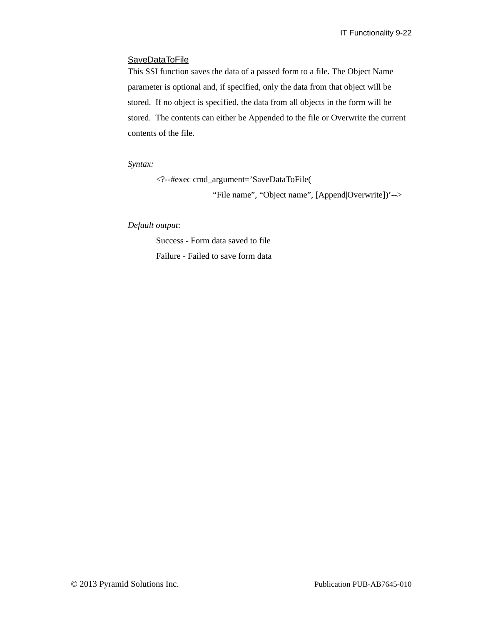#### **SaveDataToFile**

This SSI function saves the data of a passed form to a file. The Object Name parameter is optional and, if specified, only the data from that object will be stored. If no object is specified, the data from all objects in the form will be stored. The contents can either be Appended to the file or Overwrite the current contents of the file.

*Syntax:*

<?--#exec cmd\_argument='SaveDataToFile(

"File name", "Object name", [Append|Overwrite])'-->

*Default output*:

Success - Form data saved to file Failure - Failed to save form data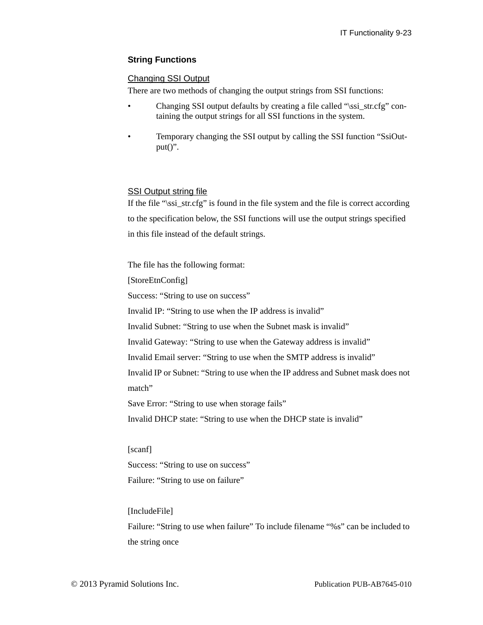## **String Functions**

## <span id="page-132-0"></span>Changing SSI Output

There are two methods of changing the output strings from SSI functions:

- Changing SSI output defaults by creating a file called "\ssi\_str.cfg" containing the output strings for all SSI functions in the system.
- Temporary changing the SSI output by calling the SSI function "SsiOut $put()$ ".

## SSI Output string file

If the file "\ssi\_str.cfg" is found in the file system and the file is correct according to the specification below, the SSI functions will use the output strings specified in this file instead of the default strings.

The file has the following format:

[StoreEtnConfig]

Success: "String to use on success"

Invalid IP: "String to use when the IP address is invalid"

Invalid Subnet: "String to use when the Subnet mask is invalid"

Invalid Gateway: "String to use when the Gateway address is invalid"

Invalid Email server: "String to use when the SMTP address is invalid"

Invalid IP or Subnet: "String to use when the IP address and Subnet mask does not match"

Save Error: "String to use when storage fails"

Invalid DHCP state: "String to use when the DHCP state is invalid"

[scanf]

Success: "String to use on success" Failure: "String to use on failure"

#### [IncludeFile]

Failure: "String to use when failure" To include filename "%s" can be included to the string once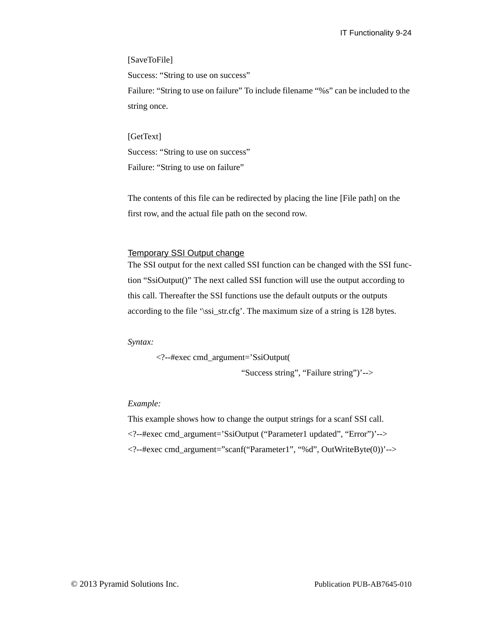#### [SaveToFile]

Success: "String to use on success"

Failure: "String to use on failure" To include filename "%s" can be included to the string once.

#### [GetText]

Success: "String to use on success" Failure: "String to use on failure"

The contents of this file can be redirected by placing the line [File path] on the first row, and the actual file path on the second row.

#### Temporary SSI Output change

The SSI output for the next called SSI function can be changed with the SSI function "SsiOutput()" The next called SSI function will use the output according to this call. Thereafter the SSI functions use the default outputs or the outputs according to the file '\ssi\_str.cfg'. The maximum size of a string is 128 bytes.

*Syntax:*

<?--#exec cmd\_argument='SsiOutput(

"Success string", "Failure string")'-->

#### *Example:*

This example shows how to change the output strings for a scanf SSI call.

<?--#exec cmd\_argument='SsiOutput ("Parameter1 updated", "Error")'-->

 $\langle$  ?--#exec cmd\_argument="scanf("Parameter1", "%d", OutWriteByte $(0)$ )'-->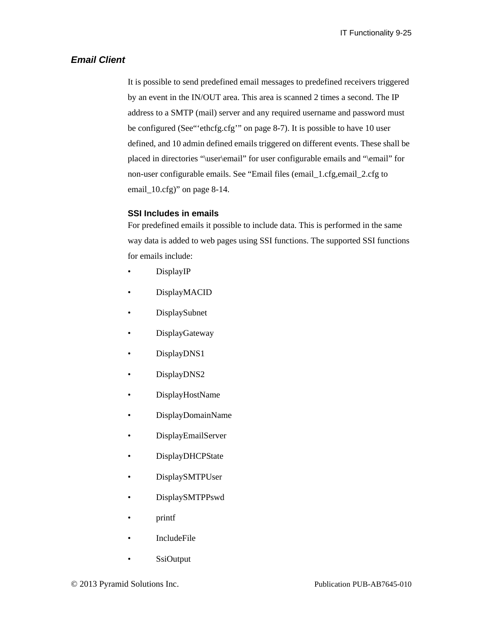## *Email Client*

It is possible to send predefined email messages to predefined receivers triggered by an event in the IN/OUT area. This area is scanned 2 times a second. The IP address to a SMTP (mail) server and any required username and password must be configured (See["'ethcfg.cfg'" on page 8-7\)](#page-99-0). It is possible to have 10 user defined, and 10 admin defined emails triggered on different events. These shall be placed in directories "\user\email" for user configurable emails and "\email" for non-user configurable emails. See ["Email files \(email\\_1.cfg,email\\_2.cfg to](#page-106-0)  [email\\_10.cfg\)" on page 8-14](#page-106-0).

## <span id="page-134-0"></span>**SSI Includes in emails**

For predefined emails it possible to include data. This is performed in the same way data is added to web pages using SSI functions. The supported SSI functions for emails include:

- DisplayIP
- DisplayMACID
- DisplaySubnet
- DisplayGateway
- DisplayDNS1
- DisplayDNS2
- DisplayHostName
- DisplayDomainName
- DisplayEmailServer
- DisplayDHCPState
- DisplaySMTPUser
- DisplaySMTPPswd
- printf
- IncludeFile
- SsiOutput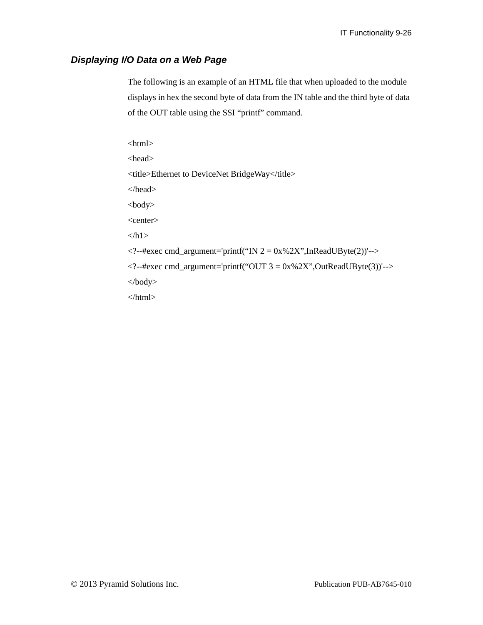# *Displaying I/O Data on a Web Page*

The following is an example of an HTML file that when uploaded to the module displays in hex the second byte of data from the IN table and the third byte of data of the OUT table using the SSI "printf" command.

 $\langle$ html $>$ <head> <title>Ethernet to DeviceNet BridgeWay</title> </head> <body> <center>  $<$ h1>  $\langle$  2-+#exec cmd\_argument='printf("IN 2 = 0x%2X",InReadUByte(2))'-->  $\langle$  2--#exec cmd\_argument='printf("OUT 3 = 0x%2X", OutReadUByte(3))'--> </body> </html>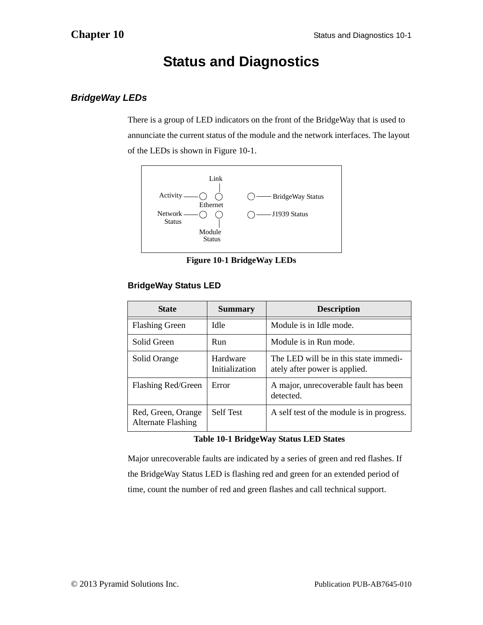# **Status and Diagnostics**

# *BridgeWay LEDs*

There is a group of LED indicators on the front of the BridgeWay that is used to annunciate the current status of the module and the network interfaces. The layout of the LEDs is shown in [Figure 10-1.](#page-136-0)



**Figure 10-1 BridgeWay LEDs**

# <span id="page-136-0"></span>**BridgeWay Status LED**

| <b>State</b>                                    | <b>Summary</b>             | <b>Description</b>                                                     |
|-------------------------------------------------|----------------------------|------------------------------------------------------------------------|
| <b>Flashing Green</b>                           | Idle                       | Module is in Idle mode.                                                |
| Solid Green                                     | Run                        | Module is in Run mode.                                                 |
| Solid Orange                                    | Hardware<br>Initialization | The LED will be in this state immedi-<br>ately after power is applied. |
| Flashing Red/Green                              | Error                      | A major, unrecoverable fault has been<br>detected.                     |
| Red, Green, Orange<br><b>Alternate Flashing</b> | <b>Self Test</b>           | A self test of the module is in progress.                              |

## **Table 10-1 BridgeWay Status LED States**

Major unrecoverable faults are indicated by a series of green and red flashes. If the BridgeWay Status LED is flashing red and green for an extended period of time, count the number of red and green flashes and call technical support.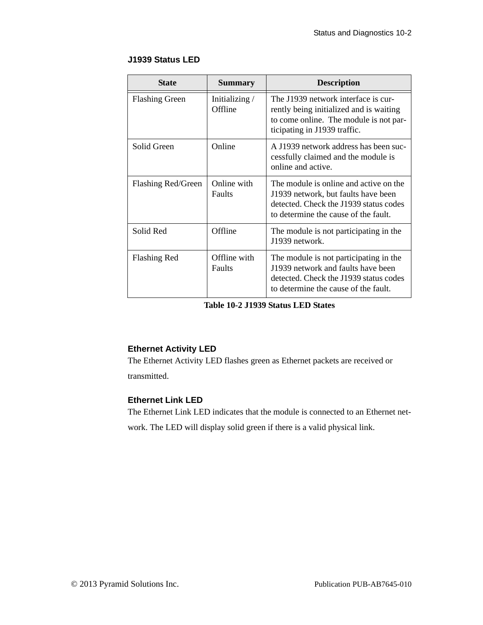## **J1939 Status LED**

| <b>State</b>          | <b>Summary</b>           | <b>Description</b>                                                                                                                                              |
|-----------------------|--------------------------|-----------------------------------------------------------------------------------------------------------------------------------------------------------------|
| <b>Flashing Green</b> | Initializing/<br>Offline | The J1939 network interface is cur-<br>rently being initialized and is waiting<br>to come online. The module is not par-<br>ticipating in J1939 traffic.        |
| Solid Green           | Online                   | A J1939 network address has been suc-<br>cessfully claimed and the module is<br>online and active.                                                              |
| Flashing Red/Green    | Online with<br>Faults    | The module is online and active on the<br>J1939 network, but faults have been<br>detected. Check the J1939 status codes<br>to determine the cause of the fault. |
| Solid Red             | Offline                  | The module is not participating in the<br>J1939 network.                                                                                                        |
| <b>Flashing Red</b>   | Offline with<br>Faults   | The module is not participating in the<br>J1939 network and faults have been<br>detected. Check the J1939 status codes<br>to determine the cause of the fault.  |

**Table 10-2 J1939 Status LED States**

## **Ethernet Activity LED**

The Ethernet Activity LED flashes green as Ethernet packets are received or transmitted.

## **Ethernet Link LED**

The Ethernet Link LED indicates that the module is connected to an Ethernet network. The LED will display solid green if there is a valid physical link.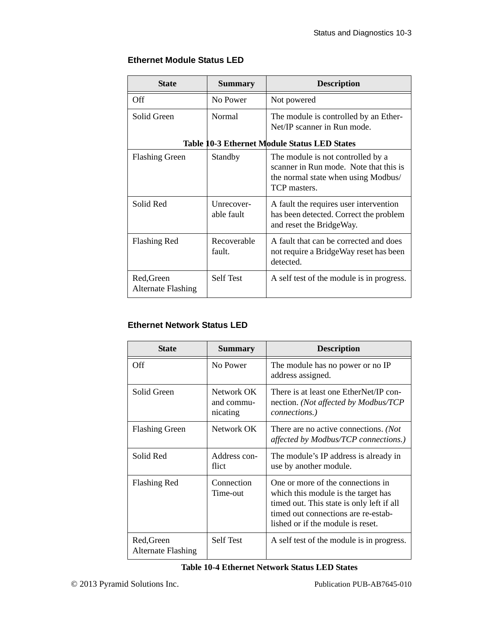# **Ethernet Module Status LED**

| <b>State</b>                                        | <b>Summary</b>           | <b>Description</b>                                                                                                                 |
|-----------------------------------------------------|--------------------------|------------------------------------------------------------------------------------------------------------------------------------|
| Off                                                 | No Power                 | Not powered                                                                                                                        |
| Solid Green                                         | Normal                   | The module is controlled by an Ether-<br>Net/IP scanner in Run mode.                                                               |
| <b>Table 10-3 Ethernet Module Status LED States</b> |                          |                                                                                                                                    |
| <b>Flashing Green</b>                               | Standby                  | The module is not controlled by a<br>scanner in Run mode. Note that this is<br>the normal state when using Modbus/<br>TCP masters. |
| Solid Red                                           | Unrecover-<br>able fault | A fault the requires user intervention<br>has been detected. Correct the problem<br>and reset the BridgeWay.                       |
| <b>Flashing Red</b>                                 | Recoverable<br>fault.    | A fault that can be corrected and does<br>not require a BridgeWay reset has been<br>detected.                                      |
| Red, Green<br><b>Alternate Flashing</b>             | <b>Self Test</b>         | A self test of the module is in progress.                                                                                          |

# **Ethernet Network Status LED**

| <b>State</b>                            | <b>Summary</b>                       | <b>Description</b>                                                                                                                                                                                |
|-----------------------------------------|--------------------------------------|---------------------------------------------------------------------------------------------------------------------------------------------------------------------------------------------------|
| Off                                     | No Power                             | The module has no power or no IP<br>address assigned.                                                                                                                                             |
| Solid Green                             | Network OK<br>and commu-<br>nicating | There is at least one EtherNet/IP con-<br>nection. (Not affected by Modbus/TCP<br>connections.)                                                                                                   |
| <b>Flashing Green</b>                   | Network OK                           | There are no active connections. ( <i>Not</i><br>affected by Modbus/TCP connections.)                                                                                                             |
| Solid Red                               | Address con-<br>flict                | The module's IP address is already in<br>use by another module.                                                                                                                                   |
| <b>Flashing Red</b>                     | Connection<br>Time-out               | One or more of the connections in<br>which this module is the target has<br>timed out. This state is only left if all<br>timed out connections are re-estab-<br>lished or if the module is reset. |
| Red, Green<br><b>Alternate Flashing</b> | <b>Self Test</b>                     | A self test of the module is in progress.                                                                                                                                                         |

#### **Table 10-4 Ethernet Network Status LED States**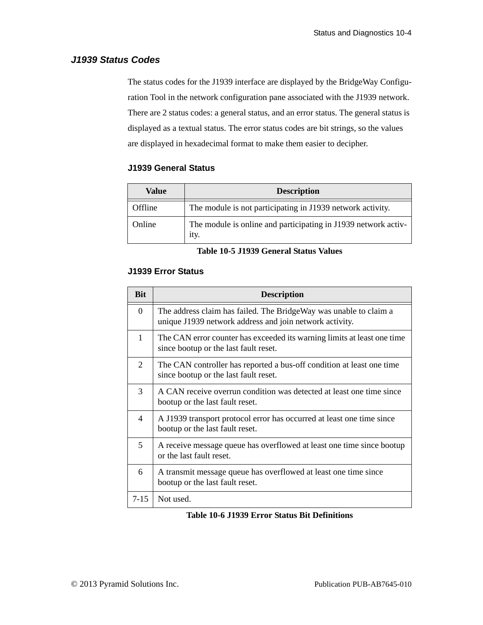# *J1939 Status Codes*

The status codes for the J1939 interface are displayed by the BridgeWay Configuration Tool in the network configuration pane associated with the J1939 network. There are 2 status codes: a general status, and an error status. The general status is displayed as a textual status. The error status codes are bit strings, so the values are displayed in hexadecimal format to make them easier to decipher.

## **J1939 General Status**

| Value   | <b>Description</b>                                                     |
|---------|------------------------------------------------------------------------|
| Offline | The module is not participating in J1939 network activity.             |
| Online  | The module is online and participating in J1939 network activ-<br>ity. |

#### **Table 10-5 J1939 General Status Values**

## **J1939 Error Status**

| <b>Bit</b>     | <b>Description</b>                                                                                                           |
|----------------|------------------------------------------------------------------------------------------------------------------------------|
| $\Omega$       | The address claim has failed. The BridgeWay was unable to claim a<br>unique J1939 network address and join network activity. |
| 1              | The CAN error counter has exceeded its warning limits at least one time<br>since bootup or the last fault reset.             |
| $\overline{2}$ | The CAN controller has reported a bus-off condition at least one time<br>since bootup or the last fault reset.               |
| 3              | A CAN receive overrun condition was detected at least one time since<br>bootup or the last fault reset.                      |
| $\overline{4}$ | A J1939 transport protocol error has occurred at least one time since<br>bootup or the last fault reset.                     |
| $\overline{5}$ | A receive message queue has overflowed at least one time since bootup<br>or the last fault reset.                            |
| 6              | A transmit message queue has overflowed at least one time since<br>bootup or the last fault reset.                           |
| $7 - 15$       | Not used.                                                                                                                    |

#### **Table 10-6 J1939 Error Status Bit Definitions**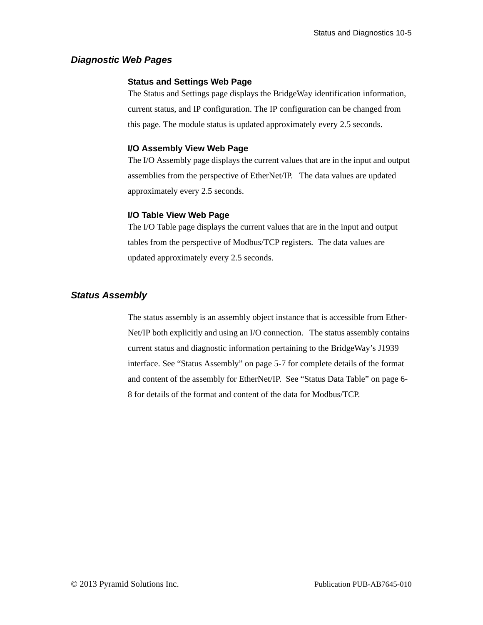## *Diagnostic Web Pages*

#### **Status and Settings Web Page**

The Status and Settings page displays the BridgeWay identification information, current status, and IP configuration. The IP configuration can be changed from this page. The module status is updated approximately every 2.5 seconds.

#### **I/O Assembly View Web Page**

The I/O Assembly page displays the current values that are in the input and output assemblies from the perspective of EtherNet/IP. The data values are updated approximately every 2.5 seconds.

## **I/O Table View Web Page**

The I/O Table page displays the current values that are in the input and output tables from the perspective of Modbus/TCP registers. The data values are updated approximately every 2.5 seconds.

## *Status Assembly*

The status assembly is an assembly object instance that is accessible from Ether-Net/IP both explicitly and using an I/O connection. The status assembly contains current status and diagnostic information pertaining to the BridgeWay's J1939 interface. See ["Status Assembly" on page](#page-58-0) 5-7 for complete details of the format and content of the assembly for EtherNet/IP. See ["Status Data Table" on page 6-](#page-71-0) [8](#page-71-0) for details of the format and content of the data for Modbus/TCP.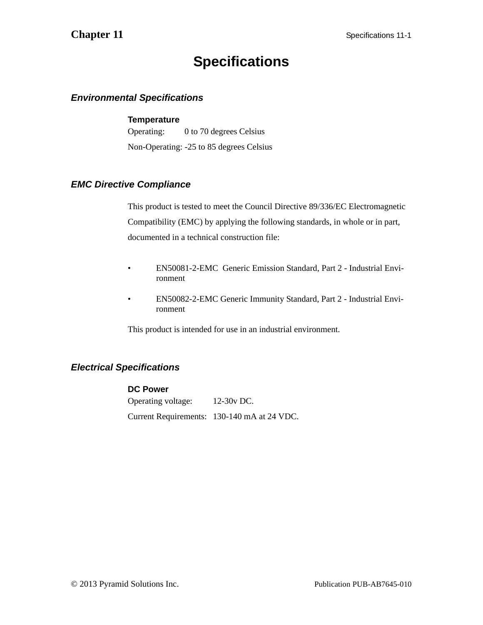# **Specifications**

# *Environmental Specifications*

## **Temperature**

Operating: 0 to 70 degrees Celsius Non-Operating: -25 to 85 degrees Celsius

## *EMC Directive Compliance*

This product is tested to meet the Council Directive 89/336/EC Electromagnetic Compatibility (EMC) by applying the following standards, in whole or in part, documented in a technical construction file:

- EN50081-2-EMC Generic Emission Standard, Part 2 Industrial Environment
- EN50082-2-EMC Generic Immunity Standard, Part 2 Industrial Environment

This product is intended for use in an industrial environment.

# *Electrical Specifications*

## **DC Power**

Operating voltage: 12-30v DC. Current Requirements: 130-140 mA at 24 VDC.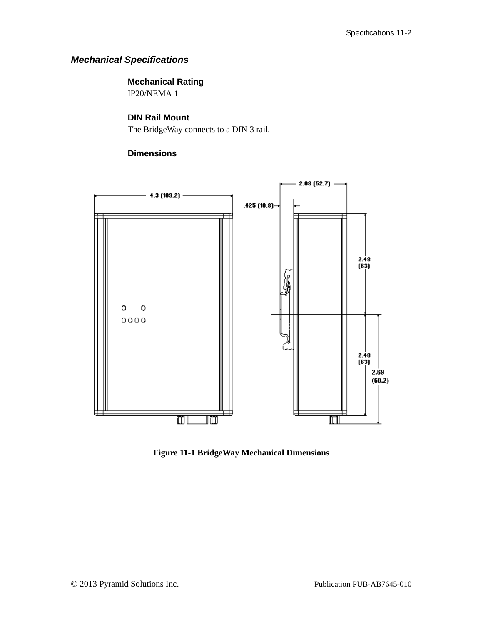# *Mechanical Specifications*

# **Mechanical Rating**

IP20/NEMA 1

# **DIN Rail Mount**

The BridgeWay connects to a DIN 3 rail.

## **Dimensions**



**Figure 11-1 BridgeWay Mechanical Dimensions**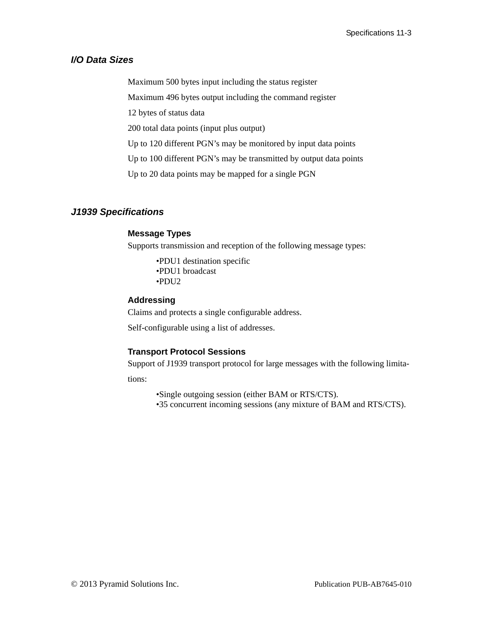## *I/O Data Sizes*

Maximum 500 bytes input including the status register

Maximum 496 bytes output including the command register

12 bytes of status data

200 total data points (input plus output)

Up to 120 different PGN's may be monitored by input data points

Up to 100 different PGN's may be transmitted by output data points

Up to 20 data points may be mapped for a single PGN

## *J1939 Specifications*

## **Message Types**

Supports transmission and reception of the following message types:

•PDU1 destination specific •PDU1 broadcast •PDU2

#### **Addressing**

Claims and protects a single configurable address.

Self-configurable using a list of addresses.

## **Transport Protocol Sessions**

Support of J1939 transport protocol for large messages with the following limita-

tions:

•Single outgoing session (either BAM or RTS/CTS).

•35 concurrent incoming sessions (any mixture of BAM and RTS/CTS).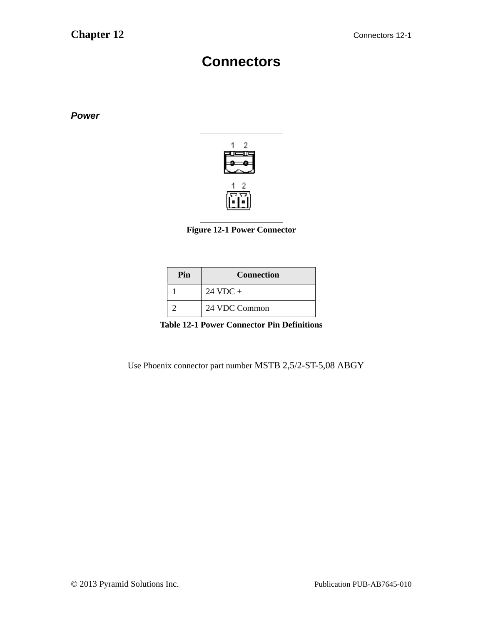# **Connectors**

*Power*



**Figure 12-1 Power Connector**

| Pin | <b>Connection</b>  |
|-----|--------------------|
|     | $24 \text{ VDC} +$ |
|     | 24 VDC Common      |

**Table 12-1 Power Connector Pin Definitions**

Use Phoenix connector part number MSTB 2,5/2-ST-5,08 ABGY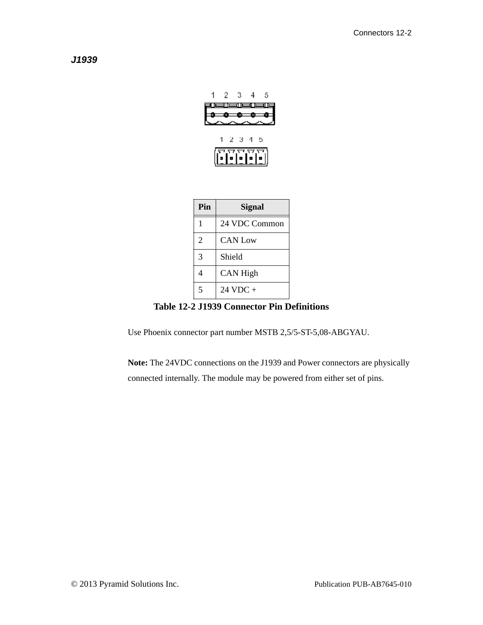*J1939*



| Pin            | Signal             |
|----------------|--------------------|
| 1              | 24 VDC Common      |
| $\overline{2}$ | <b>CAN Low</b>     |
| 3              | Shield             |
| 4              | <b>CAN High</b>    |
| 5              | $24 \text{ VDC} +$ |

#### **Table 12-2 J1939 Connector Pin Definitions**

Use Phoenix connector part number MSTB 2,5/5-ST-5,08-ABGYAU.

**Note:** The 24VDC connections on the J1939 and Power connectors are physically connected internally. The module may be powered from either set of pins.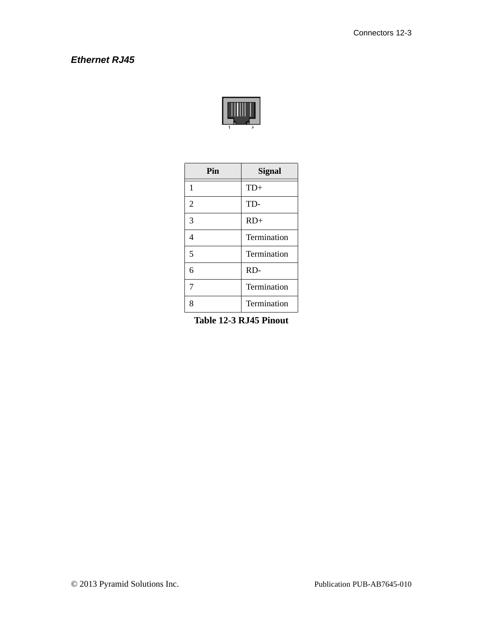## *Ethernet RJ45*



| Pin            | <b>Signal</b> |
|----------------|---------------|
| 1              | $TD+$         |
| $\overline{2}$ | TD-           |
| 3              | $RD+$         |
| 4              | Termination   |
| 5              | Termination   |
| 6              | RD-           |
| 7              | Termination   |
| 8              | Termination   |

**Table 12-3 RJ45 Pinout**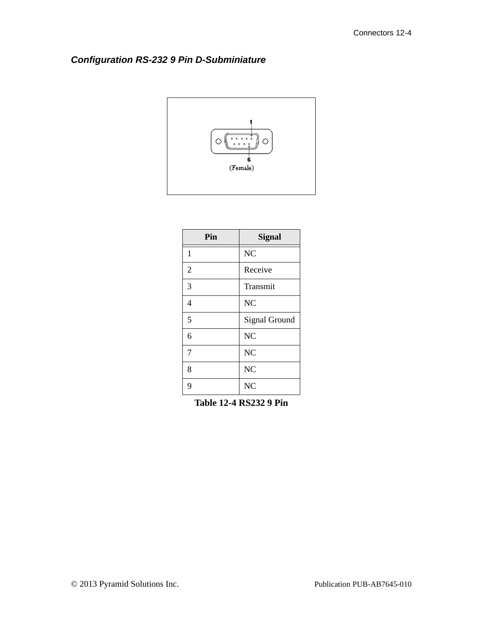## *Configuration RS-232 9 Pin D-Subminiature*



| Pin            | <b>Signal</b>        |
|----------------|----------------------|
| $\mathbf{1}$   | N <sub>C</sub>       |
| $\overline{2}$ | Receive              |
| 3              | Transmit             |
| $\overline{4}$ | N <sub>C</sub>       |
| 5              | <b>Signal Ground</b> |
| 6              | N <sub>C</sub>       |
| 7              | N <sub>C</sub>       |
| 8              | N <sub>C</sub>       |
| 9              | N <sub>C</sub>       |

**Table 12-4 RS232 9 Pin**